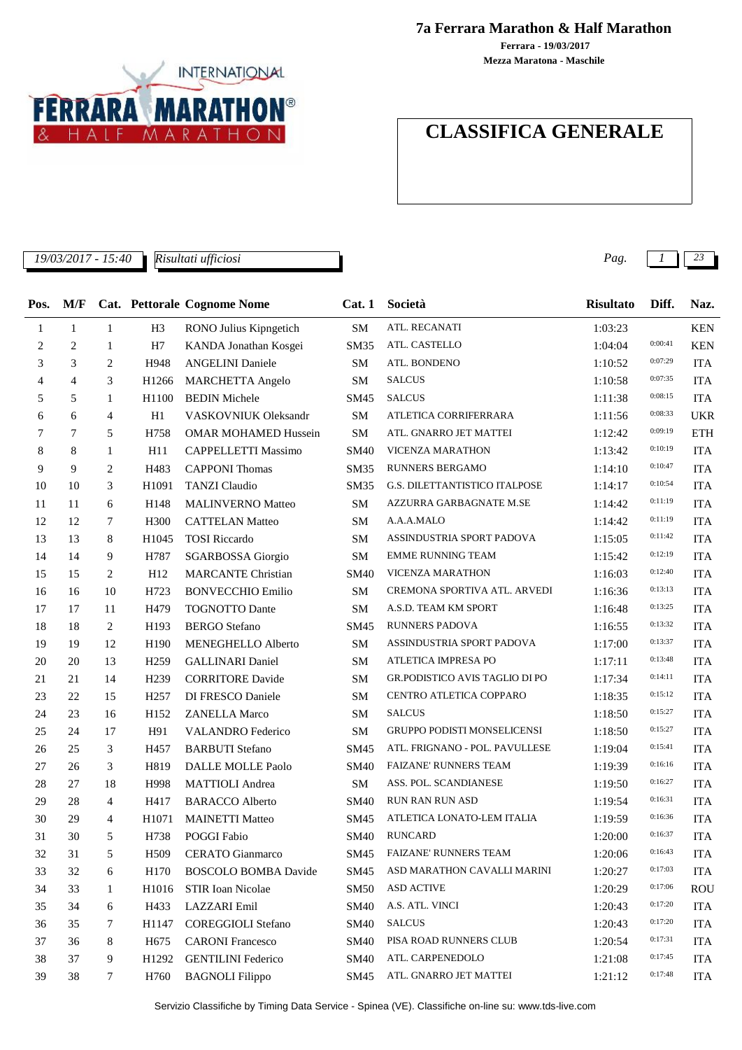

**7a Ferrara Marathon & Half Marathon**

**Mezza Maratona - Maschile Ferrara - 19/03/2017**

# **CLASSIFICA GENERALE**

*19/03/2017 - 15:40 Pag. 1 23*

*Risultati ufficiosi*

| Pos. |              |                |                   | M/F Cat. Pettorale Cognome Nome | Cat.1      | Società                            | <b>Risultato</b> | Diff.   | Naz.       |
|------|--------------|----------------|-------------------|---------------------------------|------------|------------------------------------|------------------|---------|------------|
| 1    | $\mathbf{1}$ | $\mathbf{1}$   | H <sub>3</sub>    | RONO Julius Kipngetich          | SM         | ATL. RECANATI                      | 1:03:23          |         | <b>KEN</b> |
| 2    | 2            | 1              | H7                | KANDA Jonathan Kosgei           | SM35       | ATL. CASTELLO                      | 1:04:04          | 0:00:41 | <b>KEN</b> |
| 3    | 3            | 2              | H948              | <b>ANGELINI</b> Daniele         | SM         | ATL. BONDENO                       | 1:10:52          | 0:07:29 | <b>ITA</b> |
| 4    | 4            | 3              | H <sub>1266</sub> | MARCHETTA Angelo                | ${\rm SM}$ | <b>SALCUS</b>                      | 1:10:58          | 0:07:35 | <b>ITA</b> |
| 5    | 5            | $\mathbf{1}$   | H1100             | <b>BEDIN Michele</b>            | SM45       | <b>SALCUS</b>                      | 1:11:38          | 0:08:15 | <b>ITA</b> |
| 6    | 6            | 4              | H1                | VASKOVNIUK Oleksandr            | ${\bf SM}$ | ATLETICA CORRIFERRARA              | 1:11:56          | 0:08:33 | <b>UKR</b> |
| 7    | 7            | 5              | H758              | <b>OMAR MOHAMED Hussein</b>     | SM         | ATL. GNARRO JET MATTEI             | 1:12:42          | 0:09:19 | <b>ETH</b> |
| 8    | 8            | $\mathbf{1}$   | H11               | <b>CAPPELLETTI Massimo</b>      | SM40       | <b>VICENZA MARATHON</b>            | 1:13:42          | 0:10:19 | <b>ITA</b> |
| 9    | 9            | $\overline{c}$ | H483              | <b>CAPPONI</b> Thomas           | SM35       | RUNNERS BERGAMO                    | 1:14:10          | 0:10:47 | <b>ITA</b> |
| 10   | 10           | 3              | H1091             | <b>TANZI Claudio</b>            | SM35       | G.S. DILETTANTISTICO ITALPOSE      | 1:14:17          | 0:10:54 | <b>ITA</b> |
| 11   | 11           | 6              | H148              | MALINVERNO Matteo               | ${\bf SM}$ | AZZURRA GARBAGNATE M.SE            | 1:14:42          | 0:11:19 | <b>ITA</b> |
| 12   | 12           | 7              | H300              | <b>CATTELAN Matteo</b>          | SM         | A.A.A.MALO                         | 1:14:42          | 0:11:19 | <b>ITA</b> |
| 13   | 13           | 8              | H <sub>1045</sub> | <b>TOSI</b> Riccardo            | SM         | ASSINDUSTRIA SPORT PADOVA          | 1:15:05          | 0:11:42 | <b>ITA</b> |
| 14   | 14           | 9              | H787              | <b>SGARBOSSA</b> Giorgio        | SM         | <b>EMME RUNNING TEAM</b>           | 1:15:42          | 0:12:19 | <b>ITA</b> |
| 15   | 15           | 2              | H12               | <b>MARCANTE Christian</b>       | SM40       | <b>VICENZA MARATHON</b>            | 1:16:03          | 0:12:40 | <b>ITA</b> |
| 16   | 16           | 10             | H723              | <b>BONVECCHIO Emilio</b>        | SM         | CREMONA SPORTIVA ATL. ARVEDI       | 1:16:36          | 0:13:13 | <b>ITA</b> |
| 17   | 17           | 11             | H479              | <b>TOGNOTTO Dante</b>           | ${\rm SM}$ | A.S.D. TEAM KM SPORT               | 1:16:48          | 0:13:25 | <b>ITA</b> |
| 18   | 18           | 2              | H193              | <b>BERGO</b> Stefano            | SM45       | <b>RUNNERS PADOVA</b>              | 1:16:55          | 0:13:32 | <b>ITA</b> |
| 19   | 19           | 12             | H190              | MENEGHELLO Alberto              | ${\bf SM}$ | ASSINDUSTRIA SPORT PADOVA          | 1:17:00          | 0:13:37 | <b>ITA</b> |
| 20   | 20           | 13             | H <sub>259</sub>  | <b>GALLINARI</b> Daniel         | <b>SM</b>  | ATLETICA IMPRESA PO                | 1:17:11          | 0:13:48 | <b>ITA</b> |
| 21   | 21           | 14             | H <sub>239</sub>  | <b>CORRITORE Davide</b>         | <b>SM</b>  | GR.PODISTICO AVIS TAGLIO DI PO     | 1:17:34          | 0:14:11 | <b>ITA</b> |
| 23   | 22           | 15             | H <sub>257</sub>  | DI FRESCO Daniele               | <b>SM</b>  | CENTRO ATLETICA COPPARO            | 1:18:35          | 0:15:12 | <b>ITA</b> |
| 24   | 23           | 16             | H152              | <b>ZANELLA Marco</b>            | SM         | <b>SALCUS</b>                      | 1:18:50          | 0:15:27 | <b>ITA</b> |
| 25   | 24           | 17             | H91               | VALANDRO Federico               | SM         | <b>GRUPPO PODISTI MONSELICENSI</b> | 1:18:50          | 0:15:27 | <b>ITA</b> |
| 26   | 25           | 3              | H457              | <b>BARBUTI</b> Stefano          | SM45       | ATL. FRIGNANO - POL. PAVULLESE     | 1:19:04          | 0:15:41 | <b>ITA</b> |
| 27   | 26           | 3              | H819              | DALLE MOLLE Paolo               | SM40       | <b>FAIZANE' RUNNERS TEAM</b>       | 1:19:39          | 0:16:16 | <b>ITA</b> |
| 28   | 27           | 18             | H998              | <b>MATTIOLI</b> Andrea          | SM         | ASS. POL. SCANDIANESE              | 1:19:50          | 0:16:27 | <b>ITA</b> |
| 29   | 28           | 4              | H417              | <b>BARACCO</b> Alberto          | SM40       | <b>RUN RAN RUN ASD</b>             | 1:19:54          | 0:16:31 | <b>ITA</b> |
| 30   | 29           | 4              | H1071             | <b>MAINETTI Matteo</b>          | SM45       | ATLETICA LONATO-LEM ITALIA         | 1:19:59          | 0:16:36 | <b>ITA</b> |
| 31   | 30           | 5              | H738              | POGGI Fabio                     | SM40       | <b>RUNCARD</b>                     | 1:20:00          | 0:16:37 | <b>ITA</b> |
| 32   | 31           | 5              | H509              | CERATO Gianmarco                | SM45       | FAIZANE' RUNNERS TEAM              | 1:20:06          | 0:16:43 | <b>ITA</b> |
| 33   | 32           | 6              | H170              | <b>BOSCOLO BOMBA Davide</b>     | SM45       | ASD MARATHON CAVALLI MARINI        | 1:20:27          | 0:17:03 | <b>ITA</b> |
| 34   | 33           | 1              | H1016             | STIR Ioan Nicolae               | SM50       | <b>ASD ACTIVE</b>                  | 1:20:29          | 0:17:06 | ROU        |
| 35   | 34           | 6              | H433              | LAZZARI Emil                    | SM40       | A.S. ATL. VINCI                    | 1:20:43          | 0:17:20 | <b>ITA</b> |
| 36   | 35           | 7              | H1147             | <b>COREGGIOLI Stefano</b>       | SM40       | $\operatorname{SALCUS}$            | 1:20:43          | 0:17:20 | <b>ITA</b> |
| 37   | 36           | 8              | H <sub>675</sub>  | <b>CARONI Francesco</b>         | SM40       | PISA ROAD RUNNERS CLUB             | 1:20:54          | 0:17:31 | <b>ITA</b> |
| 38   | 37           | 9              | H1292             | <b>GENTILINI</b> Federico       | SM40       | ATL. CARPENEDOLO                   | 1:21:08          | 0:17:45 | <b>ITA</b> |
| 39   | 38           | 7              | H760              | <b>BAGNOLI Filippo</b>          | SM45       | ATL. GNARRO JET MATTEI             | 1:21:12          | 0:17:48 | <b>ITA</b> |

Servizio Classifiche by Timing Data Service - Spinea (VE). Classifiche on-line su: www.tds-live.com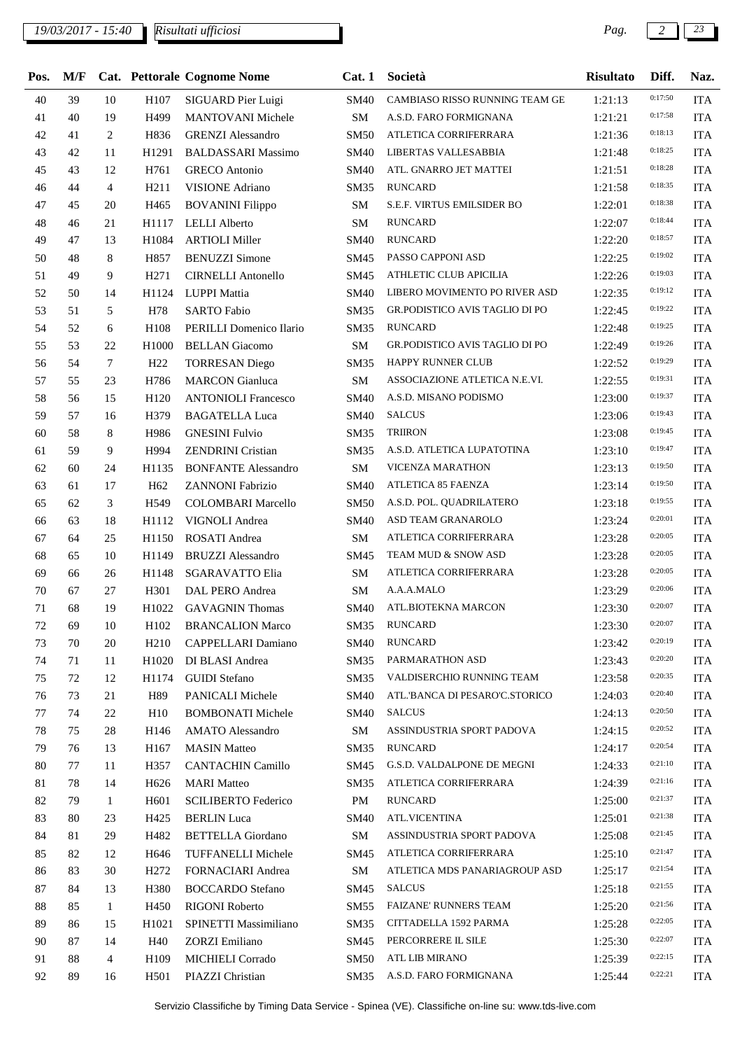| Pos.   | M/F |                |                   | Cat. Pettorale Cognome Nome | Cat.1       | Società                               | <b>Risultato</b> | Diff.   | Naz.       |
|--------|-----|----------------|-------------------|-----------------------------|-------------|---------------------------------------|------------------|---------|------------|
| 40     | 39  | 10             | H107              | SIGUARD Pier Luigi          | SM40        | CAMBIASO RISSO RUNNING TEAM GE        | 1:21:13          | 0:17:50 | <b>ITA</b> |
| 41     | 40  | 19             | H499              | <b>MANTOVANI Michele</b>    | SM          | A.S.D. FARO FORMIGNANA                | 1:21:21          | 0:17:58 | <b>ITA</b> |
| 42     | 41  | $\overline{2}$ | H836              | <b>GRENZI Alessandro</b>    | <b>SM50</b> | ATLETICA CORRIFERRARA                 | 1:21:36          | 0:18:13 | <b>ITA</b> |
| 43     | 42  | 11             | H1291             | <b>BALDASSARI Massimo</b>   | <b>SM40</b> | LIBERTAS VALLESABBIA                  | 1:21:48          | 0:18:25 | <b>ITA</b> |
| 45     | 43  | 12             | H761              | <b>GRECO</b> Antonio        | <b>SM40</b> | ATL. GNARRO JET MATTEI                | 1:21:51          | 0:18:28 | <b>ITA</b> |
| 46     | 44  | $\overline{4}$ | H <sub>211</sub>  | <b>VISIONE Adriano</b>      | <b>SM35</b> | <b>RUNCARD</b>                        | 1:21:58          | 0:18:35 | <b>ITA</b> |
| 47     | 45  | 20             | H465              | <b>BOVANINI Filippo</b>     | <b>SM</b>   | <b>S.E.F. VIRTUS EMILSIDER BO</b>     | 1:22:01          | 0:18:38 | <b>ITA</b> |
| 48     | 46  | 21             | H1117             | <b>LELLI</b> Alberto        | ${\bf SM}$  | <b>RUNCARD</b>                        | 1:22:07          | 0:18:44 | <b>ITA</b> |
| 49     | 47  | 13             | H1084             | <b>ARTIOLI Miller</b>       | SM40        | <b>RUNCARD</b>                        | 1:22:20          | 0:18:57 | <b>ITA</b> |
| 50     | 48  | 8              | H857              | <b>BENUZZI</b> Simone       | SM45        | PASSO CAPPONI ASD                     | 1:22:25          | 0:19:02 | <b>ITA</b> |
| 51     | 49  | 9              | H <sub>271</sub>  | <b>CIRNELLI Antonello</b>   | SM45        | ATHLETIC CLUB APICILIA                | 1:22:26          | 0:19:03 | <b>ITA</b> |
| 52     | 50  | 14             | H1124             | LUPPI Mattia                | <b>SM40</b> | LIBERO MOVIMENTO PO RIVER ASD         | 1:22:35          | 0:19:12 | <b>ITA</b> |
| 53     | 51  | 5              | H78               | <b>SARTO Fabio</b>          | SM35        | GR.PODISTICO AVIS TAGLIO DI PO        | 1:22:45          | 0:19:22 | <b>ITA</b> |
| 54     | 52  | 6              | H108              | PERILLI Domenico Ilario     | SM35        | <b>RUNCARD</b>                        | 1:22:48          | 0:19:25 | <b>ITA</b> |
| 55     | 53  | 22             | H1000             | <b>BELLAN</b> Giacomo       | SM          | <b>GR.PODISTICO AVIS TAGLIO DI PO</b> | 1:22:49          | 0:19:26 | <b>ITA</b> |
| 56     | 54  | $\tau$         | H22               | <b>TORRESAN Diego</b>       | SM35        | HAPPY RUNNER CLUB                     | 1:22:52          | 0:19:29 | <b>ITA</b> |
| 57     | 55  | 23             | H786              | <b>MARCON</b> Gianluca      | ${\bf SM}$  | ASSOCIAZIONE ATLETICA N.E.VI.         | 1:22:55          | 0:19:31 | <b>ITA</b> |
| 58     | 56  | 15             | H120              | <b>ANTONIOLI Francesco</b>  | SM40        | A.S.D. MISANO PODISMO                 | 1:23:00          | 0:19:37 | <b>ITA</b> |
| 59     | 57  | 16             | H379              | <b>BAGATELLA Luca</b>       | <b>SM40</b> | <b>SALCUS</b>                         | 1:23:06          | 0:19:43 | <b>ITA</b> |
| 60     | 58  | 8              | H986              | <b>GNESINI</b> Fulvio       | <b>SM35</b> | <b>TRIIRON</b>                        | 1:23:08          | 0:19:45 | <b>ITA</b> |
| 61     | 59  | 9              | H994              | <b>ZENDRINI</b> Cristian    | <b>SM35</b> | A.S.D. ATLETICA LUPATOTINA            | 1:23:10          | 0:19:47 | <b>ITA</b> |
| 62     | 60  | 24             | H1135             | <b>BONFANTE Alessandro</b>  | ${\bf SM}$  | <b>VICENZA MARATHON</b>               | 1:23:13          | 0:19:50 | <b>ITA</b> |
| 63     | 61  | 17             | H <sub>62</sub>   | <b>ZANNONI Fabrizio</b>     | SM40        | ATLETICA 85 FAENZA                    | 1:23:14          | 0:19:50 | <b>ITA</b> |
| 65     | 62  | 3              | H <sub>549</sub>  | <b>COLOMBARI</b> Marcello   | <b>SM50</b> | A.S.D. POL. QUADRILATERO              | 1:23:18          | 0:19:55 | <b>ITA</b> |
| 66     | 63  | 18             | H1112             | VIGNOLI Andrea              | <b>SM40</b> | ASD TEAM GRANAROLO                    | 1:23:24          | 0:20:01 | <b>ITA</b> |
| 67     | 64  | 25             | H1150             | <b>ROSATI</b> Andrea        | ${\bf SM}$  | ATLETICA CORRIFERRARA                 | 1:23:28          | 0:20:05 | <b>ITA</b> |
| 68     | 65  | 10             | H1149             | <b>BRUZZI</b> Alessandro    | SM45        | TEAM MUD & SNOW ASD                   | 1:23:28          | 0:20:05 | <b>ITA</b> |
| 69     | 66  | 26             | H1148             | <b>SGARAVATTO Elia</b>      | SM          | ATLETICA CORRIFERRARA                 | 1:23:28          | 0:20:05 | <b>ITA</b> |
| 70     | 67  | 27             | H301              | DAL PERO Andrea             | ${\bf SM}$  | A.A.A.MALO                            | 1:23:29          | 0:20:06 | <b>ITA</b> |
| 71     | 68  | 19             | H1022             | <b>GAVAGNIN Thomas</b>      | SM40        | ATL.BIOTEKNA MARCON                   | 1:23:30          | 0:20:07 | <b>ITA</b> |
| 72     | 69  | 10             | H102              | <b>BRANCALION Marco</b>     | SM35        | <b>RUNCARD</b>                        | 1:23:30          | 0:20:07 | <b>ITA</b> |
| 73     | 70  | 20             | H <sub>210</sub>  | CAPPELLARI Damiano          | SM40        | <b>RUNCARD</b>                        | 1:23:42          | 0:20:19 | <b>ITA</b> |
| 74     | 71  | 11             | H1020             | DI BLASI Andrea             | SM35        | PARMARATHON ASD                       | 1:23:43          | 0:20:20 | <b>ITA</b> |
| 75     | 72  | 12             | H1174             | <b>GUIDI</b> Stefano        | SM35        | VALDISERCHIO RUNNING TEAM             | 1:23:58          | 0:20:35 | <b>ITA</b> |
| 76     | 73  | 21             | H89               | PANICALI Michele            | SM40        | ATL.'BANCA DI PESARO'C.STORICO        | 1:24:03          | 0:20:40 | <b>ITA</b> |
| 77     | 74  | 22             | H10               | <b>BOMBONATI Michele</b>    | SM40        | <b>SALCUS</b>                         | 1:24:13          | 0:20:50 | <b>ITA</b> |
| $78\,$ | 75  | 28             | H <sub>146</sub>  | <b>AMATO</b> Alessandro     | ${\bf SM}$  | ASSINDUSTRIA SPORT PADOVA             | 1:24:15          | 0:20:52 | <b>ITA</b> |
| 79     | 76  | 13             | H167              | <b>MASIN</b> Matteo         | SM35        | <b>RUNCARD</b>                        | 1:24:17          | 0:20:54 | <b>ITA</b> |
| 80     | 77  | 11             | H357              | <b>CANTACHIN Camillo</b>    | SM45        | G.S.D. VALDALPONE DE MEGNI            | 1:24:33          | 0:21:10 | <b>ITA</b> |
| 81     | 78  | 14             | H <sub>626</sub>  | <b>MARI</b> Matteo          | SM35        | ATLETICA CORRIFERRARA                 | 1:24:39          | 0:21:16 | <b>ITA</b> |
| 82     | 79  | $\mathbf{1}$   | H <sub>601</sub>  | <b>SCILIBERTO Federico</b>  | PM          | <b>RUNCARD</b>                        | 1:25:00          | 0:21:37 | <b>ITA</b> |
| 83     | 80  | 23             | H425              | <b>BERLIN</b> Luca          | SM40        | ATL.VICENTINA                         | 1:25:01          | 0:21:38 | <b>ITA</b> |
| 84     | 81  | 29             | H482              | <b>BETTELLA</b> Giordano    | ${\bf SM}$  | ASSINDUSTRIA SPORT PADOVA             | 1:25:08          | 0:21:45 | <b>ITA</b> |
| 85     | 82  | 12             | H646              | TUFFANELLI Michele          | SM45        | ATLETICA CORRIFERRARA                 | 1:25:10          | 0:21:47 | <b>ITA</b> |
| 86     | 83  | 30             | H <sub>272</sub>  | FORNACIARI Andrea           | SM          | ATLETICA MDS PANARIAGROUP ASD         | 1:25:17          | 0:21:54 | <b>ITA</b> |
| 87     | 84  | 13             | H380              | <b>BOCCARDO</b> Stefano     | SM45        | <b>SALCUS</b>                         | 1:25:18          | 0:21:55 | <b>ITA</b> |
| 88     | 85  | $\mathbf{1}$   | H450              | <b>RIGONI Roberto</b>       | <b>SM55</b> | <b>FAIZANE' RUNNERS TEAM</b>          | 1:25:20          | 0:21:56 | <b>ITA</b> |
| 89     | 86  | 15             | H <sub>1021</sub> | SPINETTI Massimiliano       | SM35        | CITTADELLA 1592 PARMA                 | 1:25:28          | 0:22:05 | <b>ITA</b> |
| 90     | 87  | 14             | H40               | ZORZI Emiliano              | SM45        | PERCORRERE IL SILE                    | 1:25:30          | 0:22:07 | <b>ITA</b> |
| 91     | 88  | 4              | H109              | MICHIELI Corrado            | SM50        | ATL LIB MIRANO                        | 1:25:39          | 0:22:15 | <b>ITA</b> |
| 92     | 89  | 16             | H <sub>501</sub>  | PIAZZI Christian            | SM35        | A.S.D. FARO FORMIGNANA                | 1:25:44          | 0:22:21 | <b>ITA</b> |
|        |     |                |                   |                             |             |                                       |                  |         |            |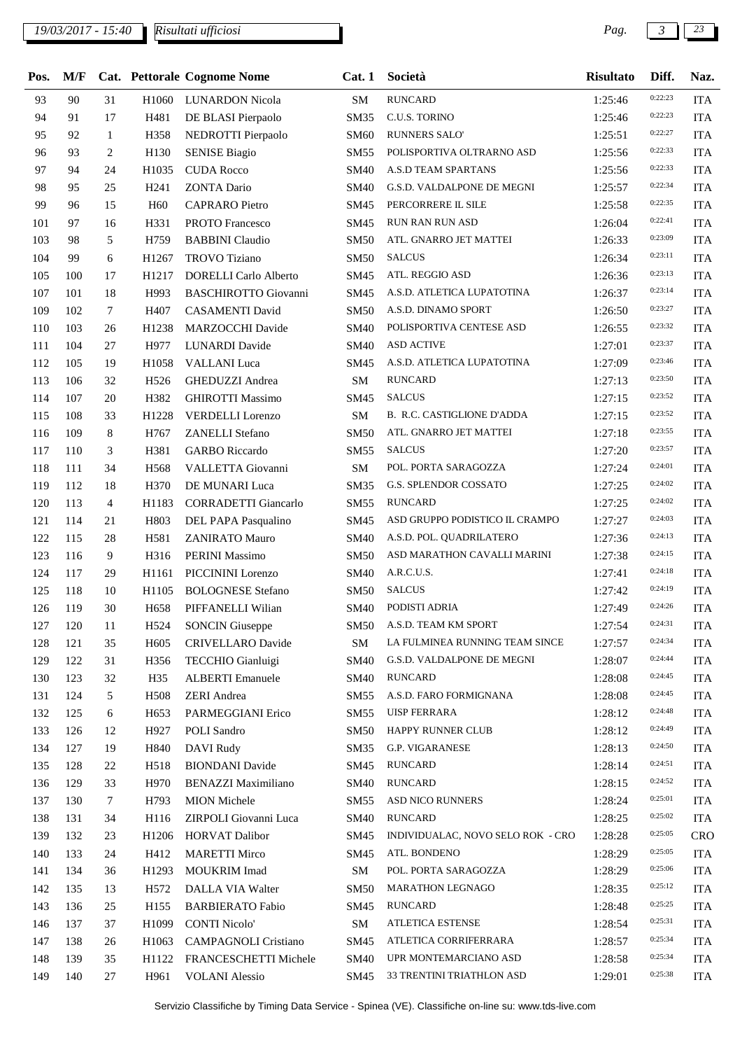| Pos. | M/F |                |                   | Cat. Pettorale Cognome Nome  | Cat.1       | Società                           | <b>Risultato</b> | Diff.   | Naz.       |
|------|-----|----------------|-------------------|------------------------------|-------------|-----------------------------------|------------------|---------|------------|
| 93   | 90  | 31             | H1060             | <b>LUNARDON Nicola</b>       | SM          | <b>RUNCARD</b>                    | 1:25:46          | 0:22:23 | <b>ITA</b> |
| 94   | 91  | 17             | H481              | DE BLASI Pierpaolo           | SM35        | C.U.S. TORINO                     | 1:25:46          | 0:22:23 | <b>ITA</b> |
| 95   | 92  | $\mathbf{1}$   | H358              | NEDROTTI Pierpaolo           | SM60        | <b>RUNNERS SALO</b>               | 1:25:51          | 0:22:27 | <b>ITA</b> |
| 96   | 93  | 2              | H130              | <b>SENISE Biagio</b>         | SM55        | POLISPORTIVA OLTRARNO ASD         | 1:25:56          | 0:22:33 | <b>ITA</b> |
| 97   | 94  | 24             | H1035             | <b>CUDA Rocco</b>            | SM40        | A.S.D TEAM SPARTANS               | 1:25:56          | 0:22:33 | <b>ITA</b> |
| 98   | 95  | 25             | H <sub>241</sub>  | <b>ZONTA Dario</b>           | SM40        | G.S.D. VALDALPONE DE MEGNI        | 1:25:57          | 0:22:34 | <b>ITA</b> |
| 99   | 96  | 15             | H <sub>60</sub>   | <b>CAPRARO</b> Pietro        | SM45        | PERCORRERE IL SILE                | 1:25:58          | 0:22:35 | <b>ITA</b> |
| 101  | 97  | 16             | H331              | PROTO Francesco              | SM45        | <b>RUN RAN RUN ASD</b>            | 1:26:04          | 0:22:41 | <b>ITA</b> |
| 103  | 98  | 5              | H759              | <b>BABBINI</b> Claudio       | <b>SM50</b> | ATL. GNARRO JET MATTEI            | 1:26:33          | 0:23:09 | <b>ITA</b> |
| 104  | 99  | 6              | H1267             | <b>TROVO</b> Tiziano         | <b>SM50</b> | <b>SALCUS</b>                     | 1:26:34          | 0:23:11 | <b>ITA</b> |
| 105  | 100 | 17             | H1217             | <b>DORELLI</b> Carlo Alberto | SM45        | ATL. REGGIO ASD                   | 1:26:36          | 0:23:13 | <b>ITA</b> |
| 107  | 101 | 18             | H993              | <b>BASCHIROTTO Giovanni</b>  | SM45        | A.S.D. ATLETICA LUPATOTINA        | 1:26:37          | 0:23:14 | <b>ITA</b> |
| 109  | 102 | 7              | H407              | <b>CASAMENTI David</b>       | <b>SM50</b> | A.S.D. DINAMO SPORT               | 1:26:50          | 0:23:27 | <b>ITA</b> |
| 110  | 103 | 26             | H1238             | <b>MARZOCCHI</b> Davide      | <b>SM40</b> | POLISPORTIVA CENTESE ASD          | 1:26:55          | 0:23:32 | <b>ITA</b> |
| 111  | 104 | 27             | H977              | <b>LUNARDI</b> Davide        | <b>SM40</b> | <b>ASD ACTIVE</b>                 | 1:27:01          | 0:23:37 | <b>ITA</b> |
| 112  | 105 | 19             | H1058             | <b>VALLANI</b> Luca          | SM45        | A.S.D. ATLETICA LUPATOTINA        | 1:27:09          | 0:23:46 | <b>ITA</b> |
| 113  | 106 | 32             | H526              | GHEDUZZI Andrea              | ${\bf SM}$  | <b>RUNCARD</b>                    | 1:27:13          | 0:23:50 | <b>ITA</b> |
| 114  | 107 | 20             | H382              | <b>GHIROTTI Massimo</b>      | SM45        | <b>SALCUS</b>                     | 1:27:15          | 0:23:52 | <b>ITA</b> |
| 115  | 108 | 33             | H1228             | VERDELLI Lorenzo             | SM          | B. R.C. CASTIGLIONE D'ADDA        | 1:27:15          | 0:23:52 | <b>ITA</b> |
| 116  | 109 | 8              | H767              | ZANELLI Stefano              | <b>SM50</b> | ATL. GNARRO JET MATTEI            | 1:27:18          | 0:23:55 | <b>ITA</b> |
| 117  | 110 | 3              | H381              | <b>GARBO</b> Riccardo        | <b>SM55</b> | <b>SALCUS</b>                     | 1:27:20          | 0:23:57 | <b>ITA</b> |
| 118  | 111 | 34             | H <sub>568</sub>  | VALLETTA Giovanni            | SM          | POL. PORTA SARAGOZZA              | 1:27:24          | 0:24:01 | <b>ITA</b> |
| 119  | 112 | 18             | H370              | DE MUNARI Luca               | SM35        | G.S. SPLENDOR COSSATO             | 1:27:25          | 0:24:02 | <b>ITA</b> |
| 120  | 113 | $\overline{4}$ | H <sub>1183</sub> | <b>CORRADETTI Giancarlo</b>  | SM55        | <b>RUNCARD</b>                    | 1:27:25          | 0:24:02 | <b>ITA</b> |
| 121  | 114 | 21             | H803              | DEL PAPA Pasqualino          | SM45        | ASD GRUPPO PODISTICO IL CRAMPO    | 1:27:27          | 0:24:03 | <b>ITA</b> |
| 122  | 115 | 28             | H581              | <b>ZANIRATO Mauro</b>        | <b>SM40</b> | A.S.D. POL. QUADRILATERO          | 1:27:36          | 0:24:13 | <b>ITA</b> |
| 123  | 116 | 9              | H316              | PERINI Massimo               | <b>SM50</b> | ASD MARATHON CAVALLI MARINI       | 1:27:38          | 0:24:15 | <b>ITA</b> |
| 124  | 117 | 29             | H1161             | PICCININI Lorenzo            | SM40        | A.R.C.U.S.                        | 1:27:41          | 0:24:18 | <b>ITA</b> |
| 125  | 118 | 10             | H1105             | <b>BOLOGNESE Stefano</b>     | <b>SM50</b> | <b>SALCUS</b>                     | 1:27:42          | 0:24:19 | <b>ITA</b> |
| 126  | 119 | 30             | H <sub>658</sub>  | PIFFANELLI Wilian            | <b>SM40</b> | PODISTI ADRIA                     | 1:27:49          | 0:24:26 | <b>ITA</b> |
| 127  | 120 | 11             | H524              | <b>SONCIN Giuseppe</b>       | SM50        | A.S.D. TEAM KM SPORT              | 1:27:54          | 0:24:31 | <b>ITA</b> |
| 128  | 121 | 35             | H <sub>605</sub>  | CRIVELLARO Davide            | SM          | LA FULMINEA RUNNING TEAM SINCE    | 1:27:57          | 0:24:34 | <b>ITA</b> |
| 129  | 122 | 31             | H356              | TECCHIO Gianluigi            | SM40        | G.S.D. VALDALPONE DE MEGNI        | 1:28:07          | 0:24:44 | <b>ITA</b> |
| 130  | 123 | 32             | H35               | <b>ALBERTI</b> Emanuele      | SM40        | <b>RUNCARD</b>                    | 1:28:08          | 0:24:45 | <b>ITA</b> |
| 131  | 124 | 5              | H <sub>508</sub>  | <b>ZERI</b> Andrea           | <b>SM55</b> | A.S.D. FARO FORMIGNANA            | 1:28:08          | 0:24:45 | <b>ITA</b> |
| 132  | 125 | 6              | H <sub>653</sub>  | PARMEGGIANI Erico            | SM55        | <b>UISP FERRARA</b>               | 1:28:12          | 0:24:48 | <b>ITA</b> |
| 133  | 126 | 12             | H927              | POLI Sandro                  | <b>SM50</b> | HAPPY RUNNER CLUB                 | 1:28:12          | 0:24:49 | <b>ITA</b> |
| 134  | 127 | 19             | H840              | DAVI Rudy                    | SM35        | G.P. VIGARANESE                   | 1:28:13          | 0:24:50 | <b>ITA</b> |
| 135  | 128 | 22             | H518              | <b>BIONDANI</b> Davide       | SM45        | <b>RUNCARD</b>                    | 1:28:14          | 0:24:51 | <b>ITA</b> |
| 136  | 129 | 33             | H970              | <b>BENAZZI Maximiliano</b>   | <b>SM40</b> | <b>RUNCARD</b>                    | 1:28:15          | 0:24:52 | <b>ITA</b> |
| 137  | 130 | $\tau$         | H793              | <b>MION</b> Michele          | <b>SM55</b> | ASD NICO RUNNERS                  | 1:28:24          | 0:25:01 | <b>ITA</b> |
| 138  | 131 | 34             | H116              | ZIRPOLI Giovanni Luca        | <b>SM40</b> | <b>RUNCARD</b>                    | 1:28:25          | 0:25:02 | <b>ITA</b> |
| 139  | 132 | 23             | H <sub>1206</sub> | <b>HORVAT Dalibor</b>        | SM45        | INDIVIDUALAC, NOVO SELO ROK - CRO | 1:28:28          | 0:25:05 | CRO        |
| 140  | 133 | 24             | H412              | <b>MARETTI Mirco</b>         | SM45        | ATL. BONDENO                      | 1:28:29          | 0:25:05 | <b>ITA</b> |
| 141  | 134 | 36             | H1293             | <b>MOUKRIM</b> Imad          | SM          | POL. PORTA SARAGOZZA              | 1:28:29          | 0:25:06 | <b>ITA</b> |
| 142  | 135 | 13             | H <sub>572</sub>  | DALLA VIA Walter             | <b>SM50</b> | MARATHON LEGNAGO                  | 1:28:35          | 0:25:12 | <b>ITA</b> |
| 143  | 136 | 25             | H155              | <b>BARBIERATO Fabio</b>      | SM45        | <b>RUNCARD</b>                    | 1:28:48          | 0:25:25 | <b>ITA</b> |
| 146  | 137 | 37             | H1099             | <b>CONTI Nicolo'</b>         | SM          | ATLETICA ESTENSE                  | 1:28:54          | 0:25:31 | <b>ITA</b> |
| 147  | 138 | 26             | H1063             | CAMPAGNOLI Cristiano         | SM45        | ATLETICA CORRIFERRARA             | 1:28:57          | 0:25:34 | <b>ITA</b> |
| 148  | 139 | 35             | H1122             | FRANCESCHETTI Michele        | <b>SM40</b> | UPR MONTEMARCIANO ASD             | 1:28:58          | 0:25:34 | <b>ITA</b> |
| 149  | 140 | 27             | H961              | <b>VOLANI</b> Alessio        | SM45        | 33 TRENTINI TRIATHLON ASD         | 1:29:01          | 0:25:38 | <b>ITA</b> |
|      |     |                |                   |                              |             |                                   |                  |         |            |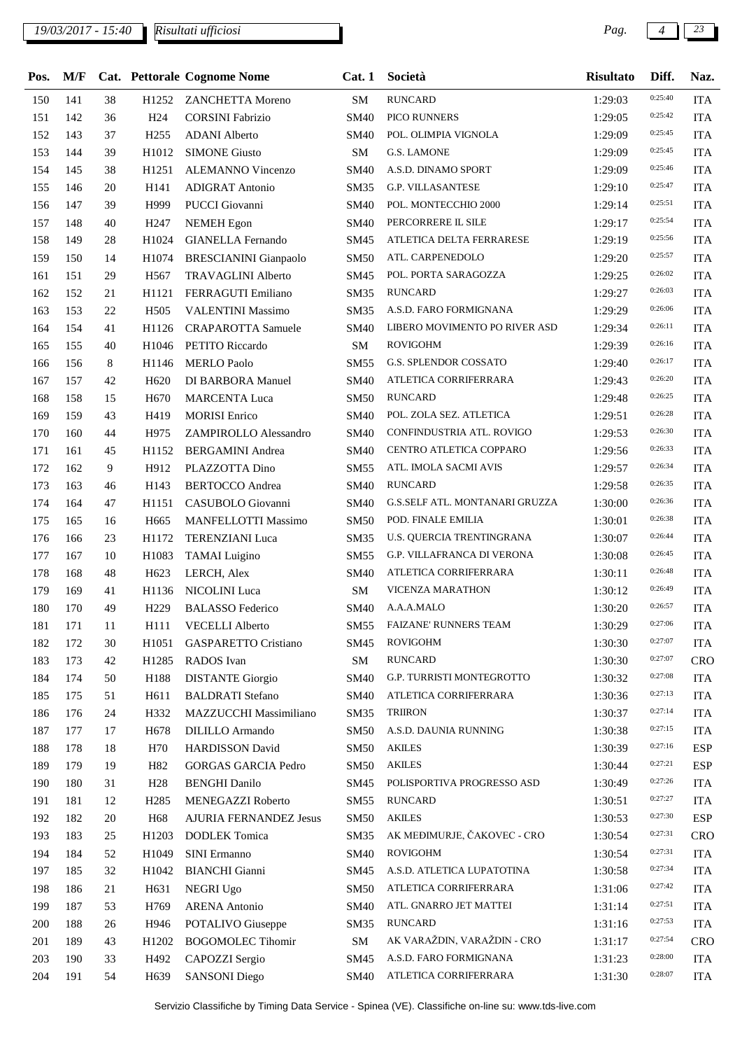| Pos. | M/F     |    |                   | Cat. Pettorale Cognome Nome  | Cat.1       | Società                           | <b>Risultato</b> | Diff.   | Naz.       |
|------|---------|----|-------------------|------------------------------|-------------|-----------------------------------|------------------|---------|------------|
| 150  | 141     | 38 | H <sub>1252</sub> | <b>ZANCHETTA Moreno</b>      | SM          | <b>RUNCARD</b>                    | 1:29:03          | 0:25:40 | <b>ITA</b> |
| 151  | 142     | 36 | H <sub>24</sub>   | <b>CORSINI Fabrizio</b>      | <b>SM40</b> | PICO RUNNERS                      | 1:29:05          | 0:25:42 | <b>ITA</b> |
| 152  | 143     | 37 | H <sub>255</sub>  | <b>ADANI</b> Alberto         | <b>SM40</b> | POL. OLIMPIA VIGNOLA              | 1:29:09          | 0:25:45 | <b>ITA</b> |
| 153  | 144     | 39 | H1012             | <b>SIMONE Giusto</b>         | SM          | <b>G.S. LAMONE</b>                | 1:29:09          | 0:25:45 | <b>ITA</b> |
| 154  | 145     | 38 | H1251             | <b>ALEMANNO Vincenzo</b>     | <b>SM40</b> | A.S.D. DINAMO SPORT               | 1:29:09          | 0:25:46 | <b>ITA</b> |
| 155  | 146     | 20 | H141              | <b>ADIGRAT Antonio</b>       | SM35        | <b>G.P. VILLASANTESE</b>          | 1:29:10          | 0:25:47 | <b>ITA</b> |
| 156  | 147     | 39 | H999              | PUCCI Giovanni               | <b>SM40</b> | POL. MONTECCHIO 2000              | 1:29:14          | 0:25:51 | <b>ITA</b> |
| 157  | 148     | 40 | H <sub>247</sub>  | <b>NEMEH</b> Egon            | <b>SM40</b> | PERCORRERE IL SILE                | 1:29:17          | 0:25:54 | <b>ITA</b> |
| 158  | 149     | 28 | H1024             | <b>GIANELLA Fernando</b>     | SM45        | ATLETICA DELTA FERRARESE          | 1:29:19          | 0:25:56 | <b>ITA</b> |
| 159  | 150     | 14 | H1074             | <b>BRESCIANINI</b> Gianpaolo | <b>SM50</b> | ATL. CARPENEDOLO                  | 1:29:20          | 0:25:57 | <b>ITA</b> |
| 161  | 151     | 29 | H <sub>567</sub>  | <b>TRAVAGLINI Alberto</b>    | SM45        | POL. PORTA SARAGOZZA              | 1:29:25          | 0:26:02 | <b>ITA</b> |
| 162  | 152     | 21 | H <sub>1121</sub> | FERRAGUTI Emiliano           | SM35        | <b>RUNCARD</b>                    | 1:29:27          | 0:26:03 | <b>ITA</b> |
| 163  | 153     | 22 | H <sub>505</sub>  | <b>VALENTINI Massimo</b>     | <b>SM35</b> | A.S.D. FARO FORMIGNANA            | 1:29:29          | 0:26:06 | <b>ITA</b> |
| 164  | 154     | 41 | H1126             | <b>CRAPAROTTA Samuele</b>    | <b>SM40</b> | LIBERO MOVIMENTO PO RIVER ASD     | 1:29:34          | 0:26:11 | <b>ITA</b> |
| 165  | 155     | 40 | H1046             | PETITO Riccardo              | SM          | <b>ROVIGOHM</b>                   | 1:29:39          | 0:26:16 | <b>ITA</b> |
| 166  | 156     | 8  | H <sub>1146</sub> | <b>MERLO Paolo</b>           | <b>SM55</b> | G.S. SPLENDOR COSSATO             | 1:29:40          | 0:26:17 | <b>ITA</b> |
| 167  | 157     | 42 | H <sub>620</sub>  | DI BARBORA Manuel            | <b>SM40</b> | ATLETICA CORRIFERRARA             | 1:29:43          | 0:26:20 | <b>ITA</b> |
| 168  | 158     | 15 | H <sub>670</sub>  | <b>MARCENTA Luca</b>         | <b>SM50</b> | <b>RUNCARD</b>                    | 1:29:48          | 0:26:25 | <b>ITA</b> |
| 169  | 159     | 43 | H419              | <b>MORISI</b> Enrico         | <b>SM40</b> | POL. ZOLA SEZ. ATLETICA           | 1:29:51          | 0:26:28 | <b>ITA</b> |
| 170  | 160     | 44 | H975              | ZAMPIROLLO Alessandro        | <b>SM40</b> | CONFINDUSTRIA ATL. ROVIGO         | 1:29:53          | 0:26:30 | <b>ITA</b> |
| 171  | 161     | 45 | H <sub>1152</sub> | <b>BERGAMINI</b> Andrea      | <b>SM40</b> | CENTRO ATLETICA COPPARO           | 1:29:56          | 0:26:33 | <b>ITA</b> |
| 172  | 162     | 9  | H912              | PLAZZOTTA Dino               | <b>SM55</b> | ATL. IMOLA SACMI AVIS             | 1:29:57          | 0:26:34 | <b>ITA</b> |
| 173  | 163     | 46 | H143              | <b>BERTOCCO</b> Andrea       | <b>SM40</b> | <b>RUNCARD</b>                    | 1:29:58          | 0:26:35 | <b>ITA</b> |
| 174  | 164     | 47 | H <sub>1151</sub> | CASUBOLO Giovanni            | <b>SM40</b> | G.S.SELF ATL. MONTANARI GRUZZA    | 1:30:00          | 0:26:36 | <b>ITA</b> |
| 175  | 165     | 16 | H <sub>665</sub>  | MANFELLOTTI Massimo          | <b>SM50</b> | POD. FINALE EMILIA                | 1:30:01          | 0:26:38 | <b>ITA</b> |
| 176  | 166     | 23 | H1172             | <b>TERENZIANI Luca</b>       | <b>SM35</b> | U.S. QUERCIA TRENTINGRANA         | 1:30:07          | 0:26:44 | <b>ITA</b> |
| 177  | 167     | 10 | H1083             | <b>TAMAI</b> Luigino         | SM55        | <b>G.P. VILLAFRANCA DI VERONA</b> | 1:30:08          | 0:26:45 | <b>ITA</b> |
| 178  | 168     | 48 | H <sub>623</sub>  | LERCH, Alex                  | <b>SM40</b> | ATLETICA CORRIFERRARA             | 1:30:11          | 0:26:48 | <b>ITA</b> |
| 179  | 169     | 41 | H1136             | NICOLINI Luca                | SM          | <b>VICENZA MARATHON</b>           | 1:30:12          | 0:26:49 | <b>ITA</b> |
| 180  | 170     | 49 | H <sub>229</sub>  | <b>BALASSO Federico</b>      | <b>SM40</b> | A.A.A.MALO                        | 1:30:20          | 0:26:57 | <b>ITA</b> |
|      | 181 171 | 11 | H111              | <b>VECELLI Alberto</b>       | SM55        | FAIZANE' RUNNERS TEAM             | 1:30:29          | 0:27:06 | <b>ITA</b> |
| 182  | 172     | 30 |                   | H1051 GASPARETTO Cristiano   | SM45        | <b>ROVIGOHM</b>                   | 1:30:30          | 0:27:07 | <b>ITA</b> |
| 183  | 173     | 42 | H1285             | RADOS Ivan                   | SM          | <b>RUNCARD</b>                    | 1:30:30          | 0:27:07 | <b>CRO</b> |
| 184  | 174     | 50 | H188              | <b>DISTANTE Giorgio</b>      | <b>SM40</b> | G.P. TURRISTI MONTEGROTTO         | 1:30:32          | 0:27:08 | <b>ITA</b> |
| 185  | 175     | 51 | H611              | <b>BALDRATI</b> Stefano      | <b>SM40</b> | ATLETICA CORRIFERRARA             | 1:30:36          | 0:27:13 | <b>ITA</b> |
| 186  | 176     | 24 | H332              | MAZZUCCHI Massimiliano       | SM35        | <b>TRIIRON</b>                    | 1:30:37          | 0:27:14 | <b>ITA</b> |
| 187  | 177     | 17 | H <sub>678</sub>  | DILILLO Armando              | <b>SM50</b> | A.S.D. DAUNIA RUNNING             | 1:30:38          | 0:27:15 | <b>ITA</b> |
| 188  | 178     | 18 | H70               | HARDISSON David              | <b>SM50</b> | <b>AKILES</b>                     | 1:30:39          | 0:27:16 | <b>ESP</b> |
| 189  | 179     | 19 | H82               | <b>GORGAS GARCIA Pedro</b>   | <b>SM50</b> | <b>AKILES</b>                     | 1:30:44          | 0:27:21 | <b>ESP</b> |
| 190  | 180     | 31 | H <sub>28</sub>   | <b>BENGHI</b> Danilo         | SM45        | POLISPORTIVA PROGRESSO ASD        | 1:30:49          | 0:27:26 | <b>ITA</b> |
| 191  | 181     | 12 | H <sub>2</sub> 85 | MENEGAZZI Roberto            | SM55        | <b>RUNCARD</b>                    | 1:30:51          | 0:27:27 | <b>ITA</b> |
| 192  | 182     | 20 | H <sub>68</sub>   | AJURIA FERNANDEZ Jesus       | <b>SM50</b> | <b>AKILES</b>                     | 1:30:53          | 0:27:30 | <b>ESP</b> |
| 193  | 183     | 25 | H1203             | <b>DODLEK</b> Tomica         | SM35        | AK MEĐIMURJE, ČAKOVEC - CRO       | 1:30:54          | 0:27:31 | CRO        |
| 194  | 184     | 52 | H1049             | SINI Ermanno                 | <b>SM40</b> | <b>ROVIGOHM</b>                   | 1:30:54          | 0:27:31 | <b>ITA</b> |
| 197  | 185     | 32 | H1042             | <b>BIANCHI</b> Gianni        | SM45        | A.S.D. ATLETICA LUPATOTINA        | 1:30:58          | 0:27:34 | <b>ITA</b> |
| 198  | 186     | 21 | H631              | <b>NEGRI Ugo</b>             | <b>SM50</b> | ATLETICA CORRIFERRARA             | 1:31:06          | 0:27:42 | <b>ITA</b> |
| 199  | 187     | 53 | H769              | <b>ARENA</b> Antonio         | <b>SM40</b> | ATL. GNARRO JET MATTEI            | 1:31:14          | 0:27:51 | <b>ITA</b> |
| 200  | 188     | 26 | H946              | POTALIVO Giuseppe            | SM35        | <b>RUNCARD</b>                    | 1:31:16          | 0:27:53 | <b>ITA</b> |
| 201  | 189     | 43 | H1202             | <b>BOGOMOLEC Tihomir</b>     | SM          | AK VARAŽDIN, VARAŽDIN - CRO       | 1:31:17          | 0:27:54 | CRO        |
| 203  | 190     | 33 | H492              | CAPOZZI Sergio               | SM45        | A.S.D. FARO FORMIGNANA            | 1:31:23          | 0:28:00 | <b>ITA</b> |
| 204  | 191     | 54 | H639              | <b>SANSONI Diego</b>         | <b>SM40</b> | ATLETICA CORRIFERRARA             | 1:31:30          | 0:28:07 | <b>ITA</b> |
|      |         |    |                   |                              |             |                                   |                  |         |            |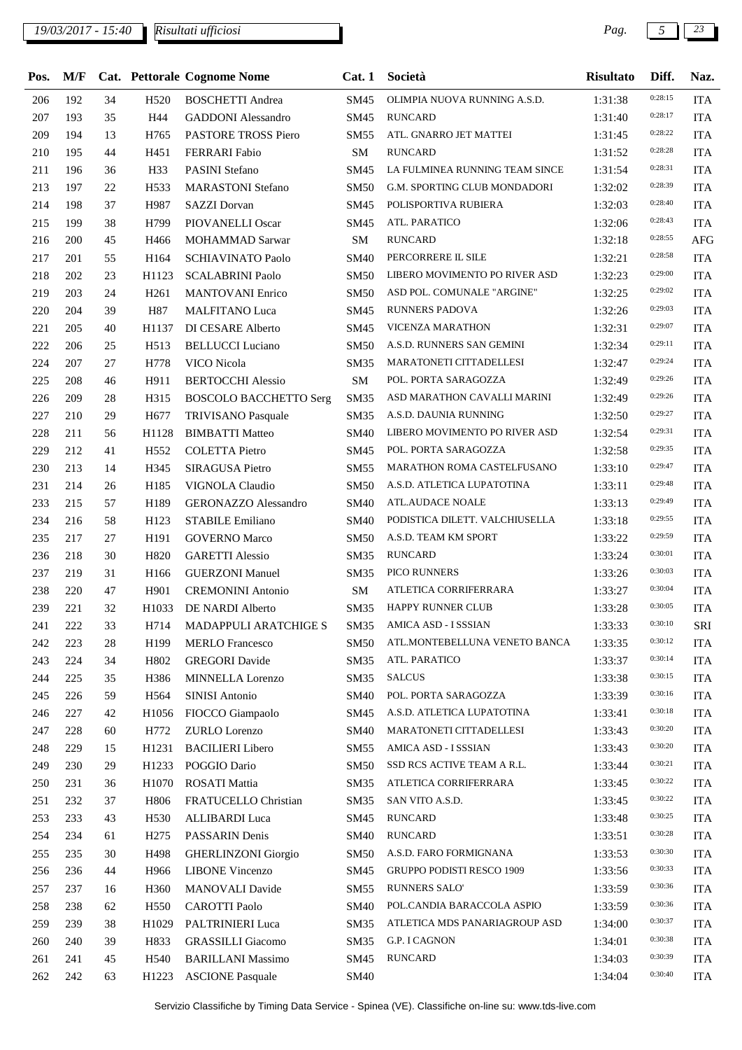# *19/03/2017 - 15:40 Pag. 5 23*

*Risultati ufficiosi*

 $\overline{a}$ 

| Pos. | M/F |    |                   | Cat. Pettorale Cognome Nome   | Cat.1       | Società                          | <b>Risultato</b> | Diff.   | Naz.       |
|------|-----|----|-------------------|-------------------------------|-------------|----------------------------------|------------------|---------|------------|
| 206  | 192 | 34 | H <sub>520</sub>  | <b>BOSCHETTI Andrea</b>       | SM45        | OLIMPIA NUOVA RUNNING A.S.D.     | 1:31:38          | 0:28:15 | <b>ITA</b> |
| 207  | 193 | 35 | H44               | <b>GADDONI</b> Alessandro     | SM45        | <b>RUNCARD</b>                   | 1:31:40          | 0:28:17 | <b>ITA</b> |
| 209  | 194 | 13 | H765              | <b>PASTORE TROSS Piero</b>    | SM55        | ATL. GNARRO JET MATTEI           | 1:31:45          | 0:28:22 | <b>ITA</b> |
| 210  | 195 | 44 | H451              | <b>FERRARI</b> Fabio          | SM          | <b>RUNCARD</b>                   | 1:31:52          | 0:28:28 | <b>ITA</b> |
| 211  | 196 | 36 | H33               | PASINI Stefano                | <b>SM45</b> | LA FULMINEA RUNNING TEAM SINCE   | 1:31:54          | 0:28:31 | <b>ITA</b> |
| 213  | 197 | 22 | H <sub>533</sub>  | <b>MARASTONI</b> Stefano      | <b>SM50</b> | G.M. SPORTING CLUB MONDADORI     | 1:32:02          | 0:28:39 | <b>ITA</b> |
| 214  | 198 | 37 | H987              | <b>SAZZI</b> Dorvan           | SM45        | POLISPORTIVA RUBIERA             | 1:32:03          | 0:28:40 | <b>ITA</b> |
| 215  | 199 | 38 | H799              | PIOVANELLI Oscar              | SM45        | ATL. PARATICO                    | 1:32:06          | 0:28:43 | <b>ITA</b> |
| 216  | 200 | 45 | H466              | MOHAMMAD Sarwar               | SM          | <b>RUNCARD</b>                   | 1:32:18          | 0:28:55 | <b>AFG</b> |
| 217  | 201 | 55 | H164              | <b>SCHIAVINATO Paolo</b>      | <b>SM40</b> | PERCORRERE IL SILE               | 1:32:21          | 0:28:58 | <b>ITA</b> |
| 218  | 202 | 23 | H1123             | <b>SCALABRINI Paolo</b>       | <b>SM50</b> | LIBERO MOVIMENTO PO RIVER ASD    | 1:32:23          | 0:29:00 | <b>ITA</b> |
| 219  | 203 | 24 | H <sub>261</sub>  | <b>MANTOVANI</b> Enrico       | SM50        | ASD POL. COMUNALE "ARGINE"       | 1:32:25          | 0:29:02 | <b>ITA</b> |
| 220  | 204 | 39 | H87               | MALFITANO Luca                | SM45        | <b>RUNNERS PADOVA</b>            | 1:32:26          | 0:29:03 | <b>ITA</b> |
| 221  | 205 | 40 | H1137             | DI CESARE Alberto             | SM45        | VICENZA MARATHON                 | 1:32:31          | 0:29:07 | <b>ITA</b> |
| 222  | 206 | 25 | H513              | <b>BELLUCCI</b> Luciano       | <b>SM50</b> | A.S.D. RUNNERS SAN GEMINI        | 1:32:34          | 0:29:11 | <b>ITA</b> |
| 224  | 207 | 27 | H778              | VICO Nicola                   | SM35        | MARATONETI CITTADELLESI          | 1:32:47          | 0:29:24 | <b>ITA</b> |
| 225  | 208 | 46 | H911              | <b>BERTOCCHI Alessio</b>      | SM          | POL. PORTA SARAGOZZA             | 1:32:49          | 0:29:26 | <b>ITA</b> |
| 226  | 209 | 28 | H315              | <b>BOSCOLO BACCHETTO Serg</b> | SM35        | ASD MARATHON CAVALLI MARINI      | 1:32:49          | 0:29:26 | <b>ITA</b> |
| 227  | 210 | 29 | H677              | <b>TRIVISANO Pasquale</b>     | SM35        | A.S.D. DAUNIA RUNNING            | 1:32:50          | 0:29:27 | <b>ITA</b> |
| 228  | 211 | 56 | H1128             | <b>BIMBATTI Matteo</b>        | <b>SM40</b> | LIBERO MOVIMENTO PO RIVER ASD    | 1:32:54          | 0:29:31 | <b>ITA</b> |
| 229  | 212 | 41 | H <sub>552</sub>  | <b>COLETTA Pietro</b>         | SM45        | POL. PORTA SARAGOZZA             | 1:32:58          | 0:29:35 | <b>ITA</b> |
| 230  | 213 | 14 | H345              | SIRAGUSA Pietro               | SM55        | MARATHON ROMA CASTELFUSANO       | 1:33:10          | 0:29:47 | <b>ITA</b> |
| 231  | 214 | 26 | H185              | VIGNOLA Claudio               | <b>SM50</b> | A.S.D. ATLETICA LUPATOTINA       | 1:33:11          | 0:29:48 | <b>ITA</b> |
| 233  | 215 | 57 | H189              | GERONAZZO Alessandro          | <b>SM40</b> | ATL.AUDACE NOALE                 | 1:33:13          | 0:29:49 | <b>ITA</b> |
| 234  | 216 | 58 | H123              | <b>STABILE Emiliano</b>       | <b>SM40</b> | PODISTICA DILETT. VALCHIUSELLA   | 1:33:18          | 0:29:55 | <b>ITA</b> |
| 235  | 217 | 27 | H191              | <b>GOVERNO Marco</b>          | <b>SM50</b> | A.S.D. TEAM KM SPORT             | 1:33:22          | 0:29:59 | <b>ITA</b> |
| 236  | 218 | 30 | H820              | <b>GARETTI Alessio</b>        | SM35        | <b>RUNCARD</b>                   | 1:33:24          | 0:30:01 | <b>ITA</b> |
| 237  | 219 | 31 | H166              | <b>GUERZONI Manuel</b>        | SM35        | PICO RUNNERS                     | 1:33:26          | 0:30:03 | <b>ITA</b> |
| 238  | 220 | 47 | H901              | <b>CREMONINI</b> Antonio      | SM          | ATLETICA CORRIFERRARA            | 1:33:27          | 0:30:04 | <b>ITA</b> |
| 239  | 221 | 32 | H1033             | DE NARDI Alberto              | SM35        | HAPPY RUNNER CLUB                | 1:33:28          | 0:30:05 | <b>ITA</b> |
| 241  | 222 | 33 |                   | H714 MADAPPULI ARATCHIGE S    | SM35        | AMICA ASD - I SSSIAN             | 1:33:33          | 0:30:10 | SRI        |
| 242  | 223 | 28 | H <sub>199</sub>  | <b>MERLO</b> Francesco        | SM50        | ATL.MONTEBELLUNA VENETO BANCA    | 1:33:35          | 0:30:12 | <b>ITA</b> |
| 243  | 224 | 34 | H802              | <b>GREGORI</b> Davide         | SM35        | ATL. PARATICO                    | 1:33:37          | 0:30:14 | <b>ITA</b> |
| 244  | 225 | 35 | H386              | <b>MINNELLA Lorenzo</b>       | SM35        | <b>SALCUS</b>                    | 1:33:38          | 0:30:15 | <b>ITA</b> |
| 245  | 226 | 59 | H564              | SINISI Antonio                | <b>SM40</b> | POL. PORTA SARAGOZZA             | 1:33:39          | 0:30:16 | <b>ITA</b> |
| 246  | 227 | 42 | H <sub>1056</sub> | FIOCCO Giampaolo              | SM45        | A.S.D. ATLETICA LUPATOTINA       | 1:33:41          | 0:30:18 | <b>ITA</b> |
| 247  | 228 | 60 | H772              | ZURLO Lorenzo                 | <b>SM40</b> | MARATONETI CITTADELLESI          | 1:33:43          | 0:30:20 | <b>ITA</b> |
| 248  | 229 | 15 | H1231             | <b>BACILIERI</b> Libero       | SM55        | AMICA ASD - I SSSIAN             | 1:33:43          | 0:30:20 | <b>ITA</b> |
| 249  | 230 | 29 | H1233             | POGGIO Dario                  | <b>SM50</b> | SSD RCS ACTIVE TEAM A R.L.       | 1:33:44          | 0:30:21 | <b>ITA</b> |
| 250  | 231 | 36 | H1070             | <b>ROSATI Mattia</b>          | SM35        | ATLETICA CORRIFERRARA            | 1:33:45          | 0:30:22 | <b>ITA</b> |
| 251  | 232 | 37 | H806              | FRATUCELLO Christian          | SM35        | SAN VITO A.S.D.                  | 1:33:45          | 0:30:22 | <b>ITA</b> |
| 253  | 233 | 43 | H530              | <b>ALLIBARDI Luca</b>         | SM45        | <b>RUNCARD</b>                   | 1:33:48          | 0:30:25 | <b>ITA</b> |
| 254  | 234 | 61 | H <sub>275</sub>  | PASSARIN Denis                | <b>SM40</b> | <b>RUNCARD</b>                   | 1:33:51          | 0:30:28 | <b>ITA</b> |
| 255  | 235 | 30 | H498              | <b>GHERLINZONI</b> Giorgio    | <b>SM50</b> | A.S.D. FARO FORMIGNANA           | 1:33:53          | 0:30:30 | <b>ITA</b> |
| 256  | 236 | 44 | H966              | <b>LIBONE</b> Vincenzo        | SM45        | <b>GRUPPO PODISTI RESCO 1909</b> | 1:33:56          | 0:30:33 | <b>ITA</b> |
| 257  | 237 | 16 | H360              | MANOVALI Davide               | SM55        | RUNNERS SALO'                    | 1:33:59          | 0:30:36 | <b>ITA</b> |
| 258  | 238 | 62 | H550              | <b>CAROTTI Paolo</b>          | <b>SM40</b> | POL.CANDIA BARACCOLA ASPIO       | 1:33:59          | 0:30:36 | <b>ITA</b> |
| 259  | 239 | 38 | H1029             | PALTRINIERI Luca              | SM35        | ATLETICA MDS PANARIAGROUP ASD    | 1:34:00          | 0:30:37 | <b>ITA</b> |
| 260  | 240 | 39 | H833              | <b>GRASSILLI</b> Giacomo      | SM35        | G.P. I CAGNON                    | 1:34:01          | 0:30:38 | <b>ITA</b> |
| 261  | 241 | 45 | H540              | <b>BARILLANI Massimo</b>      | SM45        | <b>RUNCARD</b>                   | 1:34:03          | 0:30:39 | <b>ITA</b> |
| 262  | 242 | 63 | H <sub>1223</sub> | <b>ASCIONE Pasquale</b>       | <b>SM40</b> |                                  | 1:34:04          | 0:30:40 | <b>ITA</b> |
|      |     |    |                   |                               |             |                                  |                  |         |            |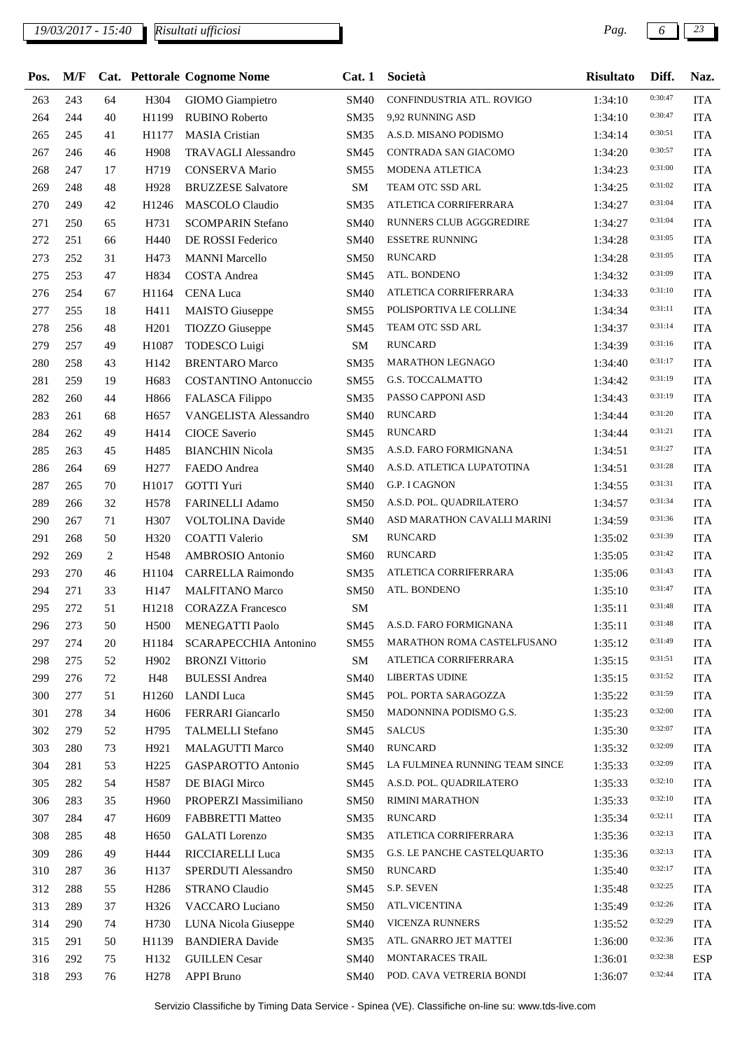# *19/03/2017 - 15:40 Pag. 6 23*

| Pos. | M/F |    |                   | Cat. Pettorale Cognome Nome  | Cat.1       | Società                        | <b>Risultato</b> | Diff.   | Naz.       |
|------|-----|----|-------------------|------------------------------|-------------|--------------------------------|------------------|---------|------------|
| 263  | 243 | 64 | H304              | GIOMO Giampietro             | <b>SM40</b> | CONFINDUSTRIA ATL. ROVIGO      | 1:34:10          | 0:30:47 | <b>ITA</b> |
| 264  | 244 | 40 | H1199             | <b>RUBINO Roberto</b>        | <b>SM35</b> | 9,92 RUNNING ASD               | 1:34:10          | 0:30:47 | <b>ITA</b> |
| 265  | 245 | 41 | H1177             | <b>MASIA</b> Cristian        | SM35        | A.S.D. MISANO PODISMO          | 1:34:14          | 0:30:51 | <b>ITA</b> |
| 267  | 246 | 46 | H908              | TRAVAGLI Alessandro          | SM45        | CONTRADA SAN GIACOMO           | 1:34:20          | 0:30:57 | <b>ITA</b> |
| 268  | 247 | 17 | H719              | CONSERVA Mario               | SM55        | MODENA ATLETICA                | 1:34:23          | 0:31:00 | <b>ITA</b> |
| 269  | 248 | 48 | H928              | <b>BRUZZESE Salvatore</b>    | SM          | TEAM OTC SSD ARL               | 1:34:25          | 0:31:02 | <b>ITA</b> |
| 270  | 249 | 42 | H1246             | <b>MASCOLO Claudio</b>       | SM35        | ATLETICA CORRIFERRARA          | 1:34:27          | 0:31:04 | <b>ITA</b> |
| 271  | 250 | 65 | H731              | <b>SCOMPARIN Stefano</b>     | <b>SM40</b> | RUNNERS CLUB AGGGREDIRE        | 1:34:27          | 0:31:04 | <b>ITA</b> |
| 272  | 251 | 66 | H440              | DE ROSSI Federico            | <b>SM40</b> | <b>ESSETRE RUNNING</b>         | 1:34:28          | 0:31:05 | <b>ITA</b> |
| 273  | 252 | 31 | H473              | <b>MANNI Marcello</b>        | <b>SM50</b> | <b>RUNCARD</b>                 | 1:34:28          | 0:31:05 | <b>ITA</b> |
| 275  | 253 | 47 | H834              | COSTA Andrea                 | SM45        | ATL. BONDENO                   | 1:34:32          | 0:31:09 | <b>ITA</b> |
| 276  | 254 | 67 | H1164             | CENA Luca                    | <b>SM40</b> | ATLETICA CORRIFERRARA          | 1:34:33          | 0:31:10 | <b>ITA</b> |
| 277  | 255 | 18 | H411              | <b>MAISTO</b> Giuseppe       | SM55        | POLISPORTIVA LE COLLINE        | 1:34:34          | 0:31:11 | <b>ITA</b> |
| 278  | 256 | 48 | H <sub>201</sub>  | TIOZZO Giuseppe              | SM45        | TEAM OTC SSD ARL               | 1:34:37          | 0:31:14 | <b>ITA</b> |
| 279  | 257 | 49 | H1087             | TODESCO Luigi                | ${\bf SM}$  | <b>RUNCARD</b>                 | 1:34:39          | 0:31:16 | <b>ITA</b> |
| 280  | 258 | 43 | H142              | <b>BRENTARO Marco</b>        | SM35        | MARATHON LEGNAGO               | 1:34:40          | 0:31:17 | <b>ITA</b> |
| 281  | 259 | 19 | H683              | <b>COSTANTINO</b> Antonuccio | <b>SM55</b> | <b>G.S. TOCCALMATTO</b>        | 1:34:42          | 0:31:19 | <b>ITA</b> |
| 282  | 260 | 44 | H866              | FALASCA Filippo              | SM35        | PASSO CAPPONI ASD              | 1:34:43          | 0:31:19 | <b>ITA</b> |
| 283  | 261 | 68 | H <sub>657</sub>  | <b>VANGELISTA Alessandro</b> | SM40        | <b>RUNCARD</b>                 | 1:34:44          | 0:31:20 | <b>ITA</b> |
| 284  | 262 | 49 | H414              | CIOCE Saverio                | SM45        | <b>RUNCARD</b>                 | 1:34:44          | 0:31:21 | <b>ITA</b> |
| 285  | 263 | 45 | H485              | <b>BIANCHIN Nicola</b>       | SM35        | A.S.D. FARO FORMIGNANA         | 1:34:51          | 0:31:27 | <b>ITA</b> |
| 286  | 264 | 69 | H <sub>277</sub>  | FAEDO Andrea                 | SM40        | A.S.D. ATLETICA LUPATOTINA     | 1:34:51          | 0:31:28 | <b>ITA</b> |
| 287  | 265 | 70 | H1017             | GOTTI Yuri                   | <b>SM40</b> | G.P. I CAGNON                  | 1:34:55          | 0:31:31 | <b>ITA</b> |
| 289  | 266 | 32 | H <sub>578</sub>  | FARINELLI Adamo              | <b>SM50</b> | A.S.D. POL. QUADRILATERO       | 1:34:57          | 0:31:34 | <b>ITA</b> |
| 290  | 267 | 71 | H307              | <b>VOLTOLINA Davide</b>      | SM40        | ASD MARATHON CAVALLI MARINI    | 1:34:59          | 0:31:36 | <b>ITA</b> |
| 291  | 268 | 50 | H320              | <b>COATTI Valerio</b>        | SM          | <b>RUNCARD</b>                 | 1:35:02          | 0:31:39 | <b>ITA</b> |
| 292  | 269 | 2  | H548              | <b>AMBROSIO</b> Antonio      | SM60        | <b>RUNCARD</b>                 | 1:35:05          | 0:31:42 | <b>ITA</b> |
| 293  | 270 | 46 | H1104             | CARRELLA Raimondo            | <b>SM35</b> | ATLETICA CORRIFERRARA          | 1:35:06          | 0:31:43 | <b>ITA</b> |
| 294  | 271 | 33 | H147              | <b>MALFITANO Marco</b>       | <b>SM50</b> | ATL. BONDENO                   | 1:35:10          | 0:31:47 | <b>ITA</b> |
| 295  | 272 | 51 | H1218             | <b>CORAZZA Francesco</b>     | ${\bf SM}$  |                                | 1:35:11          | 0:31:48 | <b>ITA</b> |
| 296  | 273 | 50 |                   | H500 MENEGATTI Paolo         |             | SM45 A.S.D. FARO FORMIGNANA    | 1:35:11          | 0:31:48 | <b>ITA</b> |
| 297  | 274 | 20 | H1184             | <b>SCARAPECCHIA Antonino</b> | SM55        | MARATHON ROMA CASTELFUSANO     | 1:35:12          | 0:31:49 | <b>ITA</b> |
| 298  | 275 | 52 | H902              | <b>BRONZI Vittorio</b>       | SM          | ATLETICA CORRIFERRARA          | 1:35:15          | 0:31:51 | <b>ITA</b> |
| 299  | 276 | 72 | H48               | <b>BULESSI</b> Andrea        | SM40        | <b>LIBERTAS UDINE</b>          | 1:35:15          | 0:31:52 | <b>ITA</b> |
| 300  | 277 | 51 | H <sub>1260</sub> | <b>LANDI</b> Luca            | SM45        | POL. PORTA SARAGOZZA           | 1:35:22          | 0:31:59 | <b>ITA</b> |
| 301  | 278 | 34 | H <sub>606</sub>  | FERRARI Giancarlo            | <b>SM50</b> | MADONNINA PODISMO G.S.         | 1:35:23          | 0:32:00 | <b>ITA</b> |
| 302  | 279 | 52 | H795              | <b>TALMELLI Stefano</b>      | SM45        | <b>SALCUS</b>                  | 1:35:30          | 0:32:07 | <b>ITA</b> |
| 303  | 280 | 73 | H921              | <b>MALAGUTTI Marco</b>       | <b>SM40</b> | <b>RUNCARD</b>                 | 1:35:32          | 0:32:09 | <b>ITA</b> |
| 304  | 281 | 53 | H <sub>225</sub>  | GASPAROTTO Antonio           | SM45        | LA FULMINEA RUNNING TEAM SINCE | 1:35:33          | 0:32:09 | <b>ITA</b> |
| 305  | 282 | 54 | H <sub>587</sub>  | DE BIAGI Mirco               | SM45        | A.S.D. POL. QUADRILATERO       | 1:35:33          | 0:32:10 | <b>ITA</b> |
| 306  | 283 | 35 | H960              | PROPERZI Massimiliano        | <b>SM50</b> | <b>RIMINI MARATHON</b>         | 1:35:33          | 0:32:10 | <b>ITA</b> |
| 307  | 284 | 47 | H <sub>609</sub>  | FABBRETTI Matteo             | SM35        | <b>RUNCARD</b>                 | 1:35:34          | 0:32:11 | <b>ITA</b> |
| 308  | 285 | 48 | H <sub>650</sub>  | <b>GALATI</b> Lorenzo        | <b>SM35</b> | ATLETICA CORRIFERRARA          | 1:35:36          | 0:32:13 | <b>ITA</b> |
| 309  | 286 | 49 | H444              | RICCIARELLI Luca             | SM35        | G.S. LE PANCHE CASTELQUARTO    | 1:35:36          | 0:32:13 | <b>ITA</b> |
| 310  | 287 | 36 | H137              | SPERDUTI Alessandro          | <b>SM50</b> | <b>RUNCARD</b>                 | 1:35:40          | 0:32:17 | <b>ITA</b> |
| 312  | 288 | 55 | H <sub>286</sub>  | <b>STRANO</b> Claudio        | SM45        | S.P. SEVEN                     | 1:35:48          | 0:32:25 | <b>ITA</b> |
| 313  | 289 | 37 | H326              | VACCARO Luciano              | <b>SM50</b> | ATL.VICENTINA                  | 1:35:49          | 0:32:26 | <b>ITA</b> |
| 314  | 290 | 74 | H730              | LUNA Nicola Giuseppe         | <b>SM40</b> | VICENZA RUNNERS                | 1:35:52          | 0:32:29 | <b>ITA</b> |
| 315  | 291 | 50 | H1139             | <b>BANDIERA</b> Davide       | SM35        | ATL. GNARRO JET MATTEI         | 1:36:00          | 0:32:36 | <b>ITA</b> |
| 316  | 292 | 75 | H132              | <b>GUILLEN</b> Cesar         | <b>SM40</b> | MONTARACES TRAIL               | 1:36:01          | 0:32:38 | <b>ESP</b> |
| 318  | 293 | 76 | H <sub>278</sub>  | <b>APPI Bruno</b>            | <b>SM40</b> | POD. CAVA VETRERIA BONDI       | 1:36:07          | 0:32:44 | <b>ITA</b> |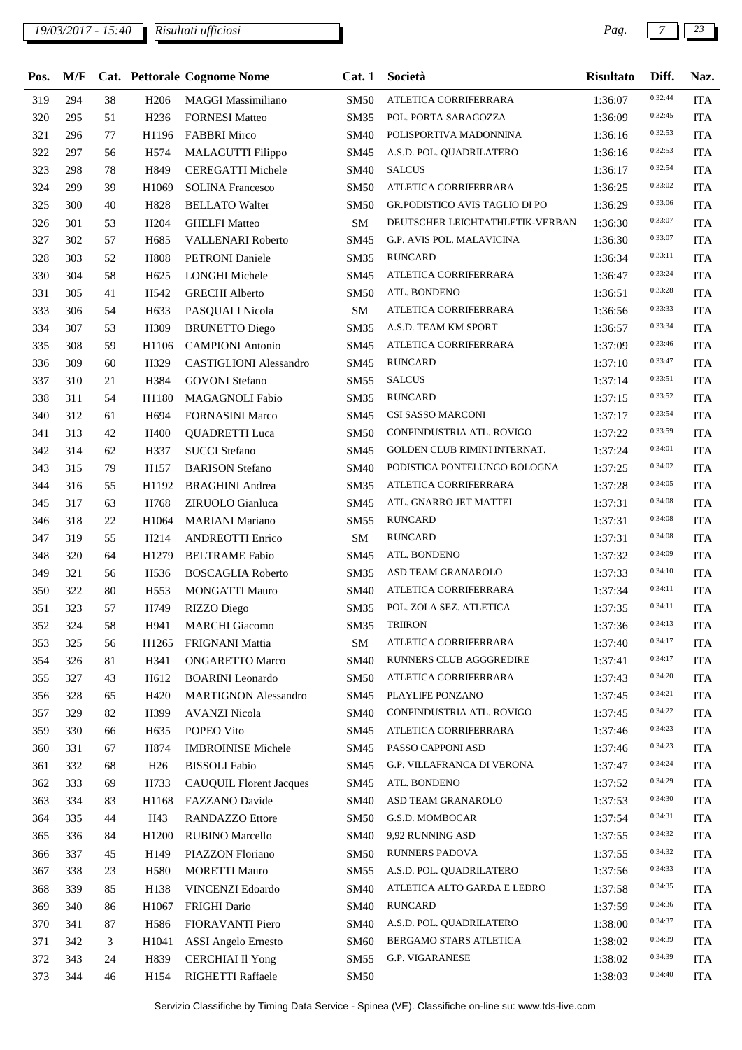| Pos. | M/F |    |                   | Cat. Pettorale Cognome Nome    | Cat.1       | Società                         | <b>Risultato</b> | Diff.   | Naz.       |
|------|-----|----|-------------------|--------------------------------|-------------|---------------------------------|------------------|---------|------------|
| 319  | 294 | 38 | H <sub>206</sub>  | <b>MAGGI Massimiliano</b>      | <b>SM50</b> | ATLETICA CORRIFERRARA           | 1:36:07          | 0:32:44 | <b>ITA</b> |
| 320  | 295 | 51 | H <sub>236</sub>  | <b>FORNESI Matteo</b>          | <b>SM35</b> | POL. PORTA SARAGOZZA            | 1:36:09          | 0:32:45 | <b>ITA</b> |
| 321  | 296 | 77 | H1196             | <b>FABBRI Mirco</b>            | <b>SM40</b> | POLISPORTIVA MADONNINA          | 1:36:16          | 0:32:53 | <b>ITA</b> |
| 322  | 297 | 56 | H574              | MALAGUTTI Filippo              | SM45        | A.S.D. POL. QUADRILATERO        | 1:36:16          | 0:32:53 | <b>ITA</b> |
| 323  | 298 | 78 | H849              | <b>CEREGATTI Michele</b>       | <b>SM40</b> | <b>SALCUS</b>                   | 1:36:17          | 0:32:54 | <b>ITA</b> |
| 324  | 299 | 39 | H1069             | <b>SOLINA Francesco</b>        | <b>SM50</b> | ATLETICA CORRIFERRARA           | 1:36:25          | 0:33:02 | <b>ITA</b> |
| 325  | 300 | 40 | H828              | <b>BELLATO Walter</b>          | <b>SM50</b> | GR.PODISTICO AVIS TAGLIO DI PO  | 1:36:29          | 0:33:06 | <b>ITA</b> |
| 326  | 301 | 53 | H <sub>204</sub>  | <b>GHELFI Matteo</b>           | ${\bf SM}$  | DEUTSCHER LEICHTATHLETIK-VERBAN | 1:36:30          | 0:33:07 | <b>ITA</b> |
| 327  | 302 | 57 | H685              | VALLENARI Roberto              | SM45        | G.P. AVIS POL. MALAVICINA       | 1:36:30          | 0:33:07 | <b>ITA</b> |
| 328  | 303 | 52 | H808              | <b>PETRONI</b> Daniele         | <b>SM35</b> | <b>RUNCARD</b>                  | 1:36:34          | 0:33:11 | <b>ITA</b> |
| 330  | 304 | 58 | H <sub>625</sub>  | <b>LONGHI</b> Michele          | SM45        | ATLETICA CORRIFERRARA           | 1:36:47          | 0:33:24 | <b>ITA</b> |
| 331  | 305 | 41 | H542              | <b>GRECHI</b> Alberto          | <b>SM50</b> | ATL. BONDENO                    | 1:36:51          | 0:33:28 | <b>ITA</b> |
| 333  | 306 | 54 | H633              | PASQUALI Nicola                | SM          | ATLETICA CORRIFERRARA           | 1:36:56          | 0:33:33 | <b>ITA</b> |
| 334  | 307 | 53 | H309              | <b>BRUNETTO Diego</b>          | SM35        | A.S.D. TEAM KM SPORT            | 1:36:57          | 0:33:34 | <b>ITA</b> |
| 335  | 308 | 59 | H1106             | <b>CAMPIONI</b> Antonio        | SM45        | ATLETICA CORRIFERRARA           | 1:37:09          | 0:33:46 | <b>ITA</b> |
| 336  | 309 | 60 | H329              | <b>CASTIGLIONI</b> Alessandro  | SM45        | <b>RUNCARD</b>                  | 1:37:10          | 0:33:47 | <b>ITA</b> |
| 337  | 310 | 21 | H384              | <b>GOVONI</b> Stefano          | <b>SM55</b> | <b>SALCUS</b>                   | 1:37:14          | 0:33:51 | <b>ITA</b> |
| 338  | 311 | 54 | H <sub>1180</sub> | MAGAGNOLI Fabio                | <b>SM35</b> | <b>RUNCARD</b>                  | 1:37:15          | 0:33:52 | <b>ITA</b> |
| 340  | 312 | 61 | H694              | <b>FORNASINI Marco</b>         | SM45        | CSI SASSO MARCONI               | 1:37:17          | 0:33:54 | <b>ITA</b> |
| 341  | 313 | 42 | H400              | <b>QUADRETTI Luca</b>          | <b>SM50</b> | CONFINDUSTRIA ATL. ROVIGO       | 1:37:22          | 0:33:59 | <b>ITA</b> |
| 342  | 314 | 62 | H337              | <b>SUCCI</b> Stefano           | SM45        | GOLDEN CLUB RIMINI INTERNAT.    | 1:37:24          | 0:34:01 | <b>ITA</b> |
| 343  | 315 | 79 | H157              | <b>BARISON</b> Stefano         | <b>SM40</b> | PODISTICA PONTELUNGO BOLOGNA    | 1:37:25          | 0:34:02 | <b>ITA</b> |
| 344  | 316 | 55 | H1192             | <b>BRAGHINI</b> Andrea         | <b>SM35</b> | ATLETICA CORRIFERRARA           | 1:37:28          | 0:34:05 | <b>ITA</b> |
| 345  | 317 | 63 | H768              | ZIRUOLO Gianluca               | SM45        | ATL. GNARRO JET MATTEI          | 1:37:31          | 0:34:08 | <b>ITA</b> |
| 346  | 318 | 22 | H1064             | <b>MARIANI</b> Mariano         | <b>SM55</b> | <b>RUNCARD</b>                  | 1:37:31          | 0:34:08 | <b>ITA</b> |
| 347  | 319 | 55 | H <sub>214</sub>  | <b>ANDREOTTI Enrico</b>        | SM          | <b>RUNCARD</b>                  | 1:37:31          | 0:34:08 | <b>ITA</b> |
| 348  | 320 | 64 | H1279             | <b>BELTRAME</b> Fabio          | SM45        | ATL. BONDENO                    | 1:37:32          | 0:34:09 | <b>ITA</b> |
| 349  | 321 | 56 | H536              | <b>BOSCAGLIA Roberto</b>       | <b>SM35</b> | ASD TEAM GRANAROLO              | 1:37:33          | 0:34:10 | <b>ITA</b> |
| 350  | 322 | 80 | H <sub>553</sub>  | <b>MONGATTI Mauro</b>          | <b>SM40</b> | ATLETICA CORRIFERRARA           | 1:37:34          | 0:34:11 | <b>ITA</b> |
| 351  | 323 | 57 | H749              | <b>RIZZO</b> Diego             | SM35        | POL. ZOLA SEZ. ATLETICA         | 1:37:35          | 0:34:11 | <b>ITA</b> |
| 352  | 324 | 58 | H941              | <b>MARCHI</b> Giacomo          | SM35        | <b>TRIIRON</b>                  | 1:37:36          | 0:34:13 | <b>ITA</b> |
| 353  | 325 | 56 |                   | H1265 FRIGNANI Mattia          | SM          | ATLETICA CORRIFERRARA           | 1:37:40          | 0:34:17 | <b>ITA</b> |
| 354  | 326 | 81 | H341              | <b>ONGARETTO Marco</b>         | <b>SM40</b> | RUNNERS CLUB AGGGREDIRE         | 1:37:41          | 0:34:17 | <b>ITA</b> |
| 355  | 327 | 43 | H612              | <b>BOARINI</b> Leonardo        | <b>SM50</b> | ATLETICA CORRIFERRARA           | 1:37:43          | 0:34:20 | <b>ITA</b> |
| 356  | 328 | 65 | H420              | <b>MARTIGNON Alessandro</b>    | SM45        | PLAYLIFE PONZANO                | 1:37:45          | 0:34:21 | <b>ITA</b> |
| 357  | 329 | 82 | H399              | <b>AVANZI Nicola</b>           | SM40        | CONFINDUSTRIA ATL. ROVIGO       | 1:37:45          | 0:34:22 | <b>ITA</b> |
| 359  | 330 | 66 | H <sub>6</sub> 35 | POPEO Vito                     | SM45        | ATLETICA CORRIFERRARA           | 1:37:46          | 0:34:23 | <b>ITA</b> |
| 360  | 331 | 67 | H874              | <b>IMBROINISE Michele</b>      | SM45        | PASSO CAPPONI ASD               | 1:37:46          | 0:34:23 | <b>ITA</b> |
| 361  | 332 | 68 | H <sub>26</sub>   | <b>BISSOLI</b> Fabio           | SM45        | G.P. VILLAFRANCA DI VERONA      | 1:37:47          | 0:34:24 | <b>ITA</b> |
| 362  | 333 | 69 | H733              | <b>CAUQUIL Florent Jacques</b> | SM45        | ATL. BONDENO                    | 1:37:52          | 0:34:29 | <b>ITA</b> |
| 363  | 334 | 83 | H1168             | FAZZANO Davide                 | <b>SM40</b> | ASD TEAM GRANAROLO              | 1:37:53          | 0:34:30 | <b>ITA</b> |
| 364  | 335 | 44 | H43               | <b>RANDAZZO Ettore</b>         | <b>SM50</b> | G.S.D. MOMBOCAR                 | 1:37:54          | 0:34:31 | <b>ITA</b> |
| 365  | 336 | 84 | H1200             | <b>RUBINO Marcello</b>         | <b>SM40</b> | 9,92 RUNNING ASD                | 1:37:55          | 0:34:32 | <b>ITA</b> |
| 366  | 337 | 45 | H <sub>149</sub>  | PIAZZON Floriano               | <b>SM50</b> | RUNNERS PADOVA                  | 1:37:55          | 0:34:32 | <b>ITA</b> |
| 367  | 338 | 23 | H580              | <b>MORETTI Mauro</b>           | SM55        | A.S.D. POL. QUADRILATERO        | 1:37:56          | 0:34:33 | <b>ITA</b> |
| 368  | 339 | 85 | H138              | VINCENZI Edoardo               | <b>SM40</b> | ATLETICA ALTO GARDA E LEDRO     | 1:37:58          | 0:34:35 | <b>ITA</b> |
| 369  | 340 | 86 | H1067             | FRIGHI Dario                   | <b>SM40</b> | <b>RUNCARD</b>                  | 1:37:59          | 0:34:36 | <b>ITA</b> |
| 370  | 341 | 87 | H586              | FIORAVANTI Piero               | <b>SM40</b> | A.S.D. POL. QUADRILATERO        | 1:38:00          | 0:34:37 | <b>ITA</b> |
| 371  | 342 | 3  | H1041             | <b>ASSI</b> Angelo Ernesto     | <b>SM60</b> | BERGAMO STARS ATLETICA          | 1:38:02          | 0:34:39 | <b>ITA</b> |
| 372  | 343 | 24 | H839              | <b>CERCHIAI Il Yong</b>        | SM55        | G.P. VIGARANESE                 | 1:38:02          | 0:34:39 | <b>ITA</b> |
| 373  | 344 | 46 | H <sub>154</sub>  | RIGHETTI Raffaele              | <b>SM50</b> |                                 | 1:38:03          | 0:34:40 | <b>ITA</b> |
|      |     |    |                   |                                |             |                                 |                  |         |            |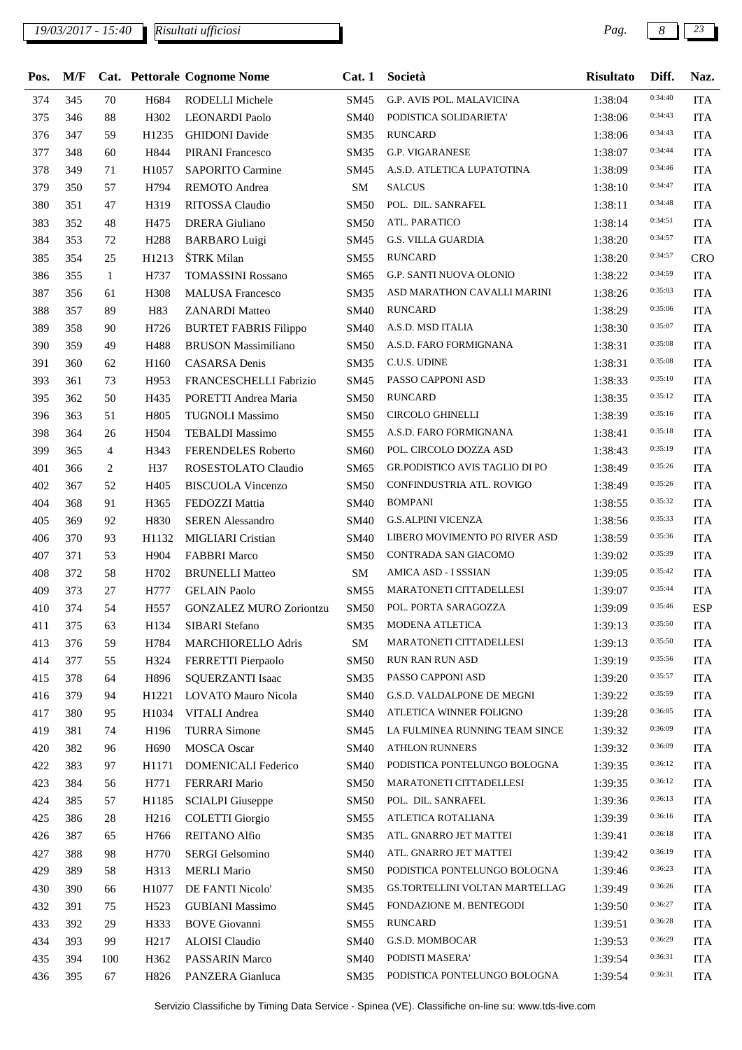| Pos. | M/F |                |                  | Cat. Pettorale Cognome Nome    | Cat.1       | Società                        | <b>Risultato</b> | Diff.   | Naz.       |
|------|-----|----------------|------------------|--------------------------------|-------------|--------------------------------|------------------|---------|------------|
| 374  | 345 | 70             | H684             | RODELLI Michele                | SM45        | G.P. AVIS POL. MALAVICINA      | 1:38:04          | 0:34:40 | <b>ITA</b> |
| 375  | 346 | 88             | H302             | <b>LEONARDI Paolo</b>          | <b>SM40</b> | PODISTICA SOLIDARIETA'         | 1:38:06          | 0:34:43 | <b>ITA</b> |
| 376  | 347 | 59             | H1235            | <b>GHIDONI</b> Davide          | <b>SM35</b> | <b>RUNCARD</b>                 | 1:38:06          | 0:34:43 | <b>ITA</b> |
| 377  | 348 | 60             | H844             | <b>PIRANI Francesco</b>        | SM35        | G.P. VIGARANESE                | 1:38:07          | 0:34:44 | <b>ITA</b> |
| 378  | 349 | 71             | H1057            | <b>SAPORITO Carmine</b>        | SM45        | A.S.D. ATLETICA LUPATOTINA     | 1:38:09          | 0:34:46 | <b>ITA</b> |
| 379  | 350 | 57             | H794             | REMOTO Andrea                  | SM          | <b>SALCUS</b>                  | 1:38:10          | 0:34:47 | <b>ITA</b> |
| 380  | 351 | 47             | H319             | RITOSSA Claudio                | <b>SM50</b> | POL. DIL. SANRAFEL             | 1:38:11          | 0:34:48 | <b>ITA</b> |
| 383  | 352 | 48             | H475             | <b>DRERA</b> Giuliano          | <b>SM50</b> | ATL. PARATICO                  | 1:38:14          | 0:34:51 | <b>ITA</b> |
| 384  | 353 | 72             | H <sub>288</sub> | <b>BARBARO Luigi</b>           | SM45        | <b>G.S. VILLA GUARDIA</b>      | 1:38:20          | 0:34:57 | <b>ITA</b> |
| 385  | 354 | 25             | H1213            | ŠTRK Milan                     | SM55        | <b>RUNCARD</b>                 | 1:38:20          | 0:34:57 | CRO        |
| 386  | 355 | $\mathbf{1}$   | H737             | <b>TOMASSINI Rossano</b>       | SM65        | G.P. SANTI NUOVA OLONIO        | 1:38:22          | 0:34:59 | <b>ITA</b> |
| 387  | 356 | 61             | H308             | <b>MALUSA Francesco</b>        | SM35        | ASD MARATHON CAVALLI MARINI    | 1:38:26          | 0:35:03 | <b>ITA</b> |
| 388  | 357 | 89             | H83              | <b>ZANARDI</b> Matteo          | <b>SM40</b> | <b>RUNCARD</b>                 | 1:38:29          | 0:35:06 | <b>ITA</b> |
| 389  | 358 | 90             | H726             | <b>BURTET FABRIS Filippo</b>   | <b>SM40</b> | A.S.D. MSD ITALIA              | 1:38:30          | 0:35:07 | <b>ITA</b> |
| 390  | 359 | 49             | H488             | <b>BRUSON Massimiliano</b>     | <b>SM50</b> | A.S.D. FARO FORMIGNANA         | 1:38:31          | 0:35:08 | <b>ITA</b> |
| 391  | 360 | 62             | H160             | <b>CASARSA</b> Denis           | SM35        | C.U.S. UDINE                   | 1:38:31          | 0:35:08 | <b>ITA</b> |
| 393  | 361 | 73             | H953             | FRANCESCHELLI Fabrizio         | SM45        | PASSO CAPPONI ASD              | 1:38:33          | 0:35:10 | <b>ITA</b> |
| 395  | 362 | 50             | H435             | PORETTI Andrea Maria           | <b>SM50</b> | <b>RUNCARD</b>                 | 1:38:35          | 0:35:12 | <b>ITA</b> |
| 396  | 363 | 51             | H805             | <b>TUGNOLI Massimo</b>         | <b>SM50</b> | CIRCOLO GHINELLI               | 1:38:39          | 0:35:16 | <b>ITA</b> |
| 398  | 364 | 26             | H504             | <b>TEBALDI</b> Massimo         | <b>SM55</b> | A.S.D. FARO FORMIGNANA         | 1:38:41          | 0:35:18 | <b>ITA</b> |
| 399  | 365 | $\overline{4}$ | H343             | FERENDELES Roberto             | <b>SM60</b> | POL. CIRCOLO DOZZA ASD         | 1:38:43          | 0:35:19 | <b>ITA</b> |
| 401  | 366 | $\overline{2}$ | H37              | ROSESTOLATO Claudio            | SM65        | GR.PODISTICO AVIS TAGLIO DI PO | 1:38:49          | 0:35:26 | <b>ITA</b> |
| 402  | 367 | 52             | H405             | <b>BISCUOLA Vincenzo</b>       | <b>SM50</b> | CONFINDUSTRIA ATL. ROVIGO      | 1:38:49          | 0:35:26 | <b>ITA</b> |
| 404  | 368 | 91             | H365             | FEDOZZI Mattia                 | <b>SM40</b> | <b>BOMPANI</b>                 | 1:38:55          | 0:35:32 | <b>ITA</b> |
| 405  | 369 | 92             | H830             | <b>SEREN</b> Alessandro        | <b>SM40</b> | <b>G.S.ALPINI VICENZA</b>      | 1:38:56          | 0:35:33 | <b>ITA</b> |
| 406  | 370 | 93             | H1132            | MIGLIARI Cristian              | <b>SM40</b> | LIBERO MOVIMENTO PO RIVER ASD  | 1:38:59          | 0:35:36 | <b>ITA</b> |
| 407  | 371 | 53             | H904             | <b>FABBRI Marco</b>            | <b>SM50</b> | CONTRADA SAN GIACOMO           | 1:39:02          | 0:35:39 | <b>ITA</b> |
| 408  | 372 | 58             | H702             | <b>BRUNELLI Matteo</b>         | SM          | AMICA ASD - I SSSIAN           | 1:39:05          | 0:35:42 | <b>ITA</b> |
| 409  | 373 | 27             | H777             | <b>GELAIN Paolo</b>            | SM55        | MARATONETI CITTADELLESI        | 1:39:07          | 0:35:44 | <b>ITA</b> |
| 410  | 374 | 54             | H <sub>557</sub> | <b>GONZALEZ MURO Zoriontzu</b> | <b>SM50</b> | POL. PORTA SARAGOZZA           | 1:39:09          | 0:35:46 | <b>ESP</b> |
| 411  | 375 | 63             | H134             | SIBARI Stefano                 | SM35        | MODENA ATLETICA                | 1:39:13          | 0:35:50 | <b>ITA</b> |
| 413  | 376 | 59             | H784             | MARCHIORELLO Adris             | SM          | MARATONETI CITTADELLESI        | 1:39:13          | 0:35:50 | <b>ITA</b> |
| 414  | 377 | 55             | H324             | FERRETTI Pierpaolo             | <b>SM50</b> | RUN RAN RUN ASD                | 1:39:19          | 0:35:56 | <b>ITA</b> |
| 415  | 378 | 64             | H896             | <b>SQUERZANTI Isaac</b>        | SM35        | PASSO CAPPONI ASD              | 1:39:20          | 0:35:57 | <b>ITA</b> |
| 416  | 379 | 94             | H1221            | LOVATO Mauro Nicola            | <b>SM40</b> | G.S.D. VALDALPONE DE MEGNI     | 1:39:22          | 0:35:59 | <b>ITA</b> |
| 417  | 380 | 95             | H1034            | VITALI Andrea                  | <b>SM40</b> | ATLETICA WINNER FOLIGNO        | 1:39:28          | 0:36:05 | <b>ITA</b> |
| 419  | 381 | 74             | H196             | <b>TURRA Simone</b>            | SM45        | LA FULMINEA RUNNING TEAM SINCE | 1:39:32          | 0:36:09 | <b>ITA</b> |
| 420  | 382 | 96             | H <sub>690</sub> | <b>MOSCA</b> Oscar             | <b>SM40</b> | <b>ATHLON RUNNERS</b>          | 1:39:32          | 0:36:09 | <b>ITA</b> |
| 422  | 383 | 97             | H1171            | DOMENICALI Federico            | <b>SM40</b> | PODISTICA PONTELUNGO BOLOGNA   | 1:39:35          | 0:36:12 | <b>ITA</b> |
| 423  | 384 | 56             | H771             | FERRARI Mario                  | <b>SM50</b> | MARATONETI CITTADELLESI        | 1:39:35          | 0:36:12 | <b>ITA</b> |
| 424  | 385 | 57             | H1185            | <b>SCIALPI</b> Giuseppe        | <b>SM50</b> | POL. DIL. SANRAFEL             | 1:39:36          | 0:36:13 | <b>ITA</b> |
| 425  | 386 | 28             | H <sub>216</sub> | <b>COLETTI</b> Giorgio         | SM55        | ATLETICA ROTALIANA             | 1:39:39          | 0:36:16 | <b>ITA</b> |
| 426  | 387 | 65             | H766             | REITANO Alfio                  | SM35        | ATL. GNARRO JET MATTEI         | 1:39:41          | 0:36:18 | <b>ITA</b> |
| 427  | 388 | 98             | H770             | <b>SERGI Gelsomino</b>         | <b>SM40</b> | ATL. GNARRO JET MATTEI         | 1:39:42          | 0:36:19 | <b>ITA</b> |
| 429  | 389 | 58             | H313             | <b>MERLI Mario</b>             | <b>SM50</b> | PODISTICA PONTELUNGO BOLOGNA   | 1:39:46          | 0:36:23 | <b>ITA</b> |
| 430  | 390 | 66             | H1077            | DE FANTI Nicolo'               | SM35        | GS.TORTELLINI VOLTAN MARTELLAG | 1:39:49          | 0:36:26 | <b>ITA</b> |
| 432  | 391 | 75             | H <sub>523</sub> | <b>GUBIANI</b> Massimo         | SM45        | FONDAZIONE M. BENTEGODI        | 1:39:50          | 0:36:27 | <b>ITA</b> |
| 433  | 392 | 29             | H333             | <b>BOVE</b> Giovanni           | SM55        | <b>RUNCARD</b>                 | 1:39:51          | 0:36:28 | <b>ITA</b> |
| 434  | 393 | 99             | H <sub>217</sub> | <b>ALOISI</b> Claudio          | <b>SM40</b> | G.S.D. MOMBOCAR                | 1:39:53          | 0:36:29 | <b>ITA</b> |
| 435  | 394 | 100            | H362             | PASSARIN Marco                 | <b>SM40</b> | PODISTI MASERA'                | 1:39:54          | 0:36:31 | <b>ITA</b> |
| 436  | 395 | 67             | H826             | PANZERA Gianluca               | SM35        | PODISTICA PONTELUNGO BOLOGNA   | 1:39:54          | 0:36:31 | <b>ITA</b> |
|      |     |                |                  |                                |             |                                |                  |         |            |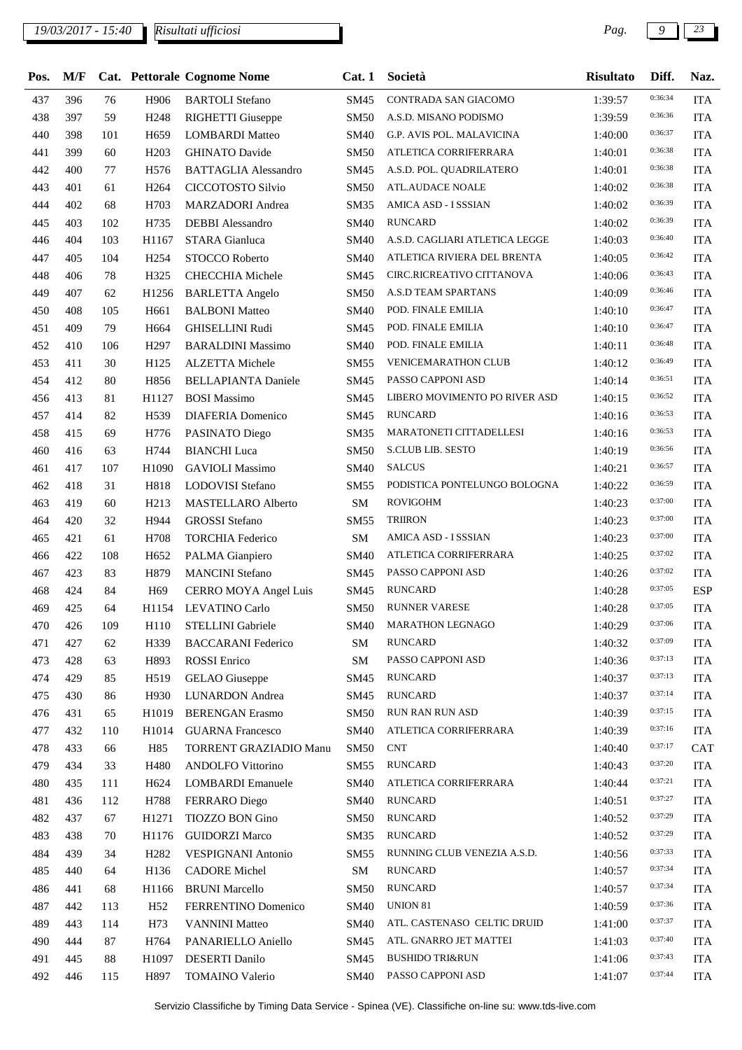# *19/03/2017 - 15:40 Pag. 9 23*

| Pos. | M/F |     |                   | Cat. Pettorale Cognome Nome | Cat.1            | Società                        | <b>Risultato</b> | Diff.   | Naz.       |
|------|-----|-----|-------------------|-----------------------------|------------------|--------------------------------|------------------|---------|------------|
| 437  | 396 | 76  | H906              | <b>BARTOLI</b> Stefano      | SM45             | CONTRADA SAN GIACOMO           | 1:39:57          | 0:36:34 | <b>ITA</b> |
| 438  | 397 | 59  | H <sub>248</sub>  | RIGHETTI Giuseppe           | <b>SM50</b>      | A.S.D. MISANO PODISMO          | 1:39:59          | 0:36:36 | <b>ITA</b> |
| 440  | 398 | 101 | H <sub>659</sub>  | <b>LOMBARDI</b> Matteo      | SM40             | G.P. AVIS POL. MALAVICINA      | 1:40:00          | 0:36:37 | <b>ITA</b> |
| 441  | 399 | 60  | H <sub>203</sub>  | <b>GHINATO Davide</b>       | <b>SM50</b>      | ATLETICA CORRIFERRARA          | 1:40:01          | 0:36:38 | <b>ITA</b> |
| 442  | 400 | 77  | H576              | <b>BATTAGLIA Alessandro</b> | SM45             | A.S.D. POL. QUADRILATERO       | 1:40:01          | 0:36:38 | <b>ITA</b> |
| 443  | 401 | 61  | H <sub>264</sub>  | CICCOTOSTO Silvio           | <b>SM50</b>      | ATL.AUDACE NOALE               | 1:40:02          | 0:36:38 | <b>ITA</b> |
| 444  | 402 | 68  | H703              | <b>MARZADORI</b> Andrea     | SM35             | AMICA ASD - I SSSIAN           | 1:40:02          | 0:36:39 | <b>ITA</b> |
| 445  | 403 | 102 | H735              | <b>DEBBI</b> Alessandro     | <b>SM40</b>      | <b>RUNCARD</b>                 | 1:40:02          | 0:36:39 | <b>ITA</b> |
| 446  | 404 | 103 | H <sub>1167</sub> | <b>STARA</b> Gianluca       | <b>SM40</b>      | A.S.D. CAGLIARI ATLETICA LEGGE | 1:40:03          | 0:36:40 | <b>ITA</b> |
| 447  | 405 | 104 | H <sub>254</sub>  | STOCCO Roberto              | <b>SM40</b>      | ATLETICA RIVIERA DEL BRENTA    | 1:40:05          | 0:36:42 | <b>ITA</b> |
| 448  | 406 | 78  | H325              | CHECCHIA Michele            | SM45             | CIRC.RICREATIVO CITTANOVA      | 1:40:06          | 0:36:43 | <b>ITA</b> |
| 449  | 407 | 62  | H <sub>1256</sub> | <b>BARLETTA Angelo</b>      | <b>SM50</b>      | A.S.D TEAM SPARTANS            | 1:40:09          | 0:36:46 | <b>ITA</b> |
| 450  | 408 | 105 | H661              | <b>BALBONI</b> Matteo       | <b>SM40</b>      | POD. FINALE EMILIA             | 1:40:10          | 0:36:47 | <b>ITA</b> |
| 451  | 409 | 79  | H664              | <b>GHISELLINI Rudi</b>      | SM45             | POD. FINALE EMILIA             | 1:40:10          | 0:36:47 | <b>ITA</b> |
| 452  | 410 | 106 | H <sub>297</sub>  | <b>BARALDINI Massimo</b>    | <b>SM40</b>      | POD. FINALE EMILIA             | 1:40:11          | 0:36:48 | <b>ITA</b> |
| 453  | 411 | 30  | H125              | <b>ALZETTA Michele</b>      | SM55             | <b>VENICEMARATHON CLUB</b>     | 1:40:12          | 0:36:49 | <b>ITA</b> |
| 454  | 412 | 80  | H856              | <b>BELLAPIANTA Daniele</b>  | SM45             | PASSO CAPPONI ASD              | 1:40:14          | 0:36:51 | <b>ITA</b> |
| 456  | 413 | 81  | H1127             | <b>BOSI</b> Massimo         | SM45             | LIBERO MOVIMENTO PO RIVER ASD  | 1:40:15          | 0:36:52 | <b>ITA</b> |
| 457  | 414 | 82  | H539              | DIAFERIA Domenico           | SM45             | <b>RUNCARD</b>                 | 1:40:16          | 0:36:53 | <b>ITA</b> |
| 458  | 415 | 69  | H776              | PASINATO Diego              | <b>SM35</b>      | MARATONETI CITTADELLESI        | 1:40:16          | 0:36:53 | <b>ITA</b> |
| 460  | 416 | 63  | H744              | <b>BIANCHI</b> Luca         | <b>SM50</b>      | <b>S.CLUB LIB. SESTO</b>       | 1:40:19          | 0:36:56 | <b>ITA</b> |
| 461  | 417 | 107 | H1090             | <b>GAVIOLI Massimo</b>      | <b>SM40</b>      | <b>SALCUS</b>                  | 1:40:21          | 0:36:57 | <b>ITA</b> |
| 462  | 418 | 31  | H818              | LODOVISI Stefano            | <b>SM55</b>      | PODISTICA PONTELUNGO BOLOGNA   | 1:40:22          | 0:36:59 | <b>ITA</b> |
| 463  | 419 | 60  | H <sub>213</sub>  | MASTELLARO Alberto          | ${\bf SM}$       | <b>ROVIGOHM</b>                | 1:40:23          | 0:37:00 | <b>ITA</b> |
| 464  | 420 | 32  | H944              | <b>GROSSI</b> Stefano       | <b>SM55</b>      | <b>TRIIRON</b>                 | 1:40:23          | 0:37:00 | <b>ITA</b> |
| 465  | 421 | 61  | H708              | <b>TORCHIA Federico</b>     | SM               | AMICA ASD - I SSSIAN           | 1:40:23          | 0:37:00 | <b>ITA</b> |
| 466  | 422 | 108 | H652              | PALMA Gianpiero             | <b>SM40</b>      | ATLETICA CORRIFERRARA          | 1:40:25          | 0:37:02 | <b>ITA</b> |
| 467  | 423 | 83  | H879              | <b>MANCINI</b> Stefano      | SM45             | PASSO CAPPONI ASD              | 1:40:26          | 0:37:02 | <b>ITA</b> |
| 468  | 424 | 84  | H69               | CERRO MOYA Angel Luis       | SM45             | <b>RUNCARD</b>                 | 1:40:28          | 0:37:05 | <b>ESP</b> |
| 469  | 425 | 64  | H1154             | LEVATINO Carlo              | <b>SM50</b>      | <b>RUNNER VARESE</b>           | 1:40:28          | 0:37:05 | <b>ITA</b> |
| 470  | 426 | 109 | H110              | STELLINI Gabriele           |                  | SM40 MARATHON LEGNAGO          | 1:40:29          | 0:37:06 | <b>ITA</b> |
| 471  | 427 | 62  | H339              | <b>BACCARANI</b> Federico   | SM               | <b>RUNCARD</b>                 | 1:40:32          | 0:37:09 | <b>ITA</b> |
| 473  | 428 | 63  | H893              | ROSSI Enrico                | SM               | PASSO CAPPONI ASD              | 1:40:36          | 0:37:13 | <b>ITA</b> |
| 474  | 429 | 85  | H519              | <b>GELAO</b> Giuseppe       | SM45             | <b>RUNCARD</b>                 | 1:40:37          | 0:37:13 | <b>ITA</b> |
| 475  | 430 | 86  | H930              | <b>LUNARDON</b> Andrea      | SM45             | RUNCARD                        | 1:40:37          | 0:37:14 | <b>ITA</b> |
| 476  | 431 | 65  | H1019             | <b>BERENGAN</b> Erasmo      | <b>SM50</b>      | <b>RUN RAN RUN ASD</b>         | 1:40:39          | 0:37:15 | <b>ITA</b> |
| 477  | 432 | 110 | H1014             | <b>GUARNA</b> Francesco     | <b>SM40</b>      | ATLETICA CORRIFERRARA          | 1:40:39          | 0:37:16 | <b>ITA</b> |
| 478  | 433 | 66  | H85               | TORRENT GRAZIADIO Manu      | <b>SM50</b>      | <b>CNT</b>                     | 1:40:40          | 0:37:17 | CAT        |
| 479  | 434 | 33  | H480              | <b>ANDOLFO</b> Vittorino    | SM55             | <b>RUNCARD</b>                 | 1:40:43          | 0:37:20 | <b>ITA</b> |
| 480  | 435 | 111 | H624              | <b>LOMBARDI</b> Emanuele    | <b>SM40</b>      | ATLETICA CORRIFERRARA          | 1:40:44          | 0:37:21 | <b>ITA</b> |
| 481  | 436 | 112 | H788              | <b>FERRARO</b> Diego        | <b>SM40</b>      | <b>RUNCARD</b>                 | 1:40:51          | 0:37:27 | <b>ITA</b> |
| 482  | 437 | 67  | H1271             | TIOZZO BON Gino             | <b>SM50</b>      | <b>RUNCARD</b>                 | 1:40:52          | 0:37:29 | <b>ITA</b> |
| 483  | 438 | 70  | H1176             | <b>GUIDORZI Marco</b>       | <b>SM35</b>      | <b>RUNCARD</b>                 | 1:40:52          | 0:37:29 | <b>ITA</b> |
| 484  | 439 | 34  | H <sub>2</sub> 82 | <b>VESPIGNANI Antonio</b>   | SM <sub>55</sub> | RUNNING CLUB VENEZIA A.S.D.    | 1:40:56          | 0:37:33 | <b>ITA</b> |
| 485  | 440 | 64  | H136              | <b>CADORE</b> Michel        | SM               | <b>RUNCARD</b>                 | 1:40:57          | 0:37:34 | <b>ITA</b> |
| 486  | 441 | 68  | H1166             | <b>BRUNI</b> Marcello       | <b>SM50</b>      | <b>RUNCARD</b>                 | 1:40:57          | 0:37:34 | <b>ITA</b> |
| 487  | 442 | 113 | H <sub>52</sub>   | FERRENTINO Domenico         | <b>SM40</b>      | <b>UNION 81</b>                | 1:40:59          | 0:37:36 | <b>ITA</b> |
| 489  | 443 | 114 | H73               | <b>VANNINI Matteo</b>       | <b>SM40</b>      | ATL. CASTENASO CELTIC DRUID    | 1:41:00          | 0:37:37 | <b>ITA</b> |
| 490  | 444 | 87  | H764              | PANARIELLO Aniello          | SM45             | ATL. GNARRO JET MATTEI         | 1:41:03          | 0:37:40 | <b>ITA</b> |
| 491  | 445 | 88  | H1097             | <b>DESERTI</b> Danilo       | SM45             | <b>BUSHIDO TRI&amp;RUN</b>     | 1:41:06          | 0:37:43 | <b>ITA</b> |
| 492  | 446 | 115 | H897              | TOMAINO Valerio             | <b>SM40</b>      | PASSO CAPPONI ASD              | 1:41:07          | 0:37:44 | <b>ITA</b> |
|      |     |     |                   |                             |                  |                                |                  |         |            |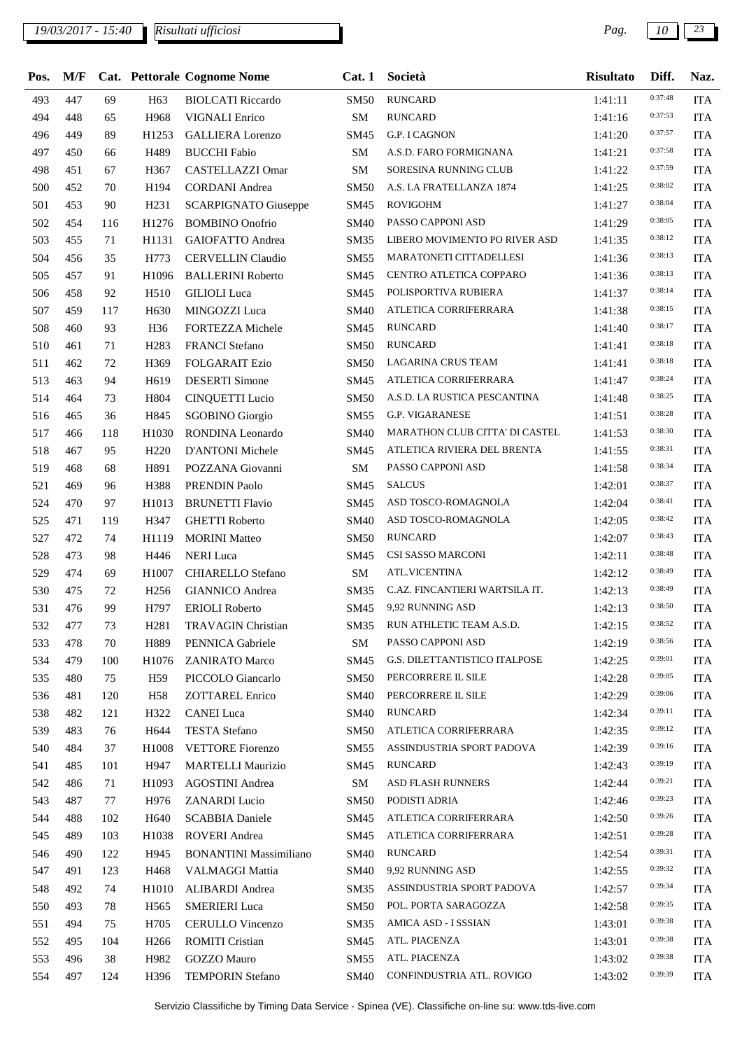# *19/03/2017 - 15:40 Pag. 10 23*

| Pos. | M/F |     |                   | Cat. Pettorale Cognome Nome   | Cat.1       | Società                              | <b>Risultato</b> | Diff.   | Naz.       |
|------|-----|-----|-------------------|-------------------------------|-------------|--------------------------------------|------------------|---------|------------|
| 493  | 447 | 69  | H63               | <b>BIOLCATI Riccardo</b>      | <b>SM50</b> | <b>RUNCARD</b>                       | 1:41:11          | 0:37:48 | <b>ITA</b> |
| 494  | 448 | 65  | H968              | VIGNALI Enrico                | ${\bf SM}$  | <b>RUNCARD</b>                       | 1:41:16          | 0:37:53 | <b>ITA</b> |
| 496  | 449 | 89  | H1253             | <b>GALLIERA</b> Lorenzo       | SM45        | G.P. I CAGNON                        | 1:41:20          | 0:37:57 | <b>ITA</b> |
| 497  | 450 | 66  | H489              | <b>BUCCHI Fabio</b>           | SM          | A.S.D. FARO FORMIGNANA               | 1:41:21          | 0:37:58 | <b>ITA</b> |
| 498  | 451 | 67  | H367              | CASTELLAZZI Omar              | SM          | SORESINA RUNNING CLUB                | 1:41:22          | 0:37:59 | <b>ITA</b> |
| 500  | 452 | 70  | H194              | <b>CORDANI</b> Andrea         | <b>SM50</b> | A.S. LA FRATELLANZA 1874             | 1:41:25          | 0:38:02 | <b>ITA</b> |
| 501  | 453 | 90  | H <sub>231</sub>  | <b>SCARPIGNATO Giuseppe</b>   | SM45        | <b>ROVIGOHM</b>                      | 1:41:27          | 0:38:04 | <b>ITA</b> |
| 502  | 454 | 116 | H1276             | <b>BOMBINO</b> Onofrio        | <b>SM40</b> | PASSO CAPPONI ASD                    | 1:41:29          | 0:38:05 | <b>ITA</b> |
| 503  | 455 | 71  | H1131             | GAIOFATTO Andrea              | <b>SM35</b> | LIBERO MOVIMENTO PO RIVER ASD        | 1:41:35          | 0:38:12 | <b>ITA</b> |
| 504  | 456 | 35  | H773              | <b>CERVELLIN</b> Claudio      | <b>SM55</b> | MARATONETI CITTADELLESI              | 1:41:36          | 0:38:13 | <b>ITA</b> |
| 505  | 457 | 91  | H1096             | <b>BALLERINI Roberto</b>      | SM45        | CENTRO ATLETICA COPPARO              | 1:41:36          | 0:38:13 | <b>ITA</b> |
| 506  | 458 | 92  | H510              | <b>GILIOLI</b> Luca           | SM45        | POLISPORTIVA RUBIERA                 | 1:41:37          | 0:38:14 | <b>ITA</b> |
| 507  | 459 | 117 | H <sub>630</sub>  | MINGOZZI Luca                 | <b>SM40</b> | ATLETICA CORRIFERRARA                | 1:41:38          | 0:38:15 | <b>ITA</b> |
| 508  | 460 | 93  | H <sub>36</sub>   | FORTEZZA Michele              | SM45        | <b>RUNCARD</b>                       | 1:41:40          | 0:38:17 | <b>ITA</b> |
| 510  | 461 | 71  | H <sub>2</sub> 83 | <b>FRANCI</b> Stefano         | <b>SM50</b> | <b>RUNCARD</b>                       | 1:41:41          | 0:38:18 | <b>ITA</b> |
| 511  | 462 | 72  | H369              | <b>FOLGARAIT Ezio</b>         | <b>SM50</b> | <b>LAGARINA CRUS TEAM</b>            | 1:41:41          | 0:38:18 | <b>ITA</b> |
| 513  | 463 | 94  | H619              | <b>DESERTI</b> Simone         | SM45        | ATLETICA CORRIFERRARA                | 1:41:47          | 0:38:24 | <b>ITA</b> |
| 514  | 464 | 73  | H804              | <b>CINQUETTI Lucio</b>        | <b>SM50</b> | A.S.D. LA RUSTICA PESCANTINA         | 1:41:48          | 0:38:25 | <b>ITA</b> |
| 516  | 465 | 36  | H845              | <b>SGOBINO</b> Giorgio        | SM55        | G.P. VIGARANESE                      | 1:41:51          | 0:38:28 | <b>ITA</b> |
| 517  | 466 | 118 | H1030             | RONDINA Leonardo              | SM40        | MARATHON CLUB CITTA' DI CASTEL       | 1:41:53          | 0:38:30 | <b>ITA</b> |
| 518  | 467 | 95  | H <sub>220</sub>  | <b>D'ANTONI Michele</b>       | SM45        | ATLETICA RIVIERA DEL BRENTA          | 1:41:55          | 0:38:31 | <b>ITA</b> |
| 519  | 468 | 68  | H891              | POZZANA Giovanni              | ${\bf SM}$  | PASSO CAPPONI ASD                    | 1:41:58          | 0:38:34 | <b>ITA</b> |
| 521  | 469 | 96  | H388              | PRENDIN Paolo                 | SM45        | <b>SALCUS</b>                        | 1:42:01          | 0:38:37 | <b>ITA</b> |
| 524  | 470 | 97  | H1013             | <b>BRUNETTI Flavio</b>        | SM45        | ASD TOSCO-ROMAGNOLA                  | 1:42:04          | 0:38:41 | <b>ITA</b> |
| 525  | 471 | 119 | H347              | <b>GHETTI Roberto</b>         | <b>SM40</b> | ASD TOSCO-ROMAGNOLA                  | 1:42:05          | 0:38:42 | <b>ITA</b> |
| 527  | 472 | 74  | H1119             | <b>MORINI</b> Matteo          | <b>SM50</b> | <b>RUNCARD</b>                       | 1:42:07          | 0:38:43 | <b>ITA</b> |
| 528  | 473 | 98  | H446              | <b>NERI</b> Luca              | SM45        | CSI SASSO MARCONI                    | 1:42:11          | 0:38:48 | <b>ITA</b> |
| 529  | 474 | 69  | H1007             | CHIARELLO Stefano             | ${\bf SM}$  | ATL.VICENTINA                        | 1:42:12          | 0:38:49 | <b>ITA</b> |
| 530  | 475 | 72  | H <sub>256</sub>  | <b>GIANNICO</b> Andrea        | <b>SM35</b> | C.AZ. FINCANTIERI WARTSILA IT.       | 1:42:13          | 0:38:49 | <b>ITA</b> |
| 531  | 476 | 99  | H797              | <b>ERIOLI</b> Roberto         | SM45        | 9,92 RUNNING ASD                     | 1:42:13          | 0:38:50 | <b>ITA</b> |
| 532  | 477 | 73  | H <sub>281</sub>  | TRAVAGIN Christian            | SM35        | RUN ATHLETIC TEAM A.S.D.             | 1:42:15          | 0:38:52 | <b>ITA</b> |
| 533  | 478 | 70  | H889              | PENNICA Gabriele              | SM          | PASSO CAPPONI ASD                    | 1:42:19          | 0:38:56 | <b>ITA</b> |
| 534  | 479 | 100 | H1076             | <b>ZANIRATO Marco</b>         | SM45        | <b>G.S. DILETTANTISTICO ITALPOSE</b> | 1:42:25          | 0:39:01 | <b>ITA</b> |
| 535  | 480 | 75  | H <sub>59</sub>   | PICCOLO Giancarlo             | <b>SM50</b> | PERCORRERE IL SILE                   | 1:42:28          | 0:39:05 | <b>ITA</b> |
| 536  | 481 | 120 | H <sub>58</sub>   | <b>ZOTTAREL Enrico</b>        | <b>SM40</b> | PERCORRERE IL SILE                   | 1:42:29          | 0:39:06 | <b>ITA</b> |
| 538  | 482 | 121 | H322              | <b>CANEI</b> Luca             | <b>SM40</b> | <b>RUNCARD</b>                       | 1:42:34          | 0:39:11 | <b>ITA</b> |
| 539  | 483 | 76  | H644              | <b>TESTA Stefano</b>          | <b>SM50</b> | ATLETICA CORRIFERRARA                | 1:42:35          | 0:39:12 | <b>ITA</b> |
| 540  | 484 | 37  | H1008             | <b>VETTORE</b> Fiorenzo       | SM55        | ASSINDUSTRIA SPORT PADOVA            | 1:42:39          | 0:39:16 | <b>ITA</b> |
| 541  | 485 | 101 | H947              | <b>MARTELLI Maurizio</b>      | SM45        | <b>RUNCARD</b>                       | 1:42:43          | 0:39:19 | <b>ITA</b> |
| 542  | 486 | 71  | H1093             | AGOSTINI Andrea               | SM          | ASD FLASH RUNNERS                    | 1:42:44          | 0:39:21 | <b>ITA</b> |
| 543  | 487 | 77  | H976              | ZANARDI Lucio                 | <b>SM50</b> | PODISTI ADRIA                        | 1:42:46          | 0:39:23 | <b>ITA</b> |
| 544  | 488 | 102 | H640              | <b>SCABBIA Daniele</b>        | SM45        | ATLETICA CORRIFERRARA                | 1:42:50          | 0:39:26 | <b>ITA</b> |
| 545  | 489 | 103 | H1038             | <b>ROVERI</b> Andrea          | SM45        | ATLETICA CORRIFERRARA                | 1:42:51          | 0:39:28 | <b>ITA</b> |
| 546  | 490 | 122 | H945              | <b>BONANTINI Massimiliano</b> | <b>SM40</b> | <b>RUNCARD</b>                       | 1:42:54          | 0:39:31 | <b>ITA</b> |
| 547  | 491 | 123 | H468              | VALMAGGI Mattia               | <b>SM40</b> | 9,92 RUNNING ASD                     | 1:42:55          | 0:39:32 | <b>ITA</b> |
| 548  | 492 | 74  | H1010             | ALIBARDI Andrea               | SM35        | ASSINDUSTRIA SPORT PADOVA            | 1:42:57          | 0:39:34 | <b>ITA</b> |
| 550  | 493 | 78  | H <sub>565</sub>  | <b>SMERIERI</b> Luca          | <b>SM50</b> | POL. PORTA SARAGOZZA                 | 1:42:58          | 0:39:35 | <b>ITA</b> |
| 551  | 494 | 75  | H705              | <b>CERULLO</b> Vincenzo       | SM35        | AMICA ASD - I SSSIAN                 | 1:43:01          | 0:39:38 | <b>ITA</b> |
| 552  | 495 | 104 | H <sub>266</sub>  | <b>ROMITI Cristian</b>        | SM45        | ATL. PIACENZA                        | 1:43:01          | 0:39:38 | <b>ITA</b> |
| 553  | 496 | 38  | H982              | GOZZO Mauro                   | SM55        | ATL. PIACENZA                        | 1:43:02          | 0:39:38 | <b>ITA</b> |
| 554  | 497 | 124 | H396              | <b>TEMPORIN Stefano</b>       | SM40        | CONFINDUSTRIA ATL. ROVIGO            | 1:43:02          | 0:39:39 | <b>ITA</b> |
|      |     |     |                   |                               |             |                                      |                  |         |            |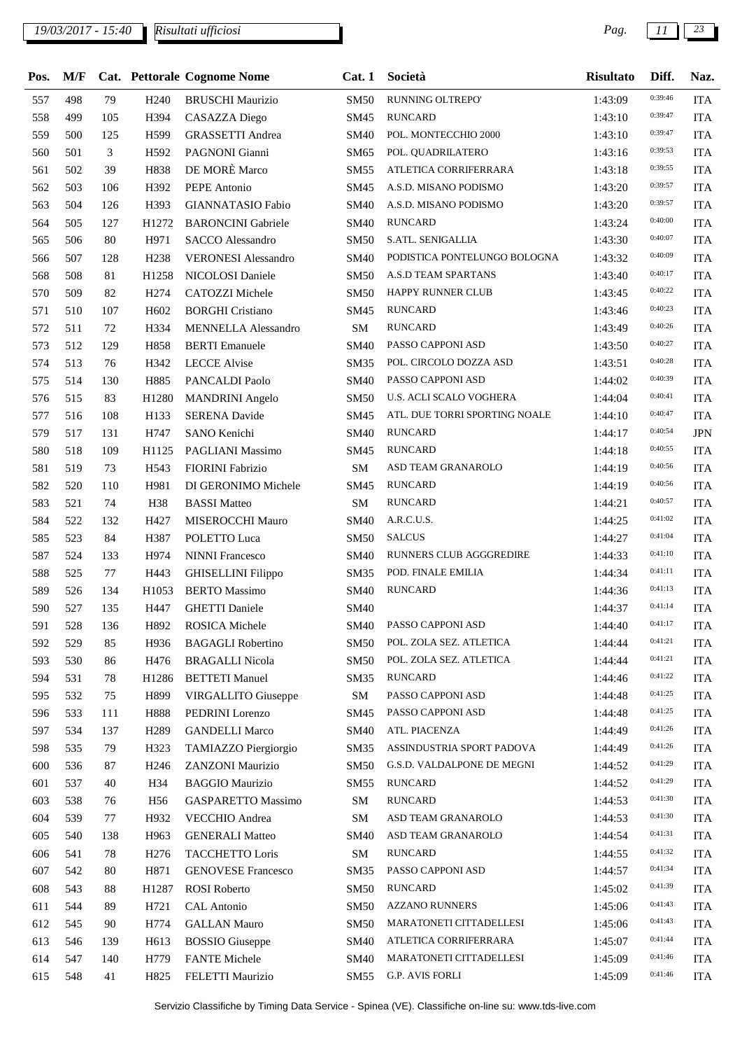| Pos. | M/F |     |                   | <b>Cat. Pettorale Cognome Nome</b> | Cat.1       | Società                       | <b>Risultato</b> | Diff.   | Naz.       |
|------|-----|-----|-------------------|------------------------------------|-------------|-------------------------------|------------------|---------|------------|
| 557  | 498 | 79  | H <sub>240</sub>  | <b>BRUSCHI Maurizio</b>            | <b>SM50</b> | RUNNING OLTREPO'              | 1:43:09          | 0:39:46 | <b>ITA</b> |
| 558  | 499 | 105 | H394              | CASAZZA Diego                      | SM45        | <b>RUNCARD</b>                | 1:43:10          | 0:39:47 | <b>ITA</b> |
| 559  | 500 | 125 | H <sub>599</sub>  | <b>GRASSETTI</b> Andrea            | SM40        | POL. MONTECCHIO 2000          | 1:43:10          | 0:39:47 | <b>ITA</b> |
| 560  | 501 | 3   | H592              | PAGNONI Gianni                     | SM65        | POL. QUADRILATERO             | 1:43:16          | 0:39:53 | <b>ITA</b> |
| 561  | 502 | 39  | H838              | DE MORÈ Marco                      | SM55        | ATLETICA CORRIFERRARA         | 1:43:18          | 0:39:55 | <b>ITA</b> |
| 562  | 503 | 106 | H392              | PEPE Antonio                       | SM45        | A.S.D. MISANO PODISMO         | 1:43:20          | 0:39:57 | <b>ITA</b> |
| 563  | 504 | 126 | H393              | <b>GIANNATASIO Fabio</b>           | SM40        | A.S.D. MISANO PODISMO         | 1:43:20          | 0:39:57 | <b>ITA</b> |
| 564  | 505 | 127 | H1272             | <b>BARONCINI</b> Gabriele          | SM40        | <b>RUNCARD</b>                | 1:43:24          | 0:40:00 | <b>ITA</b> |
| 565  | 506 | 80  | H971              | SACCO Alessandro                   | <b>SM50</b> | S.ATL. SENIGALLIA             | 1:43:30          | 0:40:07 | <b>ITA</b> |
| 566  | 507 | 128 | H <sub>238</sub>  | <b>VERONESI Alessandro</b>         | SM40        | PODISTICA PONTELUNGO BOLOGNA  | 1:43:32          | 0:40:09 | <b>ITA</b> |
| 568  | 508 | 81  | H1258             | NICOLOSI Daniele                   | <b>SM50</b> | A.S.D TEAM SPARTANS           | 1:43:40          | 0:40:17 | <b>ITA</b> |
| 570  | 509 | 82  | H <sub>274</sub>  | CATOZZI Michele                    | <b>SM50</b> | HAPPY RUNNER CLUB             | 1:43:45          | 0:40:22 | <b>ITA</b> |
| 571  | 510 | 107 | H <sub>602</sub>  | <b>BORGHI Cristiano</b>            | SM45        | <b>RUNCARD</b>                | 1:43:46          | 0:40:23 | <b>ITA</b> |
| 572  | 511 | 72  | H334              | <b>MENNELLA Alessandro</b>         | ${\bf SM}$  | <b>RUNCARD</b>                | 1:43:49          | 0:40:26 | <b>ITA</b> |
| 573  | 512 | 129 | H858              | <b>BERTI</b> Emanuele              | <b>SM40</b> | PASSO CAPPONI ASD             | 1:43:50          | 0:40:27 | <b>ITA</b> |
| 574  | 513 | 76  | H342              | <b>LECCE</b> Alvise                | <b>SM35</b> | POL. CIRCOLO DOZZA ASD        | 1:43:51          | 0:40:28 | <b>ITA</b> |
| 575  | 514 | 130 | H885              | PANCALDI Paolo                     | <b>SM40</b> | PASSO CAPPONI ASD             | 1:44:02          | 0:40:39 | <b>ITA</b> |
| 576  | 515 | 83  | H1280             | <b>MANDRINI</b> Angelo             | <b>SM50</b> | U.S. ACLI SCALO VOGHERA       | 1:44:04          | 0:40:41 | <b>ITA</b> |
| 577  | 516 | 108 | H133              | <b>SERENA Davide</b>               | SM45        | ATL. DUE TORRI SPORTING NOALE | 1:44:10          | 0:40:47 | <b>ITA</b> |
| 579  | 517 | 131 | H747              | SANO Kenichi                       | <b>SM40</b> | <b>RUNCARD</b>                | 1:44:17          | 0:40:54 | <b>JPN</b> |
| 580  | 518 | 109 | H1125             | PAGLIANI Massimo                   | SM45        | <b>RUNCARD</b>                | 1:44:18          | 0:40:55 | <b>ITA</b> |
| 581  | 519 | 73  | H543              | <b>FIORINI</b> Fabrizio            | ${\bf SM}$  | ASD TEAM GRANAROLO            | 1:44:19          | 0:40:56 | <b>ITA</b> |
| 582  | 520 | 110 | H981              | DI GERONIMO Michele                | SM45        | <b>RUNCARD</b>                | 1:44:19          | 0:40:56 | <b>ITA</b> |
| 583  | 521 | 74  | H38               | <b>BASSI</b> Matteo                | SM          | <b>RUNCARD</b>                | 1:44:21          | 0:40:57 | <b>ITA</b> |
| 584  | 522 | 132 | H427              | MISEROCCHI Mauro                   | <b>SM40</b> | A.R.C.U.S.                    | 1:44:25          | 0:41:02 | <b>ITA</b> |
| 585  | 523 | 84  | H387              | POLETTO Luca                       | <b>SM50</b> | <b>SALCUS</b>                 | 1:44:27          | 0:41:04 | <b>ITA</b> |
| 587  | 524 | 133 | H974              | <b>NINNI Francesco</b>             | SM40        | RUNNERS CLUB AGGGREDIRE       | 1:44:33          | 0:41:10 | <b>ITA</b> |
| 588  | 525 | 77  | H443              | <b>GHISELLINI</b> Filippo          | SM35        | POD. FINALE EMILIA            | 1:44:34          | 0:41:11 | <b>ITA</b> |
| 589  | 526 | 134 | H1053             | <b>BERTO</b> Massimo               | <b>SM40</b> | <b>RUNCARD</b>                | 1:44:36          | 0:41:13 | <b>ITA</b> |
| 590  | 527 | 135 | H447              | <b>GHETTI Daniele</b>              | SM40        |                               | 1:44:37          | 0:41:14 | <b>ITA</b> |
| 591  | 528 | 136 | H892              | ROSICA Michele                     |             | SM40 PASSO CAPPONI ASD        | 1:44:40          | 0:41:17 | <b>ITA</b> |
| 592  | 529 | 85  | H936              | <b>BAGAGLI</b> Robertino           | SM50        | POL. ZOLA SEZ. ATLETICA       | 1:44:44          | 0:41:21 | <b>ITA</b> |
| 593  | 530 | 86  | H476              | <b>BRAGALLI Nicola</b>             | <b>SM50</b> | POL. ZOLA SEZ. ATLETICA       | 1:44:44          | 0:41:21 | <b>ITA</b> |
| 594  | 531 | 78  | H1286             | <b>BETTETI</b> Manuel              | SM35        | <b>RUNCARD</b>                | 1:44:46          | 0:41:22 | <b>ITA</b> |
| 595  | 532 | 75  | H899              | VIRGALLITO Giuseppe                | SM          | PASSO CAPPONI ASD             | 1:44:48          | 0:41:25 | <b>ITA</b> |
| 596  | 533 | 111 | H888              | PEDRINI Lorenzo                    | SM45        | PASSO CAPPONI ASD             | 1:44:48          | 0:41:25 | <b>ITA</b> |
| 597  | 534 | 137 | H <sub>2</sub> 89 | <b>GANDELLI Marco</b>              | <b>SM40</b> | ATL. PIACENZA                 | 1:44:49          | 0:41:26 | <b>ITA</b> |
| 598  | 535 | 79  | H323              | TAMIAZZO Piergiorgio               | SM35        | ASSINDUSTRIA SPORT PADOVA     | 1:44:49          | 0:41:26 | <b>ITA</b> |
| 600  | 536 | 87  | H <sub>246</sub>  | ZANZONI Maurizio                   | <b>SM50</b> | G.S.D. VALDALPONE DE MEGNI    | 1:44:52          | 0:41:29 | <b>ITA</b> |
| 601  | 537 | 40  | H34               | <b>BAGGIO Maurizio</b>             | SM55        | <b>RUNCARD</b>                | 1:44:52          | 0:41:29 | <b>ITA</b> |
| 603  | 538 | 76  | H56               | <b>GASPARETTO Massimo</b>          | SM          | <b>RUNCARD</b>                | 1:44:53          | 0:41:30 | <b>ITA</b> |
| 604  | 539 | 77  | H932              | VECCHIO Andrea                     | ${\bf SM}$  | ASD TEAM GRANAROLO            | 1:44:53          | 0:41:30 | <b>ITA</b> |
| 605  | 540 | 138 | H963              | <b>GENERALI Matteo</b>             | SM40        | ASD TEAM GRANAROLO            | 1:44:54          | 0:41:31 | <b>ITA</b> |
| 606  | 541 | 78  | H <sub>276</sub>  | TACCHETTO Loris                    | SM          | <b>RUNCARD</b>                | 1:44:55          | 0:41:32 | <b>ITA</b> |
| 607  | 542 | 80  | H871              | <b>GENOVESE Francesco</b>          | SM35        | PASSO CAPPONI ASD             | 1:44:57          | 0:41:34 | <b>ITA</b> |
| 608  | 543 | 88  | H1287             | <b>ROSI</b> Roberto                | <b>SM50</b> | <b>RUNCARD</b>                | 1:45:02          | 0:41:39 | <b>ITA</b> |
| 611  | 544 | 89  | H721              | CAL Antonio                        | <b>SM50</b> | <b>AZZANO RUNNERS</b>         | 1:45:06          | 0:41:43 | <b>ITA</b> |
| 612  | 545 | 90  | H774              | <b>GALLAN Mauro</b>                | <b>SM50</b> | MARATONETI CITTADELLESI       | 1:45:06          | 0:41:43 | <b>ITA</b> |
| 613  | 546 | 139 | H613              | <b>BOSSIO</b> Giuseppe             | <b>SM40</b> | ATLETICA CORRIFERRARA         | 1:45:07          | 0:41:44 | <b>ITA</b> |
| 614  | 547 | 140 | H779              | <b>FANTE Michele</b>               | <b>SM40</b> | MARATONETI CITTADELLESI       | 1:45:09          | 0:41:46 | <b>ITA</b> |
| 615  | 548 | 41  | H825              | FELETTI Maurizio                   | SM55        | <b>G.P. AVIS FORLI</b>        | 1:45:09          | 0:41:46 | <b>ITA</b> |
|      |     |     |                   |                                    |             |                               |                  |         |            |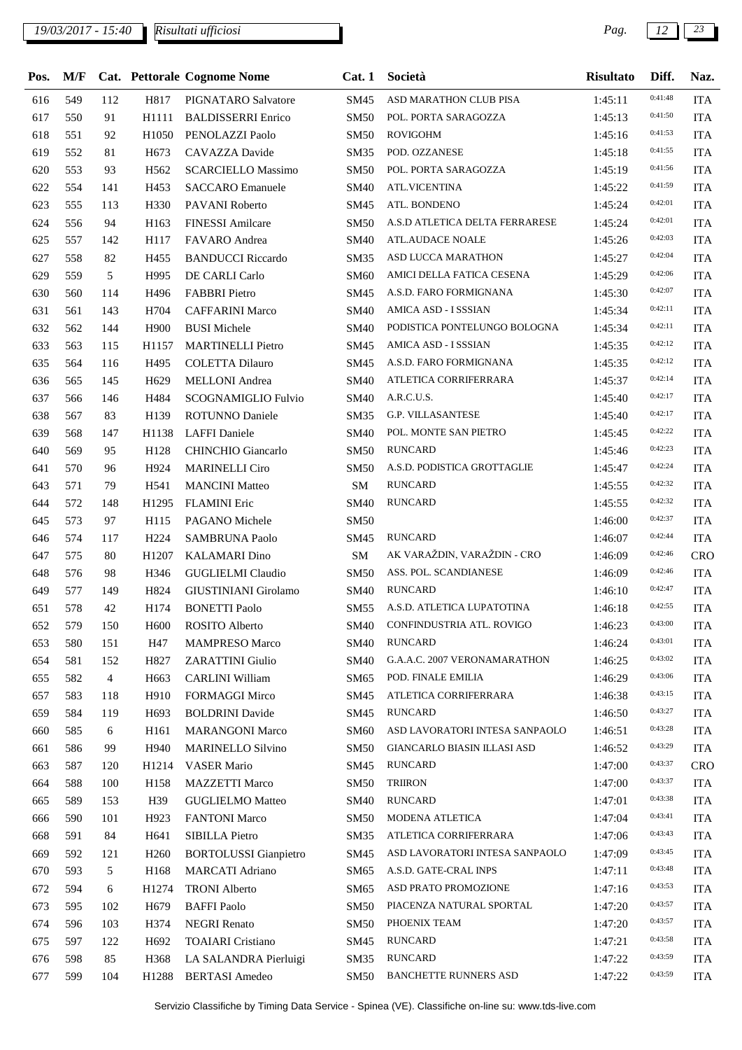# *19/03/2017 - 15:40 Pag. 12 23*

| Pos. | M/F |                |                  | Cat. Pettorale Cognome Nome  | Cat.1       | Società                            | <b>Risultato</b>   | Diff.              | Naz.       |
|------|-----|----------------|------------------|------------------------------|-------------|------------------------------------|--------------------|--------------------|------------|
| 616  | 549 | 112            | H817             | PIGNATARO Salvatore          | SM45        | ASD MARATHON CLUB PISA             | 1:45:11            | 0:41:48            | <b>ITA</b> |
| 617  | 550 | 91             | H1111            | <b>BALDISSERRI</b> Enrico    | <b>SM50</b> | POL. PORTA SARAGOZZA               | 1:45:13            | 0:41:50            | <b>ITA</b> |
| 618  | 551 | 92             | H1050            | PENOLAZZI Paolo              | <b>SM50</b> | <b>ROVIGOHM</b>                    | 1:45:16            | 0:41:53            | <b>ITA</b> |
| 619  | 552 | 81             | H <sub>673</sub> | CAVAZZA Davide               | SM35        | POD. OZZANESE                      | 1:45:18            | 0:41:55            | <b>ITA</b> |
| 620  | 553 | 93             | H <sub>562</sub> | <b>SCARCIELLO Massimo</b>    | <b>SM50</b> | POL. PORTA SARAGOZZA               | 1:45:19            | 0:41:56            | <b>ITA</b> |
| 622  | 554 | 141            | H453             | <b>SACCARO</b> Emanuele      | SM40        | ATL.VICENTINA                      | 1:45:22            | 0:41:59            | <b>ITA</b> |
| 623  | 555 | 113            | H330             | PAVANI Roberto               | SM45        | ATL. BONDENO                       | 1:45:24            | 0:42:01            | <b>ITA</b> |
| 624  | 556 | 94             | H <sub>163</sub> | <b>FINESSI Amilcare</b>      | SM50        | A.S.D ATLETICA DELTA FERRARESE     | 1:45:24            | 0:42:01            | <b>ITA</b> |
| 625  | 557 | 142            | H117             | FAVARO Andrea                | SM40        | <b>ATL.AUDACE NOALE</b>            | 1:45:26            | 0:42:03            | <b>ITA</b> |
| 627  | 558 | 82             | H455             | <b>BANDUCCI Riccardo</b>     | SM35        | ASD LUCCA MARATHON                 | 1:45:27            | 0:42:04            | <b>ITA</b> |
| 629  | 559 | 5              | H995             | DE CARLI Carlo               | <b>SM60</b> | AMICI DELLA FATICA CESENA          | 1:45:29            | 0:42:06            | <b>ITA</b> |
| 630  | 560 | 114            | H496             | <b>FABBRI</b> Pietro         | SM45        | A.S.D. FARO FORMIGNANA             | 1:45:30            | 0:42:07            | <b>ITA</b> |
| 631  | 561 | 143            | H704             | <b>CAFFARINI Marco</b>       | <b>SM40</b> | AMICA ASD - I SSSIAN               | 1:45:34            | 0:42:11            | <b>ITA</b> |
| 632  | 562 | 144            | H900             | <b>BUSI</b> Michele          | <b>SM40</b> | PODISTICA PONTELUNGO BOLOGNA       | 1:45:34            | 0:42:11            | <b>ITA</b> |
| 633  | 563 | 115            | H1157            | <b>MARTINELLI Pietro</b>     | SM45        | AMICA ASD - I SSSIAN               | 1:45:35            | 0:42:12            | <b>ITA</b> |
| 635  | 564 | 116            | H495             | COLETTA Dilauro              | SM45        | A.S.D. FARO FORMIGNANA             | 1:45:35            | 0:42:12            | <b>ITA</b> |
| 636  | 565 | 145            | H <sub>629</sub> | MELLONI Andrea               | SM40        | ATLETICA CORRIFERRARA              | 1:45:37            | 0:42:14            | <b>ITA</b> |
| 637  | 566 | 146            | H484             | SCOGNAMIGLIO Fulvio          | SM40        | A.R.C.U.S.                         | 1:45:40            | 0:42:17            | <b>ITA</b> |
| 638  | 567 | 83             | H139             | <b>ROTUNNO Daniele</b>       | SM35        | <b>G.P. VILLASANTESE</b>           | 1:45:40            | 0:42:17            | <b>ITA</b> |
| 639  | 568 | 147            | H1138            | <b>LAFFI</b> Daniele         | SM40        | POL. MONTE SAN PIETRO              | 1:45:45            | 0:42:22            | <b>ITA</b> |
| 640  | 569 | 95             | H128             | CHINCHIO Giancarlo           | <b>SM50</b> | <b>RUNCARD</b>                     | 1:45:46            | 0:42:23            | <b>ITA</b> |
| 641  | 570 | 96             | H924             | <b>MARINELLI Ciro</b>        | <b>SM50</b> | A.S.D. PODISTICA GROTTAGLIE        | 1:45:47            | 0:42:24            | <b>ITA</b> |
| 643  | 571 | 79             | H541             | <b>MANCINI Matteo</b>        | ${\bf SM}$  | <b>RUNCARD</b>                     |                    | 0:42:32            | <b>ITA</b> |
| 644  | 572 | 148            | H1295            | <b>FLAMINI</b> Eric          | SM40        | <b>RUNCARD</b>                     | 1:45:55<br>1:45:55 | 0:42:32            | <b>ITA</b> |
|      | 573 | 97             |                  |                              |             |                                    |                    | 0:42:37            | <b>ITA</b> |
| 645  |     |                | H115             | PAGANO Michele               | <b>SM50</b> | <b>RUNCARD</b>                     | 1:46:00            | 0:42:44            |            |
| 646  | 574 | 117            | H <sub>224</sub> | <b>SAMBRUNA Paolo</b>        | SM45        | AK VARAŽDIN, VARAŽDIN - CRO        | 1:46:07            | 0:42:46            | <b>ITA</b> |
| 647  | 575 | 80             | H1207            | <b>KALAMARI</b> Dino         | SM          |                                    | 1:46:09            | 0:42:46            | CRO        |
| 648  | 576 | 98             | H346             | <b>GUGLIELMI</b> Claudio     | <b>SM50</b> | ASS. POL. SCANDIANESE              | 1:46:09            | 0:42:47            | <b>ITA</b> |
| 649  | 577 | 149            | H824             | GIUSTINIANI Girolamo         | <b>SM40</b> | <b>RUNCARD</b>                     | 1:46:10            |                    | <b>ITA</b> |
| 651  | 578 | 42             | H174             | <b>BONETTI Paolo</b>         | SM55        | A.S.D. ATLETICA LUPATOTINA         | 1:46:18            | 0:42:55<br>0:43:00 | <b>ITA</b> |
| 652  | 579 | 150            | H600             | <b>ROSITO Alberto</b>        |             | SM40 CONFINDUSTRIA ATL. ROVIGO     | 1:46:23            |                    | <b>ITA</b> |
| 653  | 580 | 151            | H47              | <b>MAMPRESO Marco</b>        | SM40        | <b>RUNCARD</b>                     | 1:46:24            | 0:43:01            | <b>ITA</b> |
| 654  | 581 | 152            | H827             | <b>ZARATTINI</b> Giulio      | SM40        | G.A.A.C. 2007 VERONAMARATHON       | 1:46:25            | 0:43:02            | <b>ITA</b> |
| 655  | 582 | $\overline{4}$ | H <sub>663</sub> | <b>CARLINI William</b>       | SM65        | POD. FINALE EMILIA                 | 1:46:29            | 0:43:06            | <b>ITA</b> |
| 657  | 583 | 118            | H910             | <b>FORMAGGI Mirco</b>        | SM45        | ATLETICA CORRIFERRARA              | 1:46:38            | 0:43:15            | <b>ITA</b> |
| 659  | 584 | 119            | H693             | <b>BOLDRINI</b> Davide       | SM45        | <b>RUNCARD</b>                     | 1:46:50            | 0:43:27            | <b>ITA</b> |
| 660  | 585 | 6              | H <sub>161</sub> | <b>MARANGONI Marco</b>       | SM60        | ASD LAVORATORI INTESA SANPAOLO     | 1:46:51            | 0:43:28            | <b>ITA</b> |
| 661  | 586 | 99             | H940             | <b>MARINELLO Silvino</b>     | <b>SM50</b> | <b>GIANCARLO BIASIN ILLASI ASD</b> | 1:46:52            | 0:43:29            | <b>ITA</b> |
| 663  | 587 | 120            | H1214            | <b>VASER Mario</b>           | SM45        | <b>RUNCARD</b>                     | 1:47:00            | 0:43:37            | CRO        |
| 664  | 588 | 100            | H <sub>158</sub> | <b>MAZZETTI Marco</b>        | SM50        | <b>TRIIRON</b>                     | 1:47:00            | 0:43:37            | <b>ITA</b> |
| 665  | 589 | 153            | H39              | <b>GUGLIELMO Matteo</b>      | <b>SM40</b> | <b>RUNCARD</b>                     | 1:47:01            | 0:43:38            | <b>ITA</b> |
| 666  | 590 | 101            | H923             | <b>FANTONI Marco</b>         | <b>SM50</b> | MODENA ATLETICA                    | 1:47:04            | 0:43:41            | <b>ITA</b> |
| 668  | 591 | 84             | H641             | <b>SIBILLA Pietro</b>        | SM35        | ATLETICA CORRIFERRARA              | 1:47:06            | 0:43:43            | <b>ITA</b> |
| 669  | 592 | 121            | H <sub>260</sub> | <b>BORTOLUSSI</b> Gianpietro | SM45        | ASD LAVORATORI INTESA SANPAOLO     | 1:47:09            | 0:43:45            | <b>ITA</b> |
| 670  | 593 | 5              | H168             | <b>MARCATI Adriano</b>       | SM65        | A.S.D. GATE-CRAL INPS              | 1:47:11            | 0:43:48            | <b>ITA</b> |
| 672  | 594 | 6              | H1274            | <b>TRONI Alberto</b>         | SM65        | ASD PRATO PROMOZIONE               | 1:47:16            | 0:43:53            | <b>ITA</b> |
| 673  | 595 | 102            | H <sub>679</sub> | <b>BAFFI</b> Paolo           | <b>SM50</b> | PIACENZA NATURAL SPORTAL           | 1:47:20            | 0:43:57            | <b>ITA</b> |
| 674  | 596 | 103            | H374             | <b>NEGRI Renato</b>          | <b>SM50</b> | PHOENIX TEAM                       | 1:47:20            | 0:43:57            | <b>ITA</b> |
| 675  | 597 | 122            | H692             | <b>TOAIARI</b> Cristiano     | SM45        | <b>RUNCARD</b>                     | 1:47:21            | 0:43:58            | <b>ITA</b> |
| 676  | 598 | 85             | H368             | LA SALANDRA Pierluigi        | SM35        | <b>RUNCARD</b>                     | 1:47:22            | 0:43:59            | <b>ITA</b> |
| 677  | 599 | 104            | H1288            | <b>BERTASI</b> Amedeo        | <b>SM50</b> | BANCHETTE RUNNERS ASD              | 1:47:22            | 0:43:59            | <b>ITA</b> |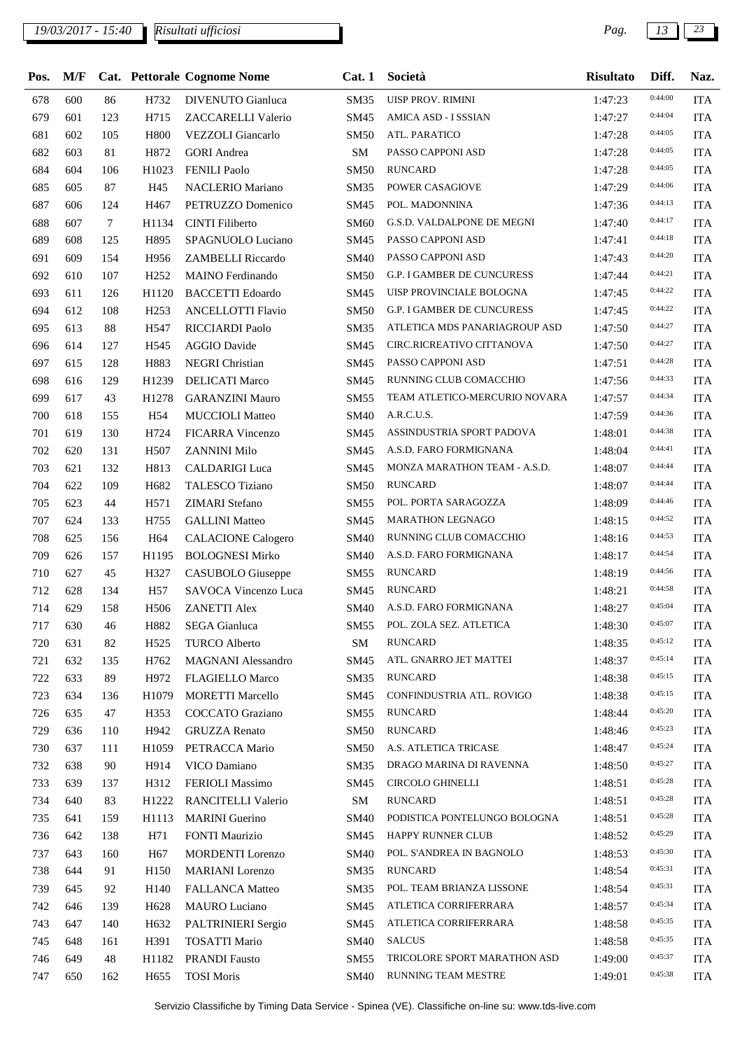# *19/03/2017 - 15:40 Pag. 13 23*

| Pos. | M/F |        |                  | Cat. Pettorale Cognome Nome | Cat.1       | Società                           | <b>Risultato</b> | Diff.   | Naz.       |
|------|-----|--------|------------------|-----------------------------|-------------|-----------------------------------|------------------|---------|------------|
| 678  | 600 | 86     | H732             | DIVENUTO Gianluca           | SM35        | <b>UISP PROV. RIMINI</b>          | 1:47:23          | 0:44:00 | <b>ITA</b> |
| 679  | 601 | 123    | H715             | ZACCARELLI Valerio          | SM45        | AMICA ASD - I SSSIAN              | 1:47:27          | 0:44:04 | <b>ITA</b> |
| 681  | 602 | 105    | H800             | VEZZOLI Giancarlo           | <b>SM50</b> | ATL. PARATICO                     | 1:47:28          | 0:44:05 | <b>ITA</b> |
| 682  | 603 | 81     | H872             | <b>GORI</b> Andrea          | ${\bf SM}$  | PASSO CAPPONI ASD                 | 1:47:28          | 0:44:05 | <b>ITA</b> |
| 684  | 604 | 106    | H1023            | <b>FENILI Paolo</b>         | <b>SM50</b> | <b>RUNCARD</b>                    | 1:47:28          | 0:44:05 | <b>ITA</b> |
| 685  | 605 | 87     | H45              | NACLERIO Mariano            | <b>SM35</b> | POWER CASAGIOVE                   | 1:47:29          | 0:44:06 | <b>ITA</b> |
| 687  | 606 | 124    | H467             | PETRUZZO Domenico           | SM45        | POL. MADONNINA                    | 1:47:36          | 0:44:13 | <b>ITA</b> |
| 688  | 607 | $\tau$ | H1134            | <b>CINTI Filiberto</b>      | SM60        | G.S.D. VALDALPONE DE MEGNI        | 1:47:40          | 0:44:17 | <b>ITA</b> |
| 689  | 608 | 125    | H895             | SPAGNUOLO Luciano           | SM45        | PASSO CAPPONI ASD                 | 1:47:41          | 0:44:18 | <b>ITA</b> |
| 691  | 609 | 154    | H956             | ZAMBELLI Riccardo           | <b>SM40</b> | PASSO CAPPONI ASD                 | 1:47:43          | 0:44:20 | <b>ITA</b> |
| 692  | 610 | 107    | H <sub>252</sub> | <b>MAINO</b> Ferdinando     | <b>SM50</b> | G.P. I GAMBER DE CUNCURESS        | 1:47:44          | 0:44:21 | <b>ITA</b> |
| 693  | 611 | 126    | H1120            | <b>BACCETTI</b> Edoardo     | SM45        | UISP PROVINCIALE BOLOGNA          | 1:47:45          | 0:44:22 | <b>ITA</b> |
| 694  | 612 | 108    | H <sub>253</sub> | <b>ANCELLOTTI Flavio</b>    | <b>SM50</b> | <b>G.P. I GAMBER DE CUNCURESS</b> | 1:47:45          | 0:44:22 | <b>ITA</b> |
| 695  | 613 | 88     | H <sub>547</sub> | RICCIARDI Paolo             | <b>SM35</b> | ATLETICA MDS PANARIAGROUP ASD     | 1:47:50          | 0:44:27 | <b>ITA</b> |
| 696  | 614 | 127    | H <sub>545</sub> | <b>AGGIO Davide</b>         | SM45        | CIRC.RICREATIVO CITTANOVA         | 1:47:50          | 0:44:27 | <b>ITA</b> |
| 697  | 615 | 128    | H883             | <b>NEGRI Christian</b>      | SM45        | PASSO CAPPONI ASD                 | 1:47:51          | 0:44:28 | <b>ITA</b> |
| 698  | 616 | 129    | H1239            | DELICATI Marco              | SM45        | RUNNING CLUB COMACCHIO            | 1:47:56          | 0:44:33 | <b>ITA</b> |
| 699  | 617 | 43     | H1278            | <b>GARANZINI Mauro</b>      | <b>SM55</b> | TEAM ATLETICO-MERCURIO NOVARA     | 1:47:57          | 0:44:34 | <b>ITA</b> |
| 700  | 618 | 155    | H <sub>54</sub>  | <b>MUCCIOLI Matteo</b>      | <b>SM40</b> | A.R.C.U.S.                        | 1:47:59          | 0:44:36 | <b>ITA</b> |
| 701  | 619 | 130    | H724             | FICARRA Vincenzo            | SM45        | ASSINDUSTRIA SPORT PADOVA         | 1:48:01          | 0:44:38 | <b>ITA</b> |
| 702  | 620 | 131    | H <sub>507</sub> | ZANNINI Milo                | SM45        | A.S.D. FARO FORMIGNANA            | 1:48:04          | 0:44:41 | <b>ITA</b> |
| 703  | 621 | 132    | H813             | <b>CALDARIGI Luca</b>       | SM45        | MONZA MARATHON TEAM - A.S.D.      | 1:48:07          | 0:44:44 | <b>ITA</b> |
| 704  | 622 | 109    | H682             | TALESCO Tiziano             | <b>SM50</b> | <b>RUNCARD</b>                    | 1:48:07          | 0:44:44 | <b>ITA</b> |
| 705  | 623 | 44     | H571             | ZIMARI Stefano              | <b>SM55</b> | POL. PORTA SARAGOZZA              | 1:48:09          | 0:44:46 | <b>ITA</b> |
| 707  | 624 | 133    | H755             | <b>GALLINI</b> Matteo       | SM45        | <b>MARATHON LEGNAGO</b>           | 1:48:15          | 0:44:52 | <b>ITA</b> |
| 708  | 625 | 156    | H <sub>64</sub>  | <b>CALACIONE Calogero</b>   | <b>SM40</b> | RUNNING CLUB COMACCHIO            | 1:48:16          | 0:44:53 | <b>ITA</b> |
| 709  | 626 | 157    | H1195            | <b>BOLOGNESI Mirko</b>      | <b>SM40</b> | A.S.D. FARO FORMIGNANA            | 1:48:17          | 0:44:54 | <b>ITA</b> |
| 710  | 627 | 45     | H327             | <b>CASUBOLO</b> Giuseppe    | <b>SM55</b> | <b>RUNCARD</b>                    | 1:48:19          | 0:44:56 | <b>ITA</b> |
| 712  | 628 | 134    | H <sub>57</sub>  | SAVOCA Vincenzo Luca        | SM45        | <b>RUNCARD</b>                    | 1:48:21          | 0:44:58 | <b>ITA</b> |
| 714  | 629 | 158    | H506             | <b>ZANETTI Alex</b>         | <b>SM40</b> | A.S.D. FARO FORMIGNANA            | 1:48:27          | 0:45:04 | <b>ITA</b> |
| 717  | 630 | 46     | H882             | <b>SEGA Gianluca</b>        | SM55        | POL. ZOLA SEZ. ATLETICA           | 1:48:30          | 0:45:07 | <b>ITA</b> |
| 720  | 631 | 82     | H <sub>525</sub> | <b>TURCO Alberto</b>        | <b>SM</b>   | <b>RUNCARD</b>                    | 1:48:35          | 0:45:12 | <b>ITA</b> |
| 721  | 632 | 135    | H762             | <b>MAGNANI</b> Alessandro   | SM45        | ATL. GNARRO JET MATTEI            | 1:48:37          | 0:45:14 | <b>ITA</b> |
| 722  | 633 | 89     | H972             | <b>FLAGIELLO Marco</b>      | SM35        | <b>RUNCARD</b>                    | 1:48:38          | 0:45:15 | <b>ITA</b> |
| 723  | 634 | 136    | H1079            | <b>MORETTI Marcello</b>     | SM45        | CONFINDUSTRIA ATL. ROVIGO         | 1:48:38          | 0:45:15 | <b>ITA</b> |
| 726  | 635 | 47     | H353             | COCCATO Graziano            | SM55        | <b>RUNCARD</b>                    | 1:48:44          | 0:45:20 | <b>ITA</b> |
| 729  | 636 | 110    | H942             | <b>GRUZZA Renato</b>        | <b>SM50</b> | <b>RUNCARD</b>                    | 1:48:46          | 0:45:23 | <b>ITA</b> |
| 730  | 637 | 111    | H1059            | PETRACCA Mario              | <b>SM50</b> | A.S. ATLETICA TRICASE             | 1:48:47          | 0:45:24 | <b>ITA</b> |
| 732  | 638 | 90     | H914             | VICO Damiano                | SM35        | DRAGO MARINA DI RAVENNA           | 1:48:50          | 0:45:27 | <b>ITA</b> |
| 733  | 639 | 137    | H312             | FERIOLI Massimo             | SM45        | CIRCOLO GHINELLI                  | 1:48:51          | 0:45:28 | <b>ITA</b> |
| 734  | 640 | 83     | H1222            | RANCITELLI Valerio          | SM          | <b>RUNCARD</b>                    | 1:48:51          | 0:45:28 | <b>ITA</b> |
| 735  | 641 | 159    | H1113            | <b>MARINI</b> Guerino       | <b>SM40</b> | PODISTICA PONTELUNGO BOLOGNA      | 1:48:51          | 0:45:28 | <b>ITA</b> |
| 736  | 642 | 138    | H71              | <b>FONTI Maurizio</b>       | SM45        | HAPPY RUNNER CLUB                 | 1:48:52          | 0:45:29 | <b>ITA</b> |
| 737  | 643 | 160    | H67              | <b>MORDENTI</b> Lorenzo     | SM40        | POL. S'ANDREA IN BAGNOLO          | 1:48:53          | 0:45:30 | <b>ITA</b> |
| 738  | 644 | 91     | H <sub>150</sub> | <b>MARIANI</b> Lorenzo      | SM35        | <b>RUNCARD</b>                    | 1:48:54          | 0:45:31 | <b>ITA</b> |
| 739  | 645 | 92     | H140             | FALLANCA Matteo             | SM35        | POL. TEAM BRIANZA LISSONE         | 1:48:54          | 0:45:31 | <b>ITA</b> |
| 742  | 646 | 139    | H <sub>628</sub> | <b>MAURO</b> Luciano        | SM45        | ATLETICA CORRIFERRARA             | 1:48:57          | 0:45:34 | <b>ITA</b> |
| 743  | 647 | 140    | H632             | PALTRINIERI Sergio          | SM45        | ATLETICA CORRIFERRARA             | 1:48:58          | 0:45:35 | <b>ITA</b> |
| 745  | 648 | 161    | H391             | TOSATTI Mario               | <b>SM40</b> | <b>SALCUS</b>                     | 1:48:58          | 0:45:35 | <b>ITA</b> |
| 746  | 649 | 48     | H1182            | <b>PRANDI Fausto</b>        | SM55        | TRICOLORE SPORT MARATHON ASD      | 1:49:00          | 0:45:37 | <b>ITA</b> |
| 747  | 650 | 162    | H <sub>655</sub> | <b>TOSI Moris</b>           | <b>SM40</b> | RUNNING TEAM MESTRE               | 1:49:01          | 0:45:38 | <b>ITA</b> |
|      |     |        |                  |                             |             |                                   |                  |         |            |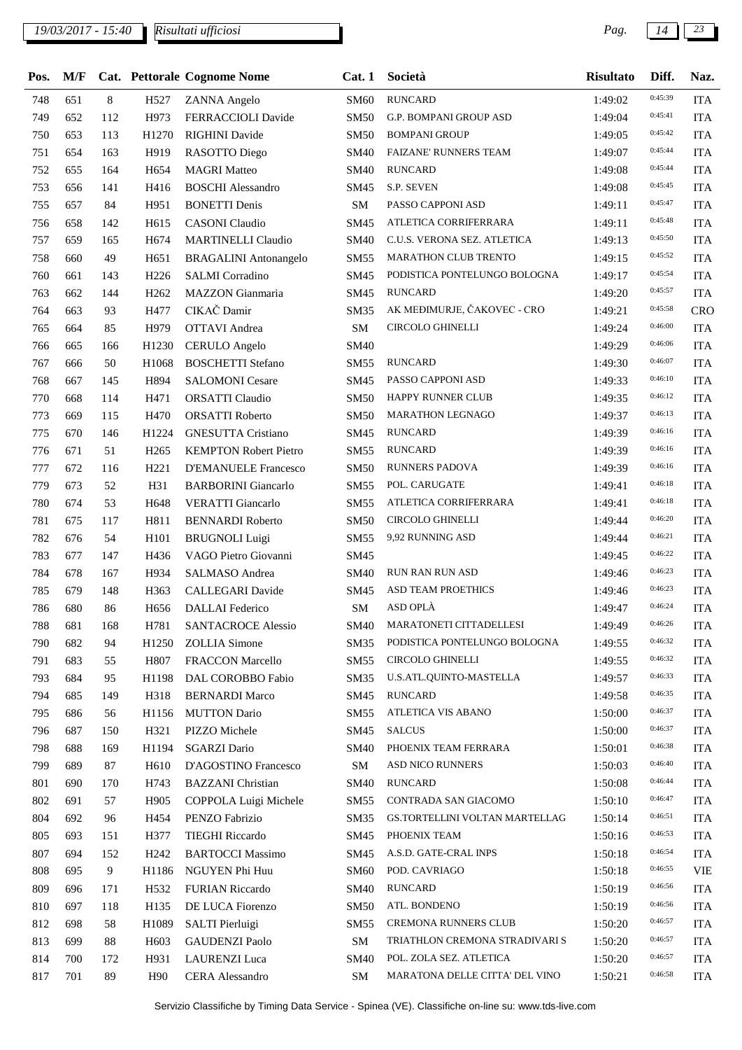### *19/03/2017 - 15:40 Pag. 14 23*

| Pos. | M/F |         |                   | <b>Cat. Pettorale Cognome Nome</b> | Cat.1       | Società                        | <b>Risultato</b>   | Diff.   | Naz.       |
|------|-----|---------|-------------------|------------------------------------|-------------|--------------------------------|--------------------|---------|------------|
| 748  | 651 | $\,8\,$ | H527              | ZANNA Angelo                       | SM60        | <b>RUNCARD</b>                 | 1:49:02            | 0:45:39 | <b>ITA</b> |
| 749  | 652 | 112     | H973              | FERRACCIOLI Davide                 | <b>SM50</b> | G.P. BOMPANI GROUP ASD         | 1:49:04            | 0:45:41 | <b>ITA</b> |
| 750  | 653 | 113     | H1270             | RIGHINI Davide                     | <b>SM50</b> | <b>BOMPANI GROUP</b>           | 1:49:05            | 0:45:42 | <b>ITA</b> |
| 751  | 654 | 163     | H919              | RASOTTO Diego                      | <b>SM40</b> | FAIZANE' RUNNERS TEAM          | 1:49:07            | 0:45:44 | <b>ITA</b> |
| 752  | 655 | 164     | H654              | <b>MAGRI Matteo</b>                | SM40        | <b>RUNCARD</b>                 | 1:49:08            | 0:45:44 | <b>ITA</b> |
| 753  | 656 | 141     | H416              | <b>BOSCHI</b> Alessandro           | SM45        | S.P. SEVEN                     | 1:49:08            | 0:45:45 | <b>ITA</b> |
| 755  | 657 | 84      | H951              | <b>BONETTI Denis</b>               | SM          | PASSO CAPPONI ASD              | 1:49:11            | 0:45:47 | <b>ITA</b> |
| 756  | 658 | 142     | H615              | <b>CASONI</b> Claudio              | SM45        | ATLETICA CORRIFERRARA          | 1:49:11            | 0:45:48 | <b>ITA</b> |
| 757  | 659 | 165     | H674              | <b>MARTINELLI Claudio</b>          | <b>SM40</b> | C.U.S. VERONA SEZ. ATLETICA    | 1:49:13            | 0:45:50 | <b>ITA</b> |
| 758  | 660 | 49      | H651              | <b>BRAGALINI</b> Antonangelo       | <b>SM55</b> | MARATHON CLUB TRENTO           | 1:49:15            | 0:45:52 | <b>ITA</b> |
| 760  | 661 | 143     | H <sub>226</sub>  | <b>SALMI</b> Corradino             | SM45        | PODISTICA PONTELUNGO BOLOGNA   | 1:49:17            | 0:45:54 | <b>ITA</b> |
| 763  | 662 | 144     | H <sub>262</sub>  | MAZZON Gianmaria                   | SM45        | <b>RUNCARD</b>                 | 1:49:20            | 0:45:57 | <b>ITA</b> |
| 764  | 663 | 93      | H477              | CIKAČ Damir                        | SM35        | AK MEĐIMURJE, ČAKOVEC - CRO    | 1:49:21            | 0:45:58 | CRO        |
| 765  | 664 | 85      | H979              | OTTAVI Andrea                      | ${\bf SM}$  | <b>CIRCOLO GHINELLI</b>        | 1:49:24            | 0:46:00 | <b>ITA</b> |
| 766  | 665 | 166     | H1230             | <b>CERULO</b> Angelo               | <b>SM40</b> |                                | 1:49:29            | 0:46:06 | <b>ITA</b> |
| 767  | 666 | 50      | H1068             | <b>BOSCHETTI Stefano</b>           | SM55        | <b>RUNCARD</b>                 | 1:49:30            | 0:46:07 | <b>ITA</b> |
| 768  | 667 | 145     | H894              | <b>SALOMONI</b> Cesare             | SM45        | PASSO CAPPONI ASD              | 1:49:33            | 0:46:10 | <b>ITA</b> |
| 770  | 668 | 114     | H471              | ORSATTI Claudio                    | <b>SM50</b> | HAPPY RUNNER CLUB              | 1:49:35            | 0:46:12 | <b>ITA</b> |
| 773  | 669 | 115     | H470              | ORSATTI Roberto                    | <b>SM50</b> | <b>MARATHON LEGNAGO</b>        | 1:49:37            | 0:46:13 | <b>ITA</b> |
| 775  | 670 | 146     | H1224             | <b>GNESUTTA Cristiano</b>          | SM45        | <b>RUNCARD</b>                 | 1:49:39            | 0:46:16 | <b>ITA</b> |
| 776  | 671 | 51      | H <sub>265</sub>  | <b>KEMPTON Robert Pietro</b>       | SM55        | <b>RUNCARD</b>                 | 1:49:39            | 0:46:16 | <b>ITA</b> |
| 777  | 672 | 116     | H <sub>221</sub>  | <b>D'EMANUELE Francesco</b>        | <b>SM50</b> | <b>RUNNERS PADOVA</b>          | 1:49:39            | 0:46:16 | <b>ITA</b> |
| 779  | 673 | 52      | H31               | <b>BARBORINI</b> Giancarlo         | SM55        | POL. CARUGATE                  | 1:49:41            | 0:46:18 | <b>ITA</b> |
| 780  | 674 | 53      | H648              | <b>VERATTI Giancarlo</b>           | <b>SM55</b> | ATLETICA CORRIFERRARA          | 1:49:41            | 0:46:18 | <b>ITA</b> |
| 781  | 675 | 117     | H811              | <b>BENNARDI</b> Roberto            | <b>SM50</b> | <b>CIRCOLO GHINELLI</b>        | 1:49:44            | 0:46:20 | <b>ITA</b> |
| 782  | 676 | 54      | H101              | <b>BRUGNOLI</b> Luigi              | SM55        | 9,92 RUNNING ASD               | 1:49:44            | 0:46:21 | <b>ITA</b> |
| 783  | 677 | 147     | H436              | VAGO Pietro Giovanni               | SM45        |                                | 1:49:45            | 0:46:22 | <b>ITA</b> |
| 784  | 678 | 167     | H934              | SALMASO Andrea                     | <b>SM40</b> | <b>RUN RAN RUN ASD</b>         | 1:49:46            | 0:46:23 | <b>ITA</b> |
| 785  | 679 | 148     | H363              | <b>CALLEGARI</b> Davide            | SM45        | <b>ASD TEAM PROETHICS</b>      | 1:49:46            | 0:46:23 | <b>ITA</b> |
| 786  | 680 | 86      | H656              | <b>DALLAI</b> Federico             | ${\rm SM}$  | ASD OPLÀ                       | 1:49:47            | 0:46:24 | <b>ITA</b> |
| 788  | 681 | 168     | H781              | SANTACROCE Alessio                 |             | SM40 MARATONETI CITTADELLESI   | 1:49:49            | 0:46:26 | <b>ITA</b> |
| 790  | 682 | 94      | H <sub>1250</sub> | <b>ZOLLIA</b> Simone               | SM35        | PODISTICA PONTELUNGO BOLOGNA   | 1:49:55            | 0:46:32 | <b>ITA</b> |
| 791  | 683 | 55      | H807              | FRACCON Marcello                   | SM55        | <b>CIRCOLO GHINELLI</b>        | 1:49:55            | 0:46:32 | <b>ITA</b> |
| 793  | 684 | 95      | H1198             | DAL COROBBO Fabio                  | SM35        | U.S.ATL.QUINTO-MASTELLA        | 1:49:57            | 0:46:33 | <b>ITA</b> |
| 794  | 685 | 149     | H318              | <b>BERNARDI Marco</b>              | SM45        | <b>RUNCARD</b>                 | 1:49:58            | 0:46:35 | <b>ITA</b> |
| 795  | 686 | 56      | H1156             | <b>MUTTON Dario</b>                | SM55        | ATLETICA VIS ABANO             | 1:50:00            | 0:46:37 | <b>ITA</b> |
| 796  | 687 | 150     | H321              | PIZZO Michele                      | SM45        | <b>SALCUS</b>                  | 1:50:00            | 0:46:37 | <b>ITA</b> |
| 798  | 688 | 169     | H1194             | <b>SGARZI</b> Dario                | SM40        | PHOENIX TEAM FERRARA           | 1:50:01            | 0:46:38 | <b>ITA</b> |
| 799  | 689 | 87      | H610              | D'AGOSTINO Francesco               | ${\bf SM}$  | ASD NICO RUNNERS               | 1:50:03            | 0:46:40 | <b>ITA</b> |
| 801  | 690 | 170     | H743              | <b>BAZZANI</b> Christian           | SM40        | <b>RUNCARD</b>                 | 1:50:08            | 0:46:44 | <b>ITA</b> |
| 802  | 691 | 57      | H905              | COPPOLA Luigi Michele              | SM55        | CONTRADA SAN GIACOMO           | 1:50:10            | 0:46:47 | <b>ITA</b> |
| 804  | 692 | 96      | H454              | PENZO Fabrizio                     | SM35        | GS.TORTELLINI VOLTAN MARTELLAG | 1:50:14            | 0:46:51 | <b>ITA</b> |
| 805  | 693 | 151     | H377              | <b>TIEGHI Riccardo</b>             | SM45        | PHOENIX TEAM                   | 1:50:16            | 0:46:53 | <b>ITA</b> |
| 807  | 694 | 152     | H <sub>242</sub>  | <b>BARTOCCI Massimo</b>            | SM45        | A.S.D. GATE-CRAL INPS          | 1:50:18            | 0:46:54 | <b>ITA</b> |
| 808  | 695 | 9       | H1186             | NGUYEN Phi Huu                     | SM60        | POD. CAVRIAGO                  | 1:50:18            | 0:46:55 | <b>VIE</b> |
| 809  | 696 | 171     | H <sub>532</sub>  | <b>FURIAN Riccardo</b>             | <b>SM40</b> | <b>RUNCARD</b>                 | 1:50:19            | 0:46:56 | <b>ITA</b> |
| 810  | 697 | 118     | H135              | DE LUCA Fiorenzo                   | <b>SM50</b> | ATL. BONDENO                   | 1:50:19            | 0:46:56 | <b>ITA</b> |
| 812  | 698 | 58      | H1089             | SALTI Pierluigi                    | SM55        | CREMONA RUNNERS CLUB           | 1:50:20            | 0:46:57 | <b>ITA</b> |
| 813  | 699 | 88      | H <sub>603</sub>  | <b>GAUDENZI Paolo</b>              | SM          | TRIATHLON CREMONA STRADIVARI S |                    | 0:46:57 | <b>ITA</b> |
| 814  | 700 | 172     | H931              | <b>LAURENZI</b> Luca               | <b>SM40</b> | POL. ZOLA SEZ. ATLETICA        | 1:50:20<br>1:50:20 | 0:46:57 | <b>ITA</b> |
|      | 701 | 89      |                   | CERA Alessandro                    | SM          | MARATONA DELLE CITTA' DEL VINO |                    | 0:46:58 |            |
| 817  |     |         | H90               |                                    |             |                                | 1:50:21            |         | <b>ITA</b> |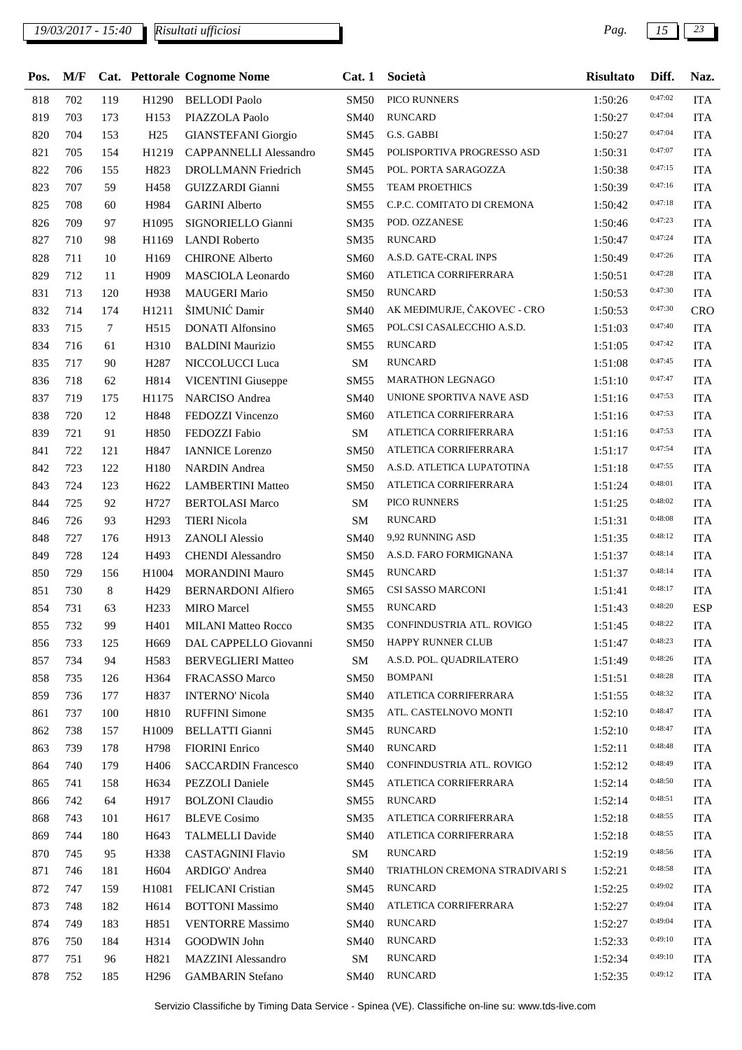# *19/03/2017 - 15:40 Pag. 15 23*

| Pos. | M/F |                 |                   | Cat. Pettorale Cognome Nome   | Cat.1       | Società                        | <b>Risultato</b> | Diff.   | Naz.       |
|------|-----|-----------------|-------------------|-------------------------------|-------------|--------------------------------|------------------|---------|------------|
| 818  | 702 | 119             | H1290             | <b>BELLODI</b> Paolo          | <b>SM50</b> | PICO RUNNERS                   | 1:50:26          | 0:47:02 | <b>ITA</b> |
| 819  | 703 | 173             | H153              | PIAZZOLA Paolo                | <b>SM40</b> | <b>RUNCARD</b>                 | 1:50:27          | 0:47:04 | <b>ITA</b> |
| 820  | 704 | 153             | H25               | <b>GIANSTEFANI</b> Giorgio    | SM45        | G.S. GABBI                     | 1:50:27          | 0:47:04 | <b>ITA</b> |
| 821  | 705 | 154             | H1219             | <b>CAPPANNELLI Alessandro</b> | SM45        | POLISPORTIVA PROGRESSO ASD     | 1:50:31          | 0:47:07 | <b>ITA</b> |
| 822  | 706 | 155             | H823              | DROLLMANN Friedrich           | SM45        | POL. PORTA SARAGOZZA           | 1:50:38          | 0:47:15 | <b>ITA</b> |
| 823  | 707 | 59              | H458              | GUIZZARDI Gianni              | SM55        | <b>TEAM PROETHICS</b>          | 1:50:39          | 0:47:16 | <b>ITA</b> |
| 825  | 708 | 60              | H984              | <b>GARINI</b> Alberto         | SM55        | C.P.C. COMITATO DI CREMONA     | 1:50:42          | 0:47:18 | <b>ITA</b> |
| 826  | 709 | 97              | H1095             | SIGNORIELLO Gianni            | SM35        | POD. OZZANESE                  | 1:50:46          | 0:47:23 | <b>ITA</b> |
| 827  | 710 | 98              | H1169             | <b>LANDI</b> Roberto          | <b>SM35</b> | <b>RUNCARD</b>                 | 1:50:47          | 0:47:24 | <b>ITA</b> |
| 828  | 711 | 10              | H169              | <b>CHIRONE Alberto</b>        | <b>SM60</b> | A.S.D. GATE-CRAL INPS          | 1:50:49          | 0:47:26 | <b>ITA</b> |
| 829  | 712 | 11              | H909              | MASCIOLA Leonardo             | <b>SM60</b> | ATLETICA CORRIFERRARA          | 1:50:51          | 0:47:28 | <b>ITA</b> |
| 831  | 713 | 120             | H938              | <b>MAUGERI Mario</b>          | <b>SM50</b> | <b>RUNCARD</b>                 | 1:50:53          | 0:47:30 | <b>ITA</b> |
| 832  | 714 | 174             | H1211             | ŠIMUNIĆ Damir                 | <b>SM40</b> | AK MEĐIMURJE, ČAKOVEC - CRO    | 1:50:53          | 0:47:30 | CRO        |
| 833  | 715 | $7\phantom{.0}$ | H <sub>515</sub>  | <b>DONATI</b> Alfonsino       | SM65        | POL.CSI CASALECCHIO A.S.D.     | 1:51:03          | 0:47:40 | <b>ITA</b> |
| 834  | 716 | 61              | H310              | <b>BALDINI Maurizio</b>       | <b>SM55</b> | <b>RUNCARD</b>                 | 1:51:05          | 0:47:42 | <b>ITA</b> |
| 835  | 717 | 90              | H <sub>287</sub>  | NICCOLUCCI Luca               | ${\bf SM}$  | <b>RUNCARD</b>                 | 1:51:08          | 0:47:45 | <b>ITA</b> |
| 836  | 718 | 62              | H814              | <b>VICENTINI</b> Giuseppe     | SM55        | <b>MARATHON LEGNAGO</b>        | 1:51:10          | 0:47:47 | <b>ITA</b> |
| 837  | 719 | 175             | H1175             | NARCISO Andrea                | <b>SM40</b> | UNIONE SPORTIVA NAVE ASD       | 1:51:16          | 0:47:53 | <b>ITA</b> |
| 838  | 720 | 12              | H848              | FEDOZZI Vincenzo              | <b>SM60</b> | ATLETICA CORRIFERRARA          | 1:51:16          | 0:47:53 | <b>ITA</b> |
| 839  | 721 | 91              | H850              | FEDOZZI Fabio                 | ${\bf SM}$  | ATLETICA CORRIFERRARA          | 1:51:16          | 0:47:53 | <b>ITA</b> |
| 841  | 722 | 121             | H847              | <b>IANNICE</b> Lorenzo        | <b>SM50</b> | ATLETICA CORRIFERRARA          | 1:51:17          | 0:47:54 | <b>ITA</b> |
| 842  | 723 | 122             | H180              | <b>NARDIN</b> Andrea          | <b>SM50</b> | A.S.D. ATLETICA LUPATOTINA     | 1:51:18          | 0:47:55 | <b>ITA</b> |
| 843  | 724 | 123             | H622              | <b>LAMBERTINI Matteo</b>      | <b>SM50</b> | ATLETICA CORRIFERRARA          | 1:51:24          | 0:48:01 | <b>ITA</b> |
| 844  | 725 | 92              | H727              | <b>BERTOLASI Marco</b>        | ${\bf SM}$  | PICO RUNNERS                   | 1:51:25          | 0:48:02 | <b>ITA</b> |
| 846  | 726 | 93              | H <sub>293</sub>  | <b>TIERI</b> Nicola           | SM          | <b>RUNCARD</b>                 | 1:51:31          | 0:48:08 | <b>ITA</b> |
| 848  | 727 | 176             | H913              | <b>ZANOLI</b> Alessio         | <b>SM40</b> | 9,92 RUNNING ASD               | 1:51:35          | 0:48:12 | <b>ITA</b> |
| 849  | 728 | 124             | H493              | <b>CHENDI</b> Alessandro      | <b>SM50</b> | A.S.D. FARO FORMIGNANA         | 1:51:37          | 0:48:14 | <b>ITA</b> |
| 850  | 729 | 156             | H1004             | <b>MORANDINI Mauro</b>        | SM45        | <b>RUNCARD</b>                 | 1:51:37          | 0:48:14 | <b>ITA</b> |
| 851  | 730 | 8               | H429              | <b>BERNARDONI Alfiero</b>     | SM65        | CSI SASSO MARCONI              | 1:51:41          | 0:48:17 | <b>ITA</b> |
| 854  | 731 | 63              | H <sub>233</sub>  | <b>MIRO</b> Marcel            | SM55        | <b>RUNCARD</b>                 | 1:51:43          | 0:48:20 | <b>ESP</b> |
| 855  | 732 | 99              |                   | H401 MILANI Matteo Rocco      |             | SM35 CONFINDUSTRIA ATL. ROVIGO | 1:51:45          | 0:48:22 | <b>ITA</b> |
| 856  | 733 | 125             | H <sub>669</sub>  | DAL CAPPELLO Giovanni         | SM50        | <b>HAPPY RUNNER CLUB</b>       | 1:51:47          | 0:48:23 | <b>ITA</b> |
| 857  | 734 | 94              | H <sub>583</sub>  | <b>BERVEGLIERI Matteo</b>     | SM          | A.S.D. POL. QUADRILATERO       | 1:51:49          | 0:48:26 | <b>ITA</b> |
| 858  | 735 | 126             | H <sub>364</sub>  | <b>FRACASSO Marco</b>         | <b>SM50</b> | <b>BOMPANI</b>                 | 1:51:51          | 0:48:28 | <b>ITA</b> |
| 859  | 736 | 177             | H837              | <b>INTERNO' Nicola</b>        | <b>SM40</b> | ATLETICA CORRIFERRARA          | 1:51:55          | 0:48:32 | <b>ITA</b> |
| 861  | 737 | 100             | H810              | <b>RUFFINI</b> Simone         | <b>SM35</b> | ATL. CASTELNOVO MONTI          | 1:52:10          | 0:48:47 | <b>ITA</b> |
| 862  | 738 | 157             | H1009             | <b>BELLATTI</b> Gianni        | <b>SM45</b> | RUNCARD                        | 1:52:10          | 0:48:47 | <b>ITA</b> |
| 863  | 739 | 178             | H798              | <b>FIORINI</b> Enrico         | <b>SM40</b> | <b>RUNCARD</b>                 | 1:52:11          | 0:48:48 | <b>ITA</b> |
| 864  | 740 | 179             | H406              | <b>SACCARDIN Francesco</b>    | SM40        | CONFINDUSTRIA ATL. ROVIGO      | 1:52:12          | 0:48:49 | <b>ITA</b> |
| 865  | 741 | 158             | H634              | PEZZOLI Daniele               | SM45        | ATLETICA CORRIFERRARA          | 1:52:14          | 0:48:50 | <b>ITA</b> |
| 866  | 742 | 64              | H917              | <b>BOLZONI</b> Claudio        | <b>SM55</b> | <b>RUNCARD</b>                 | 1:52:14          | 0:48:51 | <b>ITA</b> |
| 868  | 743 | 101             | H617              | <b>BLEVE</b> Cosimo           | <b>SM35</b> | ATLETICA CORRIFERRARA          | 1:52:18          | 0:48:55 | <b>ITA</b> |
| 869  | 744 | 180             | H643              | <b>TALMELLI</b> Davide        | <b>SM40</b> | ATLETICA CORRIFERRARA          | 1:52:18          | 0:48:55 | <b>ITA</b> |
| 870  | 745 | 95              | H338              | CASTAGNINI Flavio             | SM          | RUNCARD                        | 1:52:19          | 0:48:56 | <b>ITA</b> |
| 871  | 746 | 181             | H <sub>604</sub>  | ARDIGO' Andrea                | <b>SM40</b> | TRIATHLON CREMONA STRADIVARI S | 1:52:21          | 0:48:58 | <b>ITA</b> |
| 872  | 747 | 159             | H <sub>1081</sub> | FELICANI Cristian             | SM45        | <b>RUNCARD</b>                 | 1:52:25          | 0:49:02 | <b>ITA</b> |
| 873  | 748 | 182             | H614              | <b>BOTTONI</b> Massimo        | <b>SM40</b> | ATLETICA CORRIFERRARA          | 1:52:27          | 0:49:04 | <b>ITA</b> |
| 874  | 749 | 183             | H851              | <b>VENTORRE Massimo</b>       | <b>SM40</b> | RUNCARD                        | 1:52:27          | 0:49:04 | <b>ITA</b> |
| 876  | 750 | 184             | H314              | GOODWIN John                  | <b>SM40</b> | RUNCARD                        | 1:52:33          | 0:49:10 | <b>ITA</b> |
| 877  | 751 | 96              | H821              | MAZZINI Alessandro            | SM          | <b>RUNCARD</b>                 | 1:52:34          | 0:49:10 | <b>ITA</b> |
| 878  | 752 | 185             | H <sub>296</sub>  | <b>GAMBARIN</b> Stefano       | <b>SM40</b> | <b>RUNCARD</b>                 | 1:52:35          | 0:49:12 | <b>ITA</b> |
|      |     |                 |                   |                               |             |                                |                  |         |            |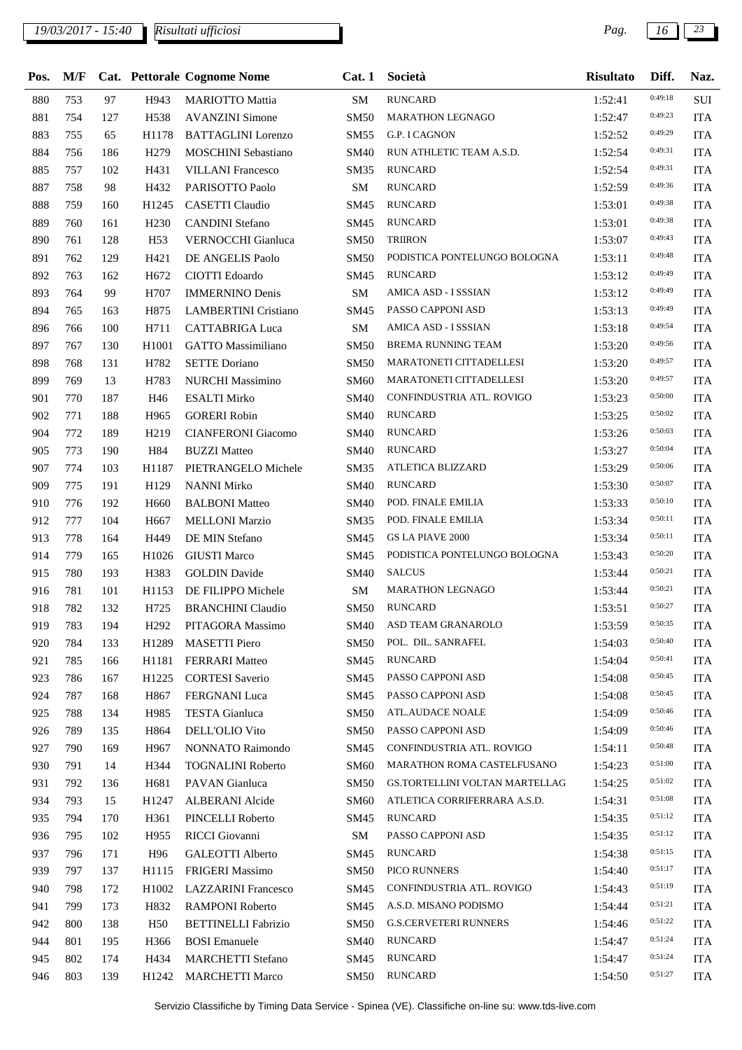# *19/03/2017 - 15:40 Pag. 16 23*

| Pos. | M/F |     |                   | Cat. Pettorale Cognome Nome | Cat.1       | Società                        | <b>Risultato</b> | Diff.   | Naz.       |
|------|-----|-----|-------------------|-----------------------------|-------------|--------------------------------|------------------|---------|------------|
| 880  | 753 | 97  | H943              | <b>MARIOTTO Mattia</b>      | SM          | <b>RUNCARD</b>                 | 1:52:41          | 0:49:18 | SUI        |
| 881  | 754 | 127 | H538              | <b>AVANZINI</b> Simone      | <b>SM50</b> | <b>MARATHON LEGNAGO</b>        | 1:52:47          | 0:49:23 | <b>ITA</b> |
| 883  | 755 | 65  | H1178             | <b>BATTAGLINI</b> Lorenzo   | <b>SM55</b> | G.P. I CAGNON                  | 1:52:52          | 0:49:29 | <b>ITA</b> |
| 884  | 756 | 186 | H <sub>279</sub>  | <b>MOSCHINI</b> Sebastiano  | <b>SM40</b> | RUN ATHLETIC TEAM A.S.D.       | 1:52:54          | 0:49:31 | <b>ITA</b> |
| 885  | 757 | 102 | H431              | <b>VILLANI</b> Francesco    | <b>SM35</b> | <b>RUNCARD</b>                 | 1:52:54          | 0:49:31 | <b>ITA</b> |
| 887  | 758 | 98  | H432              | PARISOTTO Paolo             | ${\bf SM}$  | <b>RUNCARD</b>                 | 1:52:59          | 0:49:36 | <b>ITA</b> |
| 888  | 759 | 160 | H1245             | <b>CASETTI Claudio</b>      | SM45        | <b>RUNCARD</b>                 | 1:53:01          | 0:49:38 | <b>ITA</b> |
| 889  | 760 | 161 | H <sub>230</sub>  | <b>CANDINI</b> Stefano      | SM45        | <b>RUNCARD</b>                 | 1:53:01          | 0:49:38 | <b>ITA</b> |
| 890  | 761 | 128 | H <sub>53</sub>   | <b>VERNOCCHI Gianluca</b>   | <b>SM50</b> | <b>TRIIRON</b>                 | 1:53:07          | 0:49:43 | <b>ITA</b> |
| 891  | 762 | 129 | H421              | DE ANGELIS Paolo            | <b>SM50</b> | PODISTICA PONTELUNGO BOLOGNA   | 1:53:11          | 0:49:48 | <b>ITA</b> |
| 892  | 763 | 162 | H672              | CIOTTI Edoardo              | SM45        | <b>RUNCARD</b>                 | 1:53:12          | 0:49:49 | <b>ITA</b> |
| 893  | 764 | 99  | H707              | <b>IMMERNINO Denis</b>      | SM          | AMICA ASD - I SSSIAN           | 1:53:12          | 0:49:49 | <b>ITA</b> |
| 894  | 765 | 163 | H875              | <b>LAMBERTINI</b> Cristiano | SM45        | PASSO CAPPONI ASD              | 1:53:13          | 0:49:49 | <b>ITA</b> |
| 896  | 766 | 100 | H711              | <b>CATTABRIGA Luca</b>      | ${\bf SM}$  | AMICA ASD - I SSSIAN           | 1:53:18          | 0:49:54 | <b>ITA</b> |
| 897  | 767 | 130 | H1001             | <b>GATTO Massimiliano</b>   | <b>SM50</b> | BREMA RUNNING TEAM             | 1:53:20          | 0:49:56 | <b>ITA</b> |
| 898  | 768 | 131 | H782              | <b>SETTE Doriano</b>        | <b>SM50</b> | <b>MARATONETI CITTADELLESI</b> | 1:53:20          | 0:49:57 | <b>ITA</b> |
| 899  | 769 | 13  | H783              | NURCHI Massimino            | SM60        | MARATONETI CITTADELLESI        | 1:53:20          | 0:49:57 | <b>ITA</b> |
| 901  | 770 | 187 | H46               | <b>ESALTI Mirko</b>         | SM40        | CONFINDUSTRIA ATL. ROVIGO      | 1:53:23          | 0:50:00 | <b>ITA</b> |
| 902  | 771 | 188 | H965              | <b>GORERI Robin</b>         | <b>SM40</b> | <b>RUNCARD</b>                 | 1:53:25          | 0:50:02 | <b>ITA</b> |
| 904  | 772 | 189 | H <sub>219</sub>  | <b>CIANFERONI</b> Giacomo   | <b>SM40</b> | <b>RUNCARD</b>                 | 1:53:26          | 0:50:03 | <b>ITA</b> |
| 905  | 773 | 190 | H84               | <b>BUZZI Matteo</b>         | <b>SM40</b> | <b>RUNCARD</b>                 | 1:53:27          | 0:50:04 | <b>ITA</b> |
| 907  | 774 | 103 | H1187             | PIETRANGELO Michele         | SM35        | ATLETICA BLIZZARD              | 1:53:29          | 0:50:06 | <b>ITA</b> |
| 909  | 775 | 191 | H129              | <b>NANNI Mirko</b>          | <b>SM40</b> | <b>RUNCARD</b>                 | 1:53:30          | 0:50:07 | <b>ITA</b> |
| 910  | 776 | 192 | H <sub>660</sub>  | <b>BALBONI</b> Matteo       | <b>SM40</b> | POD. FINALE EMILIA             | 1:53:33          | 0:50:10 | <b>ITA</b> |
| 912  | 777 | 104 | H <sub>667</sub>  | <b>MELLONI</b> Marzio       | <b>SM35</b> | POD. FINALE EMILIA             | 1:53:34          | 0:50:11 | <b>ITA</b> |
| 913  | 778 | 164 | H449              | DE MIN Stefano              | SM45        | <b>GS LA PIAVE 2000</b>        | 1:53:34          | 0:50:11 | <b>ITA</b> |
| 914  | 779 | 165 | H1026             | <b>GIUSTI Marco</b>         | SM45        | PODISTICA PONTELUNGO BOLOGNA   | 1:53:43          | 0:50:20 | <b>ITA</b> |
| 915  | 780 | 193 | H383              | <b>GOLDIN</b> Davide        | <b>SM40</b> | <b>SALCUS</b>                  | 1:53:44          | 0:50:21 | <b>ITA</b> |
| 916  | 781 | 101 | H1153             | DE FILIPPO Michele          | SM          | <b>MARATHON LEGNAGO</b>        | 1:53:44          | 0:50:21 | <b>ITA</b> |
| 918  | 782 | 132 | H725              | <b>BRANCHINI Claudio</b>    | <b>SM50</b> | <b>RUNCARD</b>                 | 1:53:51          | 0:50:27 | <b>ITA</b> |
| 919  | 783 | 194 | H <sub>292</sub>  | PITAGORA Massimo            |             | SM40 ASD TEAM GRANAROLO        | 1:53:59          | 0:50:35 | <b>ITA</b> |
| 920  | 784 | 133 | H <sub>1289</sub> | <b>MASETTI Piero</b>        | <b>SM50</b> | POL. DIL. SANRAFEL             | 1:54:03          | 0:50:40 | <b>ITA</b> |
| 921  | 785 | 166 | H1181             | <b>FERRARI</b> Matteo       | SM45        | <b>RUNCARD</b>                 | 1:54:04          | 0:50:41 | <b>ITA</b> |
| 923  | 786 | 167 | H <sub>1225</sub> | <b>CORTESI</b> Saverio      | SM45        | PASSO CAPPONI ASD              | 1:54:08          | 0:50:45 | <b>ITA</b> |
| 924  | 787 | 168 | H867              | FERGNANI Luca               | SM45        | PASSO CAPPONI ASD              | 1:54:08          | 0:50:45 | <b>ITA</b> |
| 925  | 788 | 134 | H985              | <b>TESTA</b> Gianluca       | <b>SM50</b> | ATL.AUDACE NOALE               | 1:54:09          | 0:50:46 | <b>ITA</b> |
| 926  | 789 | 135 | H864              | DELL'OLIO Vito              | <b>SM50</b> | PASSO CAPPONI ASD              | 1:54:09          | 0:50:46 | <b>ITA</b> |
| 927  | 790 | 169 | H967              | NONNATO Raimondo            | SM45        | CONFINDUSTRIA ATL. ROVIGO      | 1:54:11          | 0:50:48 | <b>ITA</b> |
| 930  | 791 | 14  | H344              | <b>TOGNALINI Roberto</b>    | SM60        | MARATHON ROMA CASTELFUSANO     | 1:54:23          | 0:51:00 | <b>ITA</b> |
| 931  | 792 | 136 | H681              | PAVAN Gianluca              | <b>SM50</b> | GS.TORTELLINI VOLTAN MARTELLAG | 1:54:25          | 0:51:02 | <b>ITA</b> |
| 934  | 793 | 15  | H1247             | <b>ALBERANI Alcide</b>      | <b>SM60</b> | ATLETICA CORRIFERRARA A.S.D.   | 1:54:31          | 0:51:08 | <b>ITA</b> |
| 935  | 794 | 170 | H361              | PINCELLI Roberto            | SM45        | <b>RUNCARD</b>                 | 1:54:35          | 0:51:12 | <b>ITA</b> |
| 936  | 795 | 102 | H955              | RICCI Giovanni              | SM          | PASSO CAPPONI ASD              | 1:54:35          | 0:51:12 | <b>ITA</b> |
| 937  | 796 | 171 | H96               | <b>GALEOTTI</b> Alberto     | SM45        | <b>RUNCARD</b>                 | 1:54:38          | 0:51:15 | <b>ITA</b> |
| 939  | 797 | 137 | H1115             | FRIGERI Massimo             | <b>SM50</b> | PICO RUNNERS                   | 1:54:40          | 0:51:17 | <b>ITA</b> |
| 940  | 798 | 172 | H1002             | <b>LAZZARINI</b> Francesco  | SM45        | CONFINDUSTRIA ATL. ROVIGO      | 1:54:43          | 0:51:19 | <b>ITA</b> |
| 941  | 799 | 173 | H832              | <b>RAMPONI Roberto</b>      | SM45        | A.S.D. MISANO PODISMO          | 1:54:44          | 0:51:21 | <b>ITA</b> |
| 942  | 800 | 138 | H <sub>50</sub>   | <b>BETTINELLI Fabrizio</b>  | <b>SM50</b> | <b>G.S.CERVETERI RUNNERS</b>   | 1:54:46          | 0:51:22 | <b>ITA</b> |
| 944  | 801 | 195 | H366              | <b>BOSI</b> Emanuele        | SM40        | <b>RUNCARD</b>                 | 1:54:47          | 0:51:24 | <b>ITA</b> |
| 945  | 802 | 174 | H434              | <b>MARCHETTI Stefano</b>    | SM45        | <b>RUNCARD</b>                 | 1:54:47          | 0:51:24 | <b>ITA</b> |
| 946  | 803 | 139 | H1242             | <b>MARCHETTI Marco</b>      | <b>SM50</b> | <b>RUNCARD</b>                 | 1:54:50          | 0:51:27 | <b>ITA</b> |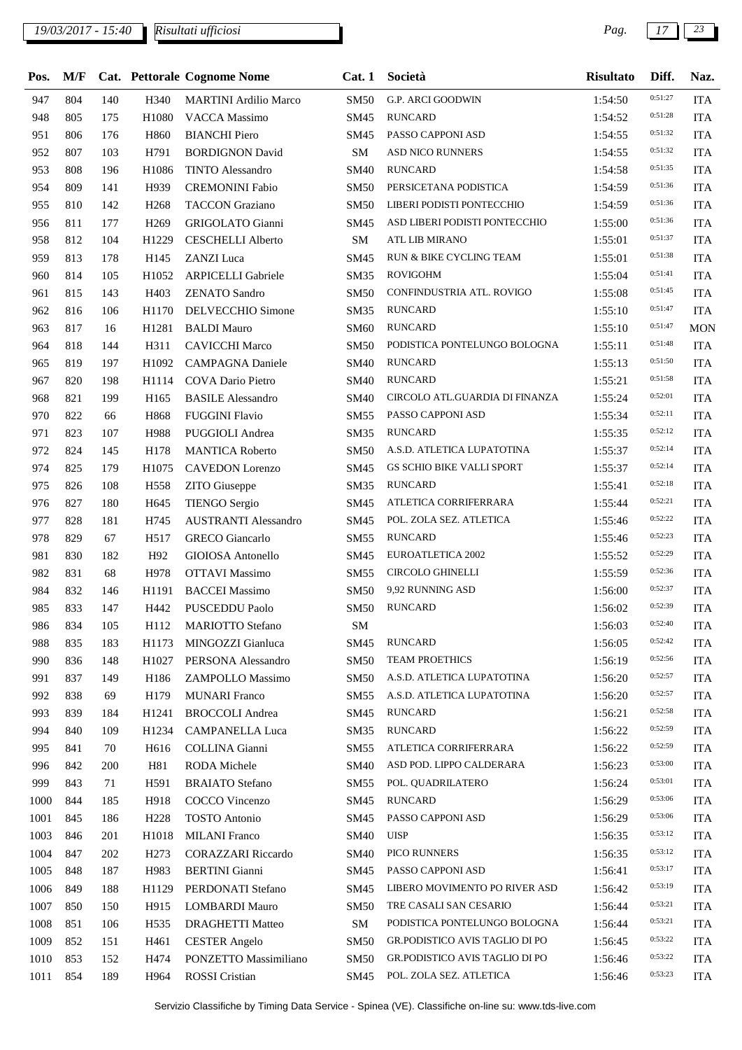### *19/03/2017 - 15:40 Pag. 17 23*

*Risultati ufficiosi*

| Pos. | M/F |     |                   | Cat. Pettorale Cognome Nome  | Cat.1       | Società                        | <b>Risultato</b> | Diff.   | Naz.       |
|------|-----|-----|-------------------|------------------------------|-------------|--------------------------------|------------------|---------|------------|
| 947  | 804 | 140 | H340              | <b>MARTINI</b> Ardilio Marco | <b>SM50</b> | <b>G.P. ARCI GOODWIN</b>       | 1:54:50          | 0:51:27 | <b>ITA</b> |
| 948  | 805 | 175 | H1080             | <b>VACCA Massimo</b>         | SM45        | <b>RUNCARD</b>                 | 1:54:52          | 0:51:28 | <b>ITA</b> |
| 951  | 806 | 176 | H860              | <b>BIANCHI</b> Piero         | SM45        | PASSO CAPPONI ASD              | 1:54:55          | 0:51:32 | <b>ITA</b> |
| 952  | 807 | 103 | H791              | <b>BORDIGNON David</b>       | SM          | <b>ASD NICO RUNNERS</b>        | 1:54:55          | 0:51:32 | <b>ITA</b> |
| 953  | 808 | 196 | H1086             | <b>TINTO Alessandro</b>      | <b>SM40</b> | <b>RUNCARD</b>                 | 1:54:58          | 0:51:35 | <b>ITA</b> |
| 954  | 809 | 141 | H939              | <b>CREMONINI Fabio</b>       | <b>SM50</b> | PERSICETANA PODISTICA          | 1:54:59          | 0:51:36 | <b>ITA</b> |
| 955  | 810 | 142 | H <sub>268</sub>  | <b>TACCON</b> Graziano       | <b>SM50</b> | LIBERI PODISTI PONTECCHIO      | 1:54:59          | 0:51:36 | <b>ITA</b> |
| 956  | 811 | 177 | H <sub>269</sub>  | <b>GRIGOLATO</b> Gianni      | SM45        | ASD LIBERI PODISTI PONTECCHIO  | 1:55:00          | 0:51:36 | <b>ITA</b> |
| 958  | 812 | 104 | H1229             | <b>CESCHELLI Alberto</b>     | SM          | ATL LIB MIRANO                 | 1:55:01          | 0:51:37 | <b>ITA</b> |
| 959  | 813 | 178 | H145              | ZANZI Luca                   | SM45        | RUN & BIKE CYCLING TEAM        | 1:55:01          | 0:51:38 | <b>ITA</b> |
| 960  | 814 | 105 | H1052             | <b>ARPICELLI Gabriele</b>    | <b>SM35</b> | <b>ROVIGOHM</b>                | 1:55:04          | 0:51:41 | <b>ITA</b> |
| 961  | 815 | 143 | H403              | <b>ZENATO Sandro</b>         | <b>SM50</b> | CONFINDUSTRIA ATL. ROVIGO      | 1:55:08          | 0:51:45 | <b>ITA</b> |
| 962  | 816 | 106 | H1170             | <b>DELVECCHIO Simone</b>     | <b>SM35</b> | <b>RUNCARD</b>                 | 1:55:10          | 0:51:47 | <b>ITA</b> |
| 963  | 817 | 16  | H1281             | <b>BALDI</b> Mauro           | <b>SM60</b> | <b>RUNCARD</b>                 | 1:55:10          | 0:51:47 | <b>MON</b> |
| 964  | 818 | 144 | H311              | <b>CAVICCHI Marco</b>        | <b>SM50</b> | PODISTICA PONTELUNGO BOLOGNA   | 1:55:11          | 0:51:48 | <b>ITA</b> |
| 965  | 819 | 197 | H1092             | <b>CAMPAGNA Daniele</b>      | <b>SM40</b> | <b>RUNCARD</b>                 | 1:55:13          | 0:51:50 | <b>ITA</b> |
| 967  | 820 | 198 | H1114             | COVA Dario Pietro            | SM40        | <b>RUNCARD</b>                 | 1:55:21          | 0:51:58 | <b>ITA</b> |
| 968  | 821 | 199 | H165              | <b>BASILE Alessandro</b>     | <b>SM40</b> | CIRCOLO ATL.GUARDIA DI FINANZA | 1:55:24          | 0:52:01 | <b>ITA</b> |
| 970  | 822 | 66  | H868              | <b>FUGGINI Flavio</b>        | <b>SM55</b> | PASSO CAPPONI ASD              | 1:55:34          | 0:52:11 | <b>ITA</b> |
| 971  | 823 | 107 | H988              | PUGGIOLI Andrea              | <b>SM35</b> | <b>RUNCARD</b>                 | 1:55:35          | 0:52:12 | <b>ITA</b> |
| 972  | 824 | 145 | H178              | <b>MANTICA Roberto</b>       | <b>SM50</b> | A.S.D. ATLETICA LUPATOTINA     | 1:55:37          | 0:52:14 | <b>ITA</b> |
| 974  | 825 | 179 | H1075             | <b>CAVEDON</b> Lorenzo       | SM45        | GS SCHIO BIKE VALLI SPORT      | 1:55:37          | 0:52:14 | <b>ITA</b> |
| 975  | 826 | 108 | H <sub>558</sub>  | ZITO Giuseppe                | SM35        | <b>RUNCARD</b>                 | 1:55:41          | 0:52:18 | <b>ITA</b> |
| 976  | 827 | 180 | H <sub>645</sub>  | <b>TIENGO Sergio</b>         | SM45        | ATLETICA CORRIFERRARA          | 1:55:44          | 0:52:21 | <b>ITA</b> |
| 977  | 828 | 181 | H745              | <b>AUSTRANTI Alessandro</b>  | SM45        | POL. ZOLA SEZ. ATLETICA        | 1:55:46          | 0:52:22 | <b>ITA</b> |
| 978  | 829 | 67  | H517              | <b>GRECO</b> Giancarlo       | SM55        | <b>RUNCARD</b>                 | 1:55:46          | 0:52:23 | <b>ITA</b> |
| 981  | 830 | 182 | H92               | GIOIOSA Antonello            | SM45        | EUROATLETICA 2002              | 1:55:52          | 0:52:29 | <b>ITA</b> |
| 982  | 831 | 68  | H978              | <b>OTTAVI</b> Massimo        | <b>SM55</b> | CIRCOLO GHINELLI               | 1:55:59          | 0:52:36 | <b>ITA</b> |
| 984  | 832 | 146 | H1191             | <b>BACCEI</b> Massimo        | <b>SM50</b> | 9,92 RUNNING ASD               | 1:56:00          | 0:52:37 | <b>ITA</b> |
| 985  | 833 | 147 | H442              | PUSCEDDU Paolo               | <b>SM50</b> | <b>RUNCARD</b>                 | 1:56:02          | 0:52:39 | <b>ITA</b> |
| 986  | 834 | 105 | H112              | <b>MARIOTTO Stefano</b>      | SM          |                                | 1:56:03          | 0:52:40 | <b>ITA</b> |
| 988  | 835 | 183 | H <sub>1173</sub> | MINGOZZI Gianluca            | SM45        | <b>RUNCARD</b>                 | 1:56:05          | 0:52:42 | <b>ITA</b> |
| 990  | 836 | 148 | H1027             | PERSONA Alessandro           | SM50        | TEAM PROETHICS                 | 1:56:19          | 0:52:56 | <b>ITA</b> |
| 991  | 837 | 149 | H186              | <b>ZAMPOLLO Massimo</b>      | <b>SM50</b> | A.S.D. ATLETICA LUPATOTINA     | 1:56:20          | 0:52:57 | <b>ITA</b> |
| 992  | 838 | 69  | H179              | <b>MUNARI</b> Franco         | <b>SM55</b> | A.S.D. ATLETICA LUPATOTINA     | 1:56:20          | 0:52:57 | <b>ITA</b> |
| 993  | 839 | 184 | H1241             | <b>BROCCOLI</b> Andrea       | SM45        | <b>RUNCARD</b>                 | 1:56:21          | 0:52:58 | <b>ITA</b> |
| 994  | 840 | 109 | H1234             | <b>CAMPANELLA Luca</b>       | SM35        | <b>RUNCARD</b>                 | 1:56:22          | 0:52:59 | <b>ITA</b> |
| 995  | 841 | 70  | H616              | <b>COLLINA</b> Gianni        | <b>SM55</b> | ATLETICA CORRIFERRARA          | 1:56:22          | 0:52:59 | <b>ITA</b> |
| 996  | 842 | 200 | H81               | RODA Michele                 | <b>SM40</b> | ASD POD. LIPPO CALDERARA       | 1:56:23          | 0:53:00 | <b>ITA</b> |
| 999  | 843 | 71  | H591              | <b>BRAIATO</b> Stefano       | SM55        | POL. QUADRILATERO              | 1:56:24          | 0:53:01 | <b>ITA</b> |
| 1000 | 844 | 185 | H918              | COCCO Vincenzo               | SM45        | <b>RUNCARD</b>                 | 1:56:29          | 0:53:06 | <b>ITA</b> |
| 1001 | 845 | 186 | H <sub>228</sub>  | <b>TOSTO</b> Antonio         | SM45        | PASSO CAPPONI ASD              | 1:56:29          | 0:53:06 | <b>ITA</b> |
| 1003 | 846 | 201 | H1018             | <b>MILANI</b> Franco         | <b>SM40</b> | <b>UISP</b>                    | 1:56:35          | 0:53:12 | <b>ITA</b> |
| 1004 | 847 | 202 | H <sub>273</sub>  | <b>CORAZZARI</b> Riccardo    | SM40        | PICO RUNNERS                   | 1:56:35          | 0:53:12 | <b>ITA</b> |
| 1005 | 848 | 187 | H983              | <b>BERTINI</b> Gianni        | SM45        | PASSO CAPPONI ASD              | 1:56:41          | 0:53:17 | <b>ITA</b> |
| 1006 | 849 | 188 | H1129             | PERDONATI Stefano            | SM45        | LIBERO MOVIMENTO PO RIVER ASD  | 1:56:42          | 0:53:19 | <b>ITA</b> |
| 1007 | 850 | 150 | H915              | <b>LOMBARDI Mauro</b>        | <b>SM50</b> | TRE CASALI SAN CESARIO         | 1:56:44          | 0:53:21 | <b>ITA</b> |
| 1008 | 851 | 106 | H <sub>535</sub>  | <b>DRAGHETTI Matteo</b>      | SM          | PODISTICA PONTELUNGO BOLOGNA   | 1:56:44          | 0:53:21 | <b>ITA</b> |
| 1009 | 852 | 151 | H461              | <b>CESTER Angelo</b>         | <b>SM50</b> | GR.PODISTICO AVIS TAGLIO DI PO | 1:56:45          | 0:53:22 | <b>ITA</b> |
| 1010 | 853 | 152 | H474              | PONZETTO Massimiliano        | <b>SM50</b> | GR.PODISTICO AVIS TAGLIO DI PO | 1:56:46          | 0:53:22 | <b>ITA</b> |
| 1011 | 854 | 189 | H964              | <b>ROSSI</b> Cristian        | SM45        | POL. ZOLA SEZ. ATLETICA        | 1:56:46          | 0:53:23 | <b>ITA</b> |
|      |     |     |                   |                              |             |                                |                  |         |            |

Servizio Classifiche by Timing Data Service - Spinea (VE). Classifiche on-line su: www.tds-live.com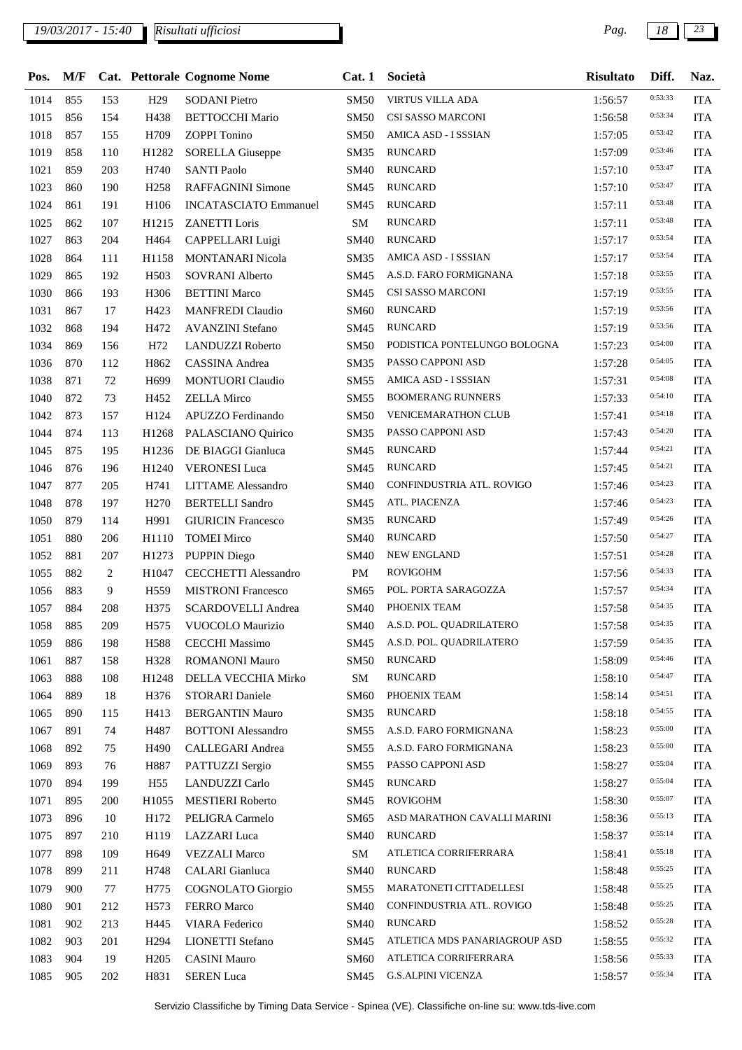# *19/03/2017 - 15:40 Pag. 18 23*

| Pos. | M/F |     |                   | Cat. Pettorale Cognome Nome  | Cat.1            | Società                       | <b>Risultato</b> | Diff.   | Naz.       |
|------|-----|-----|-------------------|------------------------------|------------------|-------------------------------|------------------|---------|------------|
| 1014 | 855 | 153 | H <sub>29</sub>   | <b>SODANI</b> Pietro         | <b>SM50</b>      | <b>VIRTUS VILLA ADA</b>       | 1:56:57          | 0:53:33 | <b>ITA</b> |
| 1015 | 856 | 154 | H438              | <b>BETTOCCHI Mario</b>       | <b>SM50</b>      | CSI SASSO MARCONI             | 1:56:58          | 0:53:34 | <b>ITA</b> |
| 1018 | 857 | 155 | H709              | <b>ZOPPI</b> Tonino          | <b>SM50</b>      | AMICA ASD - I SSSIAN          | 1:57:05          | 0:53:42 | <b>ITA</b> |
| 1019 | 858 | 110 | H1282             | <b>SORELLA Giuseppe</b>      | SM35             | <b>RUNCARD</b>                | 1:57:09          | 0:53:46 | <b>ITA</b> |
| 1021 | 859 | 203 | H740              | <b>SANTI Paolo</b>           | <b>SM40</b>      | <b>RUNCARD</b>                | 1:57:10          | 0:53:47 | <b>ITA</b> |
| 1023 | 860 | 190 | H <sub>258</sub>  | RAFFAGNINI Simone            | SM45             | <b>RUNCARD</b>                | 1:57:10          | 0:53:47 | <b>ITA</b> |
| 1024 | 861 | 191 | H106              | <b>INCATASCIATO Emmanuel</b> | SM45             | <b>RUNCARD</b>                | 1:57:11          | 0:53:48 | <b>ITA</b> |
| 1025 | 862 | 107 | H1215             | <b>ZANETTI Loris</b>         | SM               | <b>RUNCARD</b>                | 1:57:11          | 0:53:48 | <b>ITA</b> |
| 1027 | 863 | 204 | H464              | CAPPELLARI Luigi             | <b>SM40</b>      | <b>RUNCARD</b>                | 1:57:17          | 0:53:54 | <b>ITA</b> |
| 1028 | 864 | 111 | H1158             | <b>MONTANARI Nicola</b>      | SM35             | AMICA ASD - I SSSIAN          | 1:57:17          | 0:53:54 | <b>ITA</b> |
| 1029 | 865 | 192 | H <sub>503</sub>  | <b>SOVRANI</b> Alberto       | SM45             | A.S.D. FARO FORMIGNANA        | 1:57:18          | 0:53:55 | <b>ITA</b> |
| 1030 | 866 | 193 | H306              | <b>BETTINI</b> Marco         | SM45             | CSI SASSO MARCONI             | 1:57:19          | 0:53:55 | <b>ITA</b> |
| 1031 | 867 | 17  | H423              | <b>MANFREDI Claudio</b>      | <b>SM60</b>      | <b>RUNCARD</b>                | 1:57:19          | 0:53:56 | <b>ITA</b> |
| 1032 | 868 | 194 | H472              | <b>AVANZINI</b> Stefano      | SM45             | <b>RUNCARD</b>                | 1:57:19          | 0:53:56 | <b>ITA</b> |
| 1034 | 869 | 156 | H72               | <b>LANDUZZI Roberto</b>      | <b>SM50</b>      | PODISTICA PONTELUNGO BOLOGNA  | 1:57:23          | 0:54:00 | <b>ITA</b> |
| 1036 | 870 | 112 | H862              | CASSINA Andrea               | SM35             | PASSO CAPPONI ASD             | 1:57:28          | 0:54:05 | <b>ITA</b> |
| 1038 | 871 | 72  | H <sub>699</sub>  | <b>MONTUORI</b> Claudio      | SM55             | AMICA ASD - I SSSIAN          | 1:57:31          | 0:54:08 | <b>ITA</b> |
| 1040 | 872 | 73  | H452              | <b>ZELLA</b> Mirco           | SM55             | <b>BOOMERANG RUNNERS</b>      | 1:57:33          | 0:54:10 | <b>ITA</b> |
| 1042 | 873 | 157 | H124              | APUZZO Ferdinando            | <b>SM50</b>      | VENICEMARATHON CLUB           | 1:57:41          | 0:54:18 | <b>ITA</b> |
| 1044 | 874 | 113 | H1268             | PALASCIANO Quirico           | SM35             | PASSO CAPPONI ASD             | 1:57:43          | 0:54:20 | <b>ITA</b> |
| 1045 | 875 | 195 | H1236             | DE BIAGGI Gianluca           | SM45             | <b>RUNCARD</b>                | 1:57:44          | 0:54:21 | <b>ITA</b> |
| 1046 | 876 | 196 | H1240             | <b>VERONESI Luca</b>         | SM45             | <b>RUNCARD</b>                | 1:57:45          | 0:54:21 | <b>ITA</b> |
| 1047 | 877 | 205 | H741              | <b>LITTAME</b> Alessandro    | <b>SM40</b>      | CONFINDUSTRIA ATL. ROVIGO     | 1:57:46          | 0:54:23 | <b>ITA</b> |
| 1048 | 878 | 197 | H <sub>270</sub>  | <b>BERTELLI</b> Sandro       | SM45             | ATL. PIACENZA                 | 1:57:46          | 0:54:23 | <b>ITA</b> |
| 1050 | 879 | 114 | H991              | <b>GIURICIN Francesco</b>    | SM35             | <b>RUNCARD</b>                | 1:57:49          | 0:54:26 | <b>ITA</b> |
| 1051 | 880 | 206 | H1110             | <b>TOMEI Mirco</b>           | <b>SM40</b>      | <b>RUNCARD</b>                | 1:57:50          | 0:54:27 | <b>ITA</b> |
| 1052 | 881 | 207 | H <sub>1273</sub> | PUPPIN Diego                 | <b>SM40</b>      | <b>NEW ENGLAND</b>            | 1:57:51          | 0:54:28 | <b>ITA</b> |
| 1055 | 882 | 2   | H1047             | <b>CECCHETTI Alessandro</b>  | PM               | <b>ROVIGOHM</b>               | 1:57:56          | 0:54:33 | <b>ITA</b> |
| 1056 | 883 | 9   | H559              | <b>MISTRONI Francesco</b>    | SM65             | POL. PORTA SARAGOZZA          | 1:57:57          | 0:54:34 | <b>ITA</b> |
| 1057 | 884 | 208 | H375              | SCARDOVELLI Andrea           | <b>SM40</b>      | PHOENIX TEAM                  | 1:57:58          | 0:54:35 | <b>ITA</b> |
| 1058 | 885 | 209 | H <sub>575</sub>  | VUOCOLO Maurizio             | SM40             | A.S.D. POL. QUADRILATERO      | 1:57:58          | 0:54:35 | <b>ITA</b> |
| 1059 | 886 | 198 | H588              | <b>CECCHI Massimo</b>        | SM45             | A.S.D. POL. QUADRILATERO      | 1:57:59          | 0:54:35 | <b>ITA</b> |
| 1061 | 887 | 158 | H328              | <b>ROMANONI Mauro</b>        | SM <sub>50</sub> | <b>RUNCARD</b>                | 1:58:09          | 0:54:46 | <b>ITA</b> |
| 1063 | 888 | 108 | H1248             | DELLA VECCHIA Mirko          | SM               | <b>RUNCARD</b>                | 1:58:10          | 0:54:47 | <b>ITA</b> |
| 1064 | 889 | 18  | H376              | <b>STORARI</b> Daniele       | <b>SM60</b>      | PHOENIX TEAM                  | 1:58:14          | 0:54:51 | <b>ITA</b> |
| 1065 | 890 | 115 | H413              | <b>BERGANTIN Mauro</b>       | SM35             | <b>RUNCARD</b>                | 1:58:18          | 0:54:55 | <b>ITA</b> |
| 1067 | 891 | 74  | H487              | <b>BOTTONI</b> Alessandro    | SM55             | A.S.D. FARO FORMIGNANA        | 1:58:23          | 0:55:00 | <b>ITA</b> |
| 1068 | 892 | 75  | H490              | CALLEGARI Andrea             | SM55             | A.S.D. FARO FORMIGNANA        | 1:58:23          | 0:55:00 | <b>ITA</b> |
| 1069 | 893 | 76  | H887              | PATTUZZI Sergio              | SM55             | PASSO CAPPONI ASD             | 1:58:27          | 0:55:04 | <b>ITA</b> |
| 1070 | 894 | 199 | H <sub>55</sub>   | LANDUZZI Carlo               | SM45             | <b>RUNCARD</b>                | 1:58:27          | 0:55:04 | <b>ITA</b> |
| 1071 | 895 | 200 | H1055             | <b>MESTIERI</b> Roberto      | SM45             | <b>ROVIGOHM</b>               | 1:58:30          | 0:55:07 | <b>ITA</b> |
| 1073 | 896 | 10  | H172              | PELIGRA Carmelo              | SM65             | ASD MARATHON CAVALLI MARINI   | 1:58:36          | 0:55:13 | <b>ITA</b> |
| 1075 | 897 | 210 | H119              | LAZZARI Luca                 | <b>SM40</b>      | <b>RUNCARD</b>                | 1:58:37          | 0:55:14 | <b>ITA</b> |
| 1077 | 898 | 109 | H <sub>649</sub>  | <b>VEZZALI Marco</b>         | SM               | ATLETICA CORRIFERRARA         | 1:58:41          | 0:55:18 | <b>ITA</b> |
| 1078 | 899 | 211 | H748              | CALARI Gianluca              | <b>SM40</b>      | <b>RUNCARD</b>                | 1:58:48          | 0:55:25 | <b>ITA</b> |
| 1079 | 900 | 77  | H775              | COGNOLATO Giorgio            | SM55             | MARATONETI CITTADELLESI       | 1:58:48          | 0:55:25 | <b>ITA</b> |
| 1080 | 901 | 212 | H <sub>573</sub>  | FERRO Marco                  | <b>SM40</b>      | CONFINDUSTRIA ATL. ROVIGO     | 1:58:48          | 0:55:25 | <b>ITA</b> |
| 1081 | 902 | 213 | H445              | VIARA Federico               | <b>SM40</b>      | <b>RUNCARD</b>                | 1:58:52          | 0:55:28 | <b>ITA</b> |
| 1082 | 903 | 201 | H <sub>294</sub>  | LIONETTI Stefano             | SM45             | ATLETICA MDS PANARIAGROUP ASD | 1:58:55          | 0:55:32 | <b>ITA</b> |
| 1083 | 904 | 19  | H <sub>205</sub>  | <b>CASINI Mauro</b>          | SM60             | ATLETICA CORRIFERRARA         | 1:58:56          | 0:55:33 | <b>ITA</b> |
| 1085 | 905 | 202 | H831              | <b>SEREN Luca</b>            | SM45             | <b>G.S.ALPINI VICENZA</b>     | 1:58:57          | 0:55:34 | <b>ITA</b> |
|      |     |     |                   |                              |                  |                               |                  |         |            |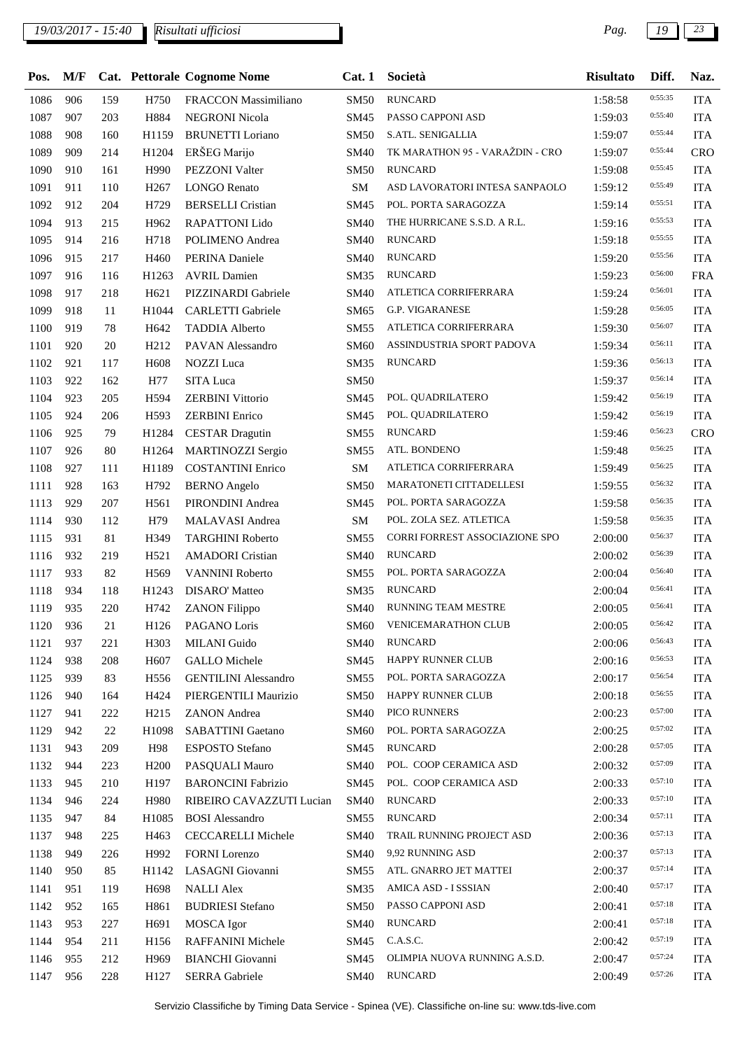# *19/03/2017 - 15:40 Pag. 19 23*

| Pos. | M/F |     |                  | Cat. Pettorale Cognome Nome | Cat.1       | Società                         | <b>Risultato</b> | Diff.   | Naz.       |
|------|-----|-----|------------------|-----------------------------|-------------|---------------------------------|------------------|---------|------------|
| 1086 | 906 | 159 | H750             | FRACCON Massimiliano        | <b>SM50</b> | <b>RUNCARD</b>                  | 1:58:58          | 0:55:35 | <b>ITA</b> |
| 1087 | 907 | 203 | H884             | <b>NEGRONI Nicola</b>       | SM45        | PASSO CAPPONI ASD               | 1:59:03          | 0:55:40 | <b>ITA</b> |
| 1088 | 908 | 160 | H1159            | <b>BRUNETTI</b> Loriano     | <b>SM50</b> | S.ATL. SENIGALLIA               | 1:59:07          | 0:55:44 | <b>ITA</b> |
| 1089 | 909 | 214 | H1204            | ERŠEG Marijo                | <b>SM40</b> | TK MARATHON 95 - VARAŽDIN - CRO | 1:59:07          | 0:55:44 | CRO        |
| 1090 | 910 | 161 | H990             | PEZZONI Valter              | <b>SM50</b> | <b>RUNCARD</b>                  | 1:59:08          | 0:55:45 | <b>ITA</b> |
| 1091 | 911 | 110 | H <sub>267</sub> | <b>LONGO Renato</b>         | SM          | ASD LAVORATORI INTESA SANPAOLO  | 1:59:12          | 0:55:49 | <b>ITA</b> |
| 1092 | 912 | 204 | H729             | <b>BERSELLI</b> Cristian    | SM45        | POL. PORTA SARAGOZZA            | 1:59:14          | 0:55:51 | <b>ITA</b> |
| 1094 | 913 | 215 | H962             | RAPATTONI Lido              | <b>SM40</b> | THE HURRICANE S.S.D. A R.L.     | 1:59:16          | 0:55:53 | <b>ITA</b> |
| 1095 | 914 | 216 | H718             | POLIMENO Andrea             | <b>SM40</b> | <b>RUNCARD</b>                  | 1:59:18          | 0:55:55 | <b>ITA</b> |
| 1096 | 915 | 217 | H460             | PERINA Daniele              | <b>SM40</b> | <b>RUNCARD</b>                  | 1:59:20          | 0:55:56 | <b>ITA</b> |
| 1097 | 916 | 116 | H1263            | <b>AVRIL Damien</b>         | <b>SM35</b> | <b>RUNCARD</b>                  | 1:59:23          | 0:56:00 | <b>FRA</b> |
| 1098 | 917 | 218 | H <sub>621</sub> | PIZZINARDI Gabriele         | <b>SM40</b> | ATLETICA CORRIFERRARA           | 1:59:24          | 0:56:01 | <b>ITA</b> |
| 1099 | 918 | 11  | H1044            | CARLETTI Gabriele           | SM65        | <b>G.P. VIGARANESE</b>          | 1:59:28          | 0:56:05 | <b>ITA</b> |
| 1100 | 919 | 78  | H642             | <b>TADDIA Alberto</b>       | <b>SM55</b> | ATLETICA CORRIFERRARA           | 1:59:30          | 0:56:07 | <b>ITA</b> |
| 1101 | 920 | 20  | H <sub>212</sub> | PAVAN Alessandro            | <b>SM60</b> | ASSINDUSTRIA SPORT PADOVA       | 1:59:34          | 0:56:11 | <b>ITA</b> |
| 1102 | 921 | 117 | H <sub>608</sub> | <b>NOZZI</b> Luca           | <b>SM35</b> | <b>RUNCARD</b>                  | 1:59:36          | 0:56:13 | <b>ITA</b> |
| 1103 | 922 | 162 | H77              | <b>SITA Luca</b>            | <b>SM50</b> |                                 | 1:59:37          | 0:56:14 | <b>ITA</b> |
| 1104 | 923 | 205 | H594             | <b>ZERBINI Vittorio</b>     | SM45        | POL. QUADRILATERO               | 1:59:42          | 0:56:19 | <b>ITA</b> |
| 1105 | 924 | 206 | H593             | <b>ZERBINI</b> Enrico       | SM45        | POL. QUADRILATERO               | 1:59:42          | 0:56:19 | <b>ITA</b> |
| 1106 | 925 | 79  | H1284            | <b>CESTAR Dragutin</b>      | SM55        | <b>RUNCARD</b>                  | 1:59:46          | 0:56:23 | CRO        |
| 1107 | 926 | 80  | H1264            | MARTINOZZI Sergio           | SM55        | ATL. BONDENO                    | 1:59:48          | 0:56:25 | <b>ITA</b> |
| 1108 | 927 | 111 | H1189            | <b>COSTANTINI Enrico</b>    | SM          | ATLETICA CORRIFERRARA           | 1:59:49          | 0:56:25 | <b>ITA</b> |
| 1111 | 928 | 163 | H792             | <b>BERNO</b> Angelo         | <b>SM50</b> | MARATONETI CITTADELLESI         | 1:59:55          | 0:56:32 | <b>ITA</b> |
| 1113 | 929 | 207 | H <sub>561</sub> | PIRONDINI Andrea            | SM45        | POL. PORTA SARAGOZZA            | 1:59:58          | 0:56:35 | <b>ITA</b> |
| 1114 | 930 | 112 | H79              | MALAVASI Andrea             | SM          | POL. ZOLA SEZ. ATLETICA         | 1:59:58          | 0:56:35 | <b>ITA</b> |
| 1115 | 931 | 81  | H349             | <b>TARGHINI Roberto</b>     | <b>SM55</b> | CORRI FORREST ASSOCIAZIONE SPO  | 2:00:00          | 0:56:37 | <b>ITA</b> |
| 1116 | 932 | 219 | H521             | <b>AMADORI</b> Cristian     | <b>SM40</b> | <b>RUNCARD</b>                  | 2:00:02          | 0:56:39 | <b>ITA</b> |
| 1117 | 933 | 82  | H569             | VANNINI Roberto             | <b>SM55</b> | POL. PORTA SARAGOZZA            | 2:00:04          | 0:56:40 | <b>ITA</b> |
| 1118 | 934 | 118 | H1243            | <b>DISARO'</b> Matteo       | SM35        | <b>RUNCARD</b>                  | 2:00:04          | 0:56:41 | <b>ITA</b> |
| 1119 | 935 | 220 | H742             | <b>ZANON Filippo</b>        | <b>SM40</b> | RUNNING TEAM MESTRE             | 2:00:05          | 0:56:41 | <b>ITA</b> |
| 1120 | 936 | 21  | H <sub>126</sub> | PAGANO Loris                | SM60        | VENICEMARATHON CLUB             | 2:00:05          | 0:56:42 | <b>ITA</b> |
| 1121 | 937 | 221 | H303             | MILANI Guido                | SM40        | <b>RUNCARD</b>                  | 2:00:06          | 0:56:43 | <b>ITA</b> |
| 1124 | 938 | 208 | H <sub>607</sub> | <b>GALLO</b> Michele        | SM45        | HAPPY RUNNER CLUB               | 2:00:16          | 0:56:53 | <b>ITA</b> |
| 1125 | 939 | 83  | H556             | <b>GENTILINI Alessandro</b> | SM55        | POL. PORTA SARAGOZZA            | 2:00:17          | 0:56:54 | <b>ITA</b> |
| 1126 | 940 | 164 | H424             | PIERGENTILI Maurizio        | <b>SM50</b> | HAPPY RUNNER CLUB               | 2:00:18          | 0:56:55 | <b>ITA</b> |
| 1127 | 941 | 222 | H <sub>215</sub> | <b>ZANON</b> Andrea         | <b>SM40</b> | PICO RUNNERS                    | 2:00:23          | 0:57:00 | <b>ITA</b> |
| 1129 | 942 | 22  | H1098            | <b>SABATTINI</b> Gaetano    | <b>SM60</b> | POL. PORTA SARAGOZZA            | 2:00:25          | 0:57:02 | <b>ITA</b> |
| 1131 | 943 | 209 | H98              | ESPOSTO Stefano             | SM45        | <b>RUNCARD</b>                  | 2:00:28          | 0:57:05 | <b>ITA</b> |
| 1132 | 944 | 223 | H <sub>200</sub> | PASQUALI Mauro              | <b>SM40</b> | POL. COOP CERAMICA ASD          | 2:00:32          | 0:57:09 | <b>ITA</b> |
| 1133 | 945 | 210 | H197             | <b>BARONCINI Fabrizio</b>   | SM45        | POL. COOP CERAMICA ASD          | 2:00:33          | 0:57:10 | <b>ITA</b> |
| 1134 | 946 | 224 | H980             | RIBEIRO CAVAZZUTI Lucian    | <b>SM40</b> | <b>RUNCARD</b>                  | 2:00:33          | 0:57:10 | <b>ITA</b> |
| 1135 | 947 | 84  | H1085            | <b>BOSI</b> Alessandro      | SM55        | <b>RUNCARD</b>                  | 2:00:34          | 0:57:11 | <b>ITA</b> |
| 1137 | 948 | 225 | H463             | <b>CECCARELLI Michele</b>   | <b>SM40</b> | TRAIL RUNNING PROJECT ASD       | 2:00:36          | 0:57:13 | <b>ITA</b> |
| 1138 | 949 | 226 | H992             | <b>FORNI</b> Lorenzo        | SM40        | 9,92 RUNNING ASD                | 2:00:37          | 0:57:13 | <b>ITA</b> |
| 1140 | 950 | 85  | H1142            | LASAGNI Giovanni            | SM55        | ATL. GNARRO JET MATTEI          | 2:00:37          | 0:57:14 | <b>ITA</b> |
| 1141 | 951 | 119 | H698             | <b>NALLI Alex</b>           | SM35        | AMICA ASD - I SSSIAN            | 2:00:40          | 0:57:17 | <b>ITA</b> |
| 1142 | 952 | 165 | H861             | <b>BUDRIESI Stefano</b>     | <b>SM50</b> | PASSO CAPPONI ASD               | 2:00:41          | 0:57:18 | <b>ITA</b> |
| 1143 | 953 | 227 | H691             | <b>MOSCA</b> Igor           | <b>SM40</b> | <b>RUNCARD</b>                  | 2:00:41          | 0:57:18 | <b>ITA</b> |
| 1144 | 954 | 211 | H <sub>156</sub> | RAFFANINI Michele           | SM45        | C.A.S.C.                        | 2:00:42          | 0:57:19 | <b>ITA</b> |
| 1146 | 955 | 212 | H <sub>969</sub> | <b>BIANCHI</b> Giovanni     | SM45        | OLIMPIA NUOVA RUNNING A.S.D.    | 2:00:47          | 0:57:24 | <b>ITA</b> |
| 1147 | 956 | 228 | H127             | <b>SERRA Gabriele</b>       | <b>SM40</b> | <b>RUNCARD</b>                  | 2:00:49          | 0:57:26 | <b>ITA</b> |
|      |     |     |                  |                             |             |                                 |                  |         |            |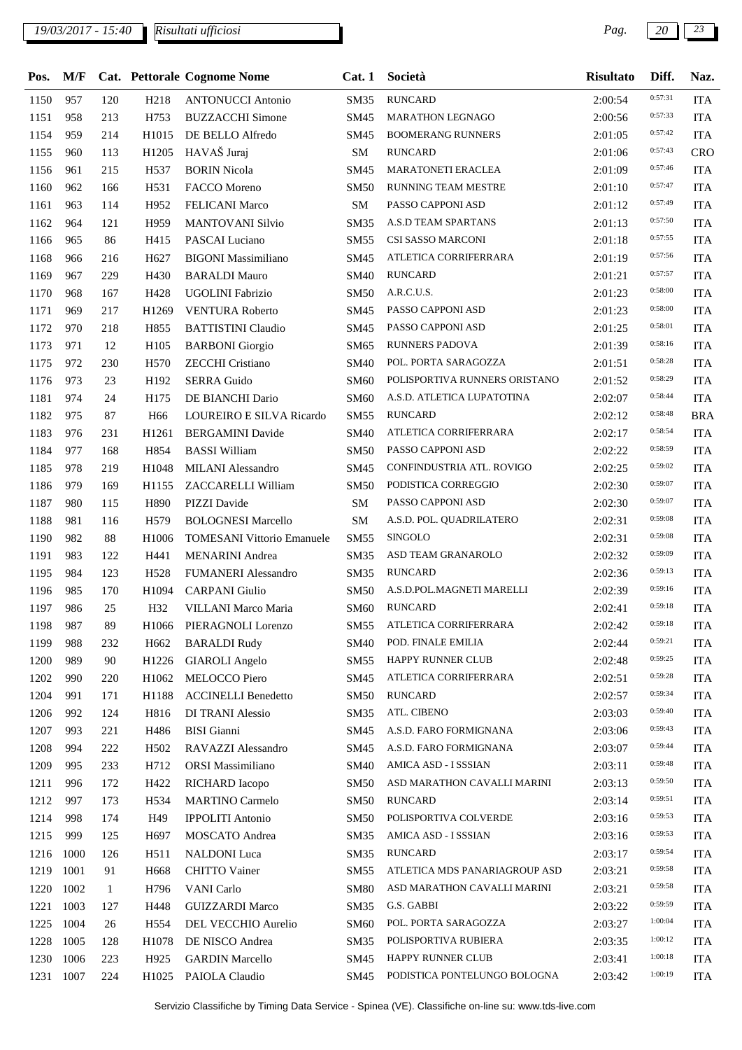# *19/03/2017 - 15:40 Pag. 20 23*

| 0:57:31<br><b>RUNCARD</b><br><b>SM35</b><br>1150<br>957<br>120<br>H <sub>218</sub><br><b>ANTONUCCI Antonio</b><br>2:00:54<br><b>ITA</b><br>0:57:33<br>958<br>213<br>H753<br>SM45<br><b>MARATHON LEGNAGO</b><br><b>ITA</b><br>1151<br><b>BUZZACCHI Simone</b><br>2:00:56<br>0:57:42<br><b>BOOMERANG RUNNERS</b><br>1154<br>959<br>214<br>H1015<br>DE BELLO Alfredo<br>SM45<br>2:01:05<br><b>ITA</b><br>HAVAŠ Juraj<br>0:57:43<br>${\bf SM}$<br><b>RUNCARD</b><br><b>CRO</b><br>1155<br>960<br>113<br>H1205<br>2:01:06<br>0:57:46<br><b>MARATONETI ERACLEA</b><br>SM45<br><b>ITA</b><br>1156<br>961<br>215<br>H <sub>537</sub><br><b>BORIN</b> Nicola<br>2:01:09<br>0:57:47<br>RUNNING TEAM MESTRE<br>1160<br>962<br>166<br>H531<br>FACCO Moreno<br><b>SM50</b><br><b>ITA</b><br>2:01:10<br>0:57:49<br>${\rm SM}$<br>PASSO CAPPONI ASD<br>1161<br>H952<br>FELICANI Marco<br><b>ITA</b><br>963<br>114<br>2:01:12<br>0:57:50<br>1162<br>SM35<br>A.S.D TEAM SPARTANS<br><b>ITA</b><br>964<br>121<br>H959<br><b>MANTOVANI Silvio</b><br>2:01:13<br>0:57:55<br>965<br>CSI SASSO MARCONI<br>1166<br>86<br>H415<br>PASCAI Luciano<br>SM55<br>2:01:18<br><b>ITA</b><br>0:57:56<br>1168<br>SM45<br>ATLETICA CORRIFERRARA<br><b>ITA</b><br>966<br>216<br>H <sub>627</sub><br><b>BIGONI</b> Massimiliano<br>2:01:19<br>0:57:57<br>1169<br><b>RUNCARD</b><br><b>ITA</b><br>967<br>229<br>H430<br><b>BARALDI Mauro</b><br><b>SM40</b><br>2:01:21<br>0:58:00<br>A.R.C.U.S.<br>1170<br>968<br>167<br>H428<br>UGOLINI Fabrizio<br><b>SM50</b><br>2:01:23<br><b>ITA</b><br>0:58:00<br>PASSO CAPPONI ASD<br>1171<br>SM45<br><b>ITA</b><br>969<br>217<br>H1269<br><b>VENTURA Roberto</b><br>2:01:23<br>0:58:01<br>PASSO CAPPONI ASD<br>1172<br>970<br>218<br>H855<br><b>BATTISTINI</b> Claudio<br>SM45<br>2:01:25<br><b>ITA</b><br>0:58:16<br><b>RUNNERS PADOVA</b><br>1173<br>971<br>12<br>H105<br><b>BARBONI</b> Giorgio<br>SM65<br>2:01:39<br><b>ITA</b><br>0:58:28<br>POL. PORTA SARAGOZZA<br>1175<br>972<br>SM40<br><b>ITA</b><br>230<br>H <sub>570</sub><br><b>ZECCHI</b> Cristiano<br>2:01:51<br>0:58:29<br>973<br>23<br>POLISPORTIVA RUNNERS ORISTANO<br><b>ITA</b><br>1176<br>H192<br><b>SERRA Guido</b><br><b>SM60</b><br>2:01:52<br>0:58:44<br>1181<br>974<br>A.S.D. ATLETICA LUPATOTINA<br><b>ITA</b><br>24<br>H175<br>DE BIANCHI Dario<br><b>SM60</b><br>2:02:07<br>0:58:48<br>1182<br>975<br>H <sub>66</sub><br><b>SM55</b><br><b>RUNCARD</b><br><b>BRA</b><br>87<br>LOUREIRO E SILVA Ricardo<br>2:02:12<br>0:58:54<br>1183<br>ATLETICA CORRIFERRARA<br>976<br>231<br>H1261<br><b>BERGAMINI</b> Davide<br><b>SM40</b><br><b>ITA</b><br>2:02:17<br>0:58:59<br>1184<br>977<br><b>BASSI William</b><br>PASSO CAPPONI ASD<br>168<br>H854<br><b>SM50</b><br>2:02:22<br><b>ITA</b><br>0:59:02<br>CONFINDUSTRIA ATL. ROVIGO<br>978<br>SM45<br><b>ITA</b><br>1185<br>219<br>H1048<br>MILANI Alessandro<br>2:02:25<br>0:59:07<br>1186<br>979<br>169<br>ZACCARELLI William<br><b>SM50</b><br>PODISTICA CORREGGIO<br><b>ITA</b><br>H <sub>1155</sub><br>2:02:30<br>0:59:07<br>PASSO CAPPONI ASD<br>1187<br>SM<br>980<br>115<br>H890<br>PIZZI Davide<br>2:02:30<br><b>ITA</b><br>0:59:08<br>1188<br>981<br>H579<br><b>BOLOGNESI Marcello</b><br>${\bf SM}$<br><b>ITA</b><br>116<br>A.S.D. POL. QUADRILATERO<br>2:02:31<br>0:59:08<br><b>SINGOLO</b><br>1190<br>88<br>982<br>H1006<br><b>TOMESANI Vittorio Emanuele</b><br>SM55<br><b>ITA</b><br>2:02:31<br>0:59:09<br>ASD TEAM GRANAROLO<br>1191<br>983<br>122<br>H441<br><b>MENARINI</b> Andrea<br><b>SM35</b><br>2:02:32<br><b>ITA</b><br>0:59:13<br>984<br>SM35<br><b>RUNCARD</b><br><b>ITA</b><br>1195<br>123<br>H <sub>528</sub><br><b>FUMANERI Alessandro</b><br>2:02:36<br>0:59:16<br>1196<br>985<br>170<br>H1094<br><b>CARPANI</b> Giulio<br><b>SM50</b><br>A.S.D.POL.MAGNETI MARELLI<br><b>ITA</b><br>2:02:39<br>0:59:18<br>1197<br><b>RUNCARD</b><br>986<br>25<br>H32<br>VILLANI Marco Maria<br>SM60<br><b>ITA</b><br>2:02:41<br>0:59:18<br>987<br>89<br>SM55 ATLETICA CORRIFERRARA<br>2:02:42<br><b>ITA</b><br>1198<br>H1066 PIERAGNOLI Lorenzo<br>0:59:21<br>POD. FINALE EMILIA<br>1199<br>988<br>232<br>H <sub>662</sub><br><b>BARALDI Rudy</b><br>SM40<br>2:02:44<br><b>ITA</b><br>0:59:25<br>HAPPY RUNNER CLUB<br>1200<br>989<br>90<br>H1226<br>SM55<br>2:02:48<br><b>ITA</b><br><b>GIAROLI</b> Angelo<br>0:59:28<br>1202<br>990<br>220<br>H1062<br>MELOCCO Piero<br>SM45<br>ATLETICA CORRIFERRARA<br>2:02:51<br><b>ITA</b><br>0:59:34<br><b>RUNCARD</b><br>1204<br>991<br><b>ACCINELLI Benedetto</b><br>171<br>H1188<br><b>SM50</b><br>2:02:57<br><b>ITA</b><br>0:59:40<br>1206<br>H816<br>DI TRANI Alessio<br>SM35<br>ATL. CIBENO<br>2:03:03<br><b>ITA</b><br>992<br>124<br>0:59:43<br>A.S.D. FARO FORMIGNANA<br>1207<br>993<br>221<br>H486<br><b>BISI</b> Gianni<br>SM45<br><b>ITA</b><br>2:03:06<br>0:59:44<br>1208<br>RAVAZZI Alessandro<br>A.S.D. FARO FORMIGNANA<br>994<br>222<br>H <sub>502</sub><br>SM45<br>2:03:07<br><b>ITA</b><br>0:59:48<br>AMICA ASD - I SSSIAN<br>1209<br>995<br>233<br>H712<br>ORSI Massimiliano<br><b>SM40</b><br><b>ITA</b><br>2:03:11<br>0:59:50<br>1211<br>996<br>172<br>H422<br>RICHARD Iacopo<br><b>SM50</b><br>ASD MARATHON CAVALLI MARINI<br>2:03:13<br><b>ITA</b><br>0:59:51<br><b>RUNCARD</b><br>1212<br>997<br>H534<br><b>MARTINO Carmelo</b><br><b>SM50</b><br><b>ITA</b><br>173<br>2:03:14<br>POLISPORTIVA COLVERDE<br>0:59:53<br>1214<br>998<br>174<br>H49<br><b>IPPOLITI Antonio</b><br><b>SM50</b><br>2:03:16<br><b>ITA</b><br>0:59:53<br>AMICA ASD - I SSSIAN<br>1215<br>999<br>MOSCATO Andrea<br><b>SM35</b><br><b>ITA</b><br>125<br>H <sub>697</sub><br>2:03:16<br>0:59:54<br>1216<br>1000<br>H511<br><b>NALDONI</b> Luca<br><b>RUNCARD</b><br><b>ITA</b><br>126<br>SM35<br>2:03:17<br>0:59:58<br>ATLETICA MDS PANARIAGROUP ASD<br>1219<br>1001<br>91<br>H668<br><b>CHITTO Vainer</b><br>SM55<br><b>ITA</b><br>2:03:21<br>0:59:58<br>1220<br>1002<br><b>VANI</b> Carlo<br><b>SM80</b><br>ASD MARATHON CAVALLI MARINI<br><b>ITA</b><br>-1<br>H796<br>2:03:21<br>0:59:59<br>G.S. GABBI<br>1221<br>1003<br><b>GUIZZARDI Marco</b><br>SM35<br><b>ITA</b><br>127<br>H448<br>2:03:22<br>1:00:04<br>POL. PORTA SARAGOZZA<br>1225<br>1004<br>DEL VECCHIO Aurelio<br><b>SM60</b><br><b>ITA</b><br>26<br>H <sub>554</sub><br>2:03:27<br>1:00:12<br>POLISPORTIVA RUBIERA<br>1228<br>1005<br>DE NISCO Andrea<br>SM35<br><b>ITA</b><br>128<br>H <sub>1078</sub><br>2:03:35<br>1:00:18<br>1230<br>1006<br>223<br>H925<br><b>GARDIN Marcello</b><br>SM45<br>HAPPY RUNNER CLUB<br>2:03:41<br><b>ITA</b><br>1:00:19<br>1231 1007<br>PODISTICA PONTELUNGO BOLOGNA<br>224<br>PAIOLA Claudio<br>SM45<br><b>ITA</b><br>H1025<br>2:03:42 | Pos. | M/F |  | Cat. Pettorale Cognome Nome | Cat.1 | Società | <b>Risultato</b> | Diff. | Naz. |
|-------------------------------------------------------------------------------------------------------------------------------------------------------------------------------------------------------------------------------------------------------------------------------------------------------------------------------------------------------------------------------------------------------------------------------------------------------------------------------------------------------------------------------------------------------------------------------------------------------------------------------------------------------------------------------------------------------------------------------------------------------------------------------------------------------------------------------------------------------------------------------------------------------------------------------------------------------------------------------------------------------------------------------------------------------------------------------------------------------------------------------------------------------------------------------------------------------------------------------------------------------------------------------------------------------------------------------------------------------------------------------------------------------------------------------------------------------------------------------------------------------------------------------------------------------------------------------------------------------------------------------------------------------------------------------------------------------------------------------------------------------------------------------------------------------------------------------------------------------------------------------------------------------------------------------------------------------------------------------------------------------------------------------------------------------------------------------------------------------------------------------------------------------------------------------------------------------------------------------------------------------------------------------------------------------------------------------------------------------------------------------------------------------------------------------------------------------------------------------------------------------------------------------------------------------------------------------------------------------------------------------------------------------------------------------------------------------------------------------------------------------------------------------------------------------------------------------------------------------------------------------------------------------------------------------------------------------------------------------------------------------------------------------------------------------------------------------------------------------------------------------------------------------------------------------------------------------------------------------------------------------------------------------------------------------------------------------------------------------------------------------------------------------------------------------------------------------------------------------------------------------------------------------------------------------------------------------------------------------------------------------------------------------------------------------------------------------------------------------------------------------------------------------------------------------------------------------------------------------------------------------------------------------------------------------------------------------------------------------------------------------------------------------------------------------------------------------------------------------------------------------------------------------------------------------------------------------------------------------------------------------------------------------------------------------------------------------------------------------------------------------------------------------------------------------------------------------------------------------------------------------------------------------------------------------------------------------------------------------------------------------------------------------------------------------------------------------------------------------------------------------------------------------------------------------------------------------------------------------------------------------------------------------------------------------------------------------------------------------------------------------------------------------------------------------------------------------------------------------------------------------------------------------------------------------------------------------------------------------------------------------------------------------------------------------------------------------------------------------------------------------------------------------------------------------------------------------------------------------------------------------------------------------------------------------------------------------------------------------------------------------------------------------------------------------------------------------------------------------------------------------------------------------------------------------------------------------------------------------------------------------------------------------------------------------------------------------------------------------------------------------------------------------------------------------------------------------------------------------------------------------------------------------------------------------------------------------------------------------------------------------------------------------------------------------------------------------------------------------------------------------------------------------------------------------------------------------------------------------------------------------------------------------------------------------------------------------------------------------------------------------------------------------------------------------------------------------------------|------|-----|--|-----------------------------|-------|---------|------------------|-------|------|
|                                                                                                                                                                                                                                                                                                                                                                                                                                                                                                                                                                                                                                                                                                                                                                                                                                                                                                                                                                                                                                                                                                                                                                                                                                                                                                                                                                                                                                                                                                                                                                                                                                                                                                                                                                                                                                                                                                                                                                                                                                                                                                                                                                                                                                                                                                                                                                                                                                                                                                                                                                                                                                                                                                                                                                                                                                                                                                                                                                                                                                                                                                                                                                                                                                                                                                                                                                                                                                                                                                                                                                                                                                                                                                                                                                                                                                                                                                                                                                                                                                                                                                                                                                                                                                                                                                                                                                                                                                                                                                                                                                                                                                                                                                                                                                                                                                                                                                                                                                                                                                                                                                                                                                                                                                                                                                                                                                                                                                                                                                                                                                                                                                                                                                                                                                                                                                                                                                                                                                                                                                                                                                                                                                                                                                                                                                                                                                                                                                                                                                                                                                                                                                                                                                                   |      |     |  |                             |       |         |                  |       |      |
|                                                                                                                                                                                                                                                                                                                                                                                                                                                                                                                                                                                                                                                                                                                                                                                                                                                                                                                                                                                                                                                                                                                                                                                                                                                                                                                                                                                                                                                                                                                                                                                                                                                                                                                                                                                                                                                                                                                                                                                                                                                                                                                                                                                                                                                                                                                                                                                                                                                                                                                                                                                                                                                                                                                                                                                                                                                                                                                                                                                                                                                                                                                                                                                                                                                                                                                                                                                                                                                                                                                                                                                                                                                                                                                                                                                                                                                                                                                                                                                                                                                                                                                                                                                                                                                                                                                                                                                                                                                                                                                                                                                                                                                                                                                                                                                                                                                                                                                                                                                                                                                                                                                                                                                                                                                                                                                                                                                                                                                                                                                                                                                                                                                                                                                                                                                                                                                                                                                                                                                                                                                                                                                                                                                                                                                                                                                                                                                                                                                                                                                                                                                                                                                                                                                   |      |     |  |                             |       |         |                  |       |      |
|                                                                                                                                                                                                                                                                                                                                                                                                                                                                                                                                                                                                                                                                                                                                                                                                                                                                                                                                                                                                                                                                                                                                                                                                                                                                                                                                                                                                                                                                                                                                                                                                                                                                                                                                                                                                                                                                                                                                                                                                                                                                                                                                                                                                                                                                                                                                                                                                                                                                                                                                                                                                                                                                                                                                                                                                                                                                                                                                                                                                                                                                                                                                                                                                                                                                                                                                                                                                                                                                                                                                                                                                                                                                                                                                                                                                                                                                                                                                                                                                                                                                                                                                                                                                                                                                                                                                                                                                                                                                                                                                                                                                                                                                                                                                                                                                                                                                                                                                                                                                                                                                                                                                                                                                                                                                                                                                                                                                                                                                                                                                                                                                                                                                                                                                                                                                                                                                                                                                                                                                                                                                                                                                                                                                                                                                                                                                                                                                                                                                                                                                                                                                                                                                                                                   |      |     |  |                             |       |         |                  |       |      |
|                                                                                                                                                                                                                                                                                                                                                                                                                                                                                                                                                                                                                                                                                                                                                                                                                                                                                                                                                                                                                                                                                                                                                                                                                                                                                                                                                                                                                                                                                                                                                                                                                                                                                                                                                                                                                                                                                                                                                                                                                                                                                                                                                                                                                                                                                                                                                                                                                                                                                                                                                                                                                                                                                                                                                                                                                                                                                                                                                                                                                                                                                                                                                                                                                                                                                                                                                                                                                                                                                                                                                                                                                                                                                                                                                                                                                                                                                                                                                                                                                                                                                                                                                                                                                                                                                                                                                                                                                                                                                                                                                                                                                                                                                                                                                                                                                                                                                                                                                                                                                                                                                                                                                                                                                                                                                                                                                                                                                                                                                                                                                                                                                                                                                                                                                                                                                                                                                                                                                                                                                                                                                                                                                                                                                                                                                                                                                                                                                                                                                                                                                                                                                                                                                                                   |      |     |  |                             |       |         |                  |       |      |
|                                                                                                                                                                                                                                                                                                                                                                                                                                                                                                                                                                                                                                                                                                                                                                                                                                                                                                                                                                                                                                                                                                                                                                                                                                                                                                                                                                                                                                                                                                                                                                                                                                                                                                                                                                                                                                                                                                                                                                                                                                                                                                                                                                                                                                                                                                                                                                                                                                                                                                                                                                                                                                                                                                                                                                                                                                                                                                                                                                                                                                                                                                                                                                                                                                                                                                                                                                                                                                                                                                                                                                                                                                                                                                                                                                                                                                                                                                                                                                                                                                                                                                                                                                                                                                                                                                                                                                                                                                                                                                                                                                                                                                                                                                                                                                                                                                                                                                                                                                                                                                                                                                                                                                                                                                                                                                                                                                                                                                                                                                                                                                                                                                                                                                                                                                                                                                                                                                                                                                                                                                                                                                                                                                                                                                                                                                                                                                                                                                                                                                                                                                                                                                                                                                                   |      |     |  |                             |       |         |                  |       |      |
|                                                                                                                                                                                                                                                                                                                                                                                                                                                                                                                                                                                                                                                                                                                                                                                                                                                                                                                                                                                                                                                                                                                                                                                                                                                                                                                                                                                                                                                                                                                                                                                                                                                                                                                                                                                                                                                                                                                                                                                                                                                                                                                                                                                                                                                                                                                                                                                                                                                                                                                                                                                                                                                                                                                                                                                                                                                                                                                                                                                                                                                                                                                                                                                                                                                                                                                                                                                                                                                                                                                                                                                                                                                                                                                                                                                                                                                                                                                                                                                                                                                                                                                                                                                                                                                                                                                                                                                                                                                                                                                                                                                                                                                                                                                                                                                                                                                                                                                                                                                                                                                                                                                                                                                                                                                                                                                                                                                                                                                                                                                                                                                                                                                                                                                                                                                                                                                                                                                                                                                                                                                                                                                                                                                                                                                                                                                                                                                                                                                                                                                                                                                                                                                                                                                   |      |     |  |                             |       |         |                  |       |      |
|                                                                                                                                                                                                                                                                                                                                                                                                                                                                                                                                                                                                                                                                                                                                                                                                                                                                                                                                                                                                                                                                                                                                                                                                                                                                                                                                                                                                                                                                                                                                                                                                                                                                                                                                                                                                                                                                                                                                                                                                                                                                                                                                                                                                                                                                                                                                                                                                                                                                                                                                                                                                                                                                                                                                                                                                                                                                                                                                                                                                                                                                                                                                                                                                                                                                                                                                                                                                                                                                                                                                                                                                                                                                                                                                                                                                                                                                                                                                                                                                                                                                                                                                                                                                                                                                                                                                                                                                                                                                                                                                                                                                                                                                                                                                                                                                                                                                                                                                                                                                                                                                                                                                                                                                                                                                                                                                                                                                                                                                                                                                                                                                                                                                                                                                                                                                                                                                                                                                                                                                                                                                                                                                                                                                                                                                                                                                                                                                                                                                                                                                                                                                                                                                                                                   |      |     |  |                             |       |         |                  |       |      |
|                                                                                                                                                                                                                                                                                                                                                                                                                                                                                                                                                                                                                                                                                                                                                                                                                                                                                                                                                                                                                                                                                                                                                                                                                                                                                                                                                                                                                                                                                                                                                                                                                                                                                                                                                                                                                                                                                                                                                                                                                                                                                                                                                                                                                                                                                                                                                                                                                                                                                                                                                                                                                                                                                                                                                                                                                                                                                                                                                                                                                                                                                                                                                                                                                                                                                                                                                                                                                                                                                                                                                                                                                                                                                                                                                                                                                                                                                                                                                                                                                                                                                                                                                                                                                                                                                                                                                                                                                                                                                                                                                                                                                                                                                                                                                                                                                                                                                                                                                                                                                                                                                                                                                                                                                                                                                                                                                                                                                                                                                                                                                                                                                                                                                                                                                                                                                                                                                                                                                                                                                                                                                                                                                                                                                                                                                                                                                                                                                                                                                                                                                                                                                                                                                                                   |      |     |  |                             |       |         |                  |       |      |
|                                                                                                                                                                                                                                                                                                                                                                                                                                                                                                                                                                                                                                                                                                                                                                                                                                                                                                                                                                                                                                                                                                                                                                                                                                                                                                                                                                                                                                                                                                                                                                                                                                                                                                                                                                                                                                                                                                                                                                                                                                                                                                                                                                                                                                                                                                                                                                                                                                                                                                                                                                                                                                                                                                                                                                                                                                                                                                                                                                                                                                                                                                                                                                                                                                                                                                                                                                                                                                                                                                                                                                                                                                                                                                                                                                                                                                                                                                                                                                                                                                                                                                                                                                                                                                                                                                                                                                                                                                                                                                                                                                                                                                                                                                                                                                                                                                                                                                                                                                                                                                                                                                                                                                                                                                                                                                                                                                                                                                                                                                                                                                                                                                                                                                                                                                                                                                                                                                                                                                                                                                                                                                                                                                                                                                                                                                                                                                                                                                                                                                                                                                                                                                                                                                                   |      |     |  |                             |       |         |                  |       |      |
|                                                                                                                                                                                                                                                                                                                                                                                                                                                                                                                                                                                                                                                                                                                                                                                                                                                                                                                                                                                                                                                                                                                                                                                                                                                                                                                                                                                                                                                                                                                                                                                                                                                                                                                                                                                                                                                                                                                                                                                                                                                                                                                                                                                                                                                                                                                                                                                                                                                                                                                                                                                                                                                                                                                                                                                                                                                                                                                                                                                                                                                                                                                                                                                                                                                                                                                                                                                                                                                                                                                                                                                                                                                                                                                                                                                                                                                                                                                                                                                                                                                                                                                                                                                                                                                                                                                                                                                                                                                                                                                                                                                                                                                                                                                                                                                                                                                                                                                                                                                                                                                                                                                                                                                                                                                                                                                                                                                                                                                                                                                                                                                                                                                                                                                                                                                                                                                                                                                                                                                                                                                                                                                                                                                                                                                                                                                                                                                                                                                                                                                                                                                                                                                                                                                   |      |     |  |                             |       |         |                  |       |      |
|                                                                                                                                                                                                                                                                                                                                                                                                                                                                                                                                                                                                                                                                                                                                                                                                                                                                                                                                                                                                                                                                                                                                                                                                                                                                                                                                                                                                                                                                                                                                                                                                                                                                                                                                                                                                                                                                                                                                                                                                                                                                                                                                                                                                                                                                                                                                                                                                                                                                                                                                                                                                                                                                                                                                                                                                                                                                                                                                                                                                                                                                                                                                                                                                                                                                                                                                                                                                                                                                                                                                                                                                                                                                                                                                                                                                                                                                                                                                                                                                                                                                                                                                                                                                                                                                                                                                                                                                                                                                                                                                                                                                                                                                                                                                                                                                                                                                                                                                                                                                                                                                                                                                                                                                                                                                                                                                                                                                                                                                                                                                                                                                                                                                                                                                                                                                                                                                                                                                                                                                                                                                                                                                                                                                                                                                                                                                                                                                                                                                                                                                                                                                                                                                                                                   |      |     |  |                             |       |         |                  |       |      |
|                                                                                                                                                                                                                                                                                                                                                                                                                                                                                                                                                                                                                                                                                                                                                                                                                                                                                                                                                                                                                                                                                                                                                                                                                                                                                                                                                                                                                                                                                                                                                                                                                                                                                                                                                                                                                                                                                                                                                                                                                                                                                                                                                                                                                                                                                                                                                                                                                                                                                                                                                                                                                                                                                                                                                                                                                                                                                                                                                                                                                                                                                                                                                                                                                                                                                                                                                                                                                                                                                                                                                                                                                                                                                                                                                                                                                                                                                                                                                                                                                                                                                                                                                                                                                                                                                                                                                                                                                                                                                                                                                                                                                                                                                                                                                                                                                                                                                                                                                                                                                                                                                                                                                                                                                                                                                                                                                                                                                                                                                                                                                                                                                                                                                                                                                                                                                                                                                                                                                                                                                                                                                                                                                                                                                                                                                                                                                                                                                                                                                                                                                                                                                                                                                                                   |      |     |  |                             |       |         |                  |       |      |
|                                                                                                                                                                                                                                                                                                                                                                                                                                                                                                                                                                                                                                                                                                                                                                                                                                                                                                                                                                                                                                                                                                                                                                                                                                                                                                                                                                                                                                                                                                                                                                                                                                                                                                                                                                                                                                                                                                                                                                                                                                                                                                                                                                                                                                                                                                                                                                                                                                                                                                                                                                                                                                                                                                                                                                                                                                                                                                                                                                                                                                                                                                                                                                                                                                                                                                                                                                                                                                                                                                                                                                                                                                                                                                                                                                                                                                                                                                                                                                                                                                                                                                                                                                                                                                                                                                                                                                                                                                                                                                                                                                                                                                                                                                                                                                                                                                                                                                                                                                                                                                                                                                                                                                                                                                                                                                                                                                                                                                                                                                                                                                                                                                                                                                                                                                                                                                                                                                                                                                                                                                                                                                                                                                                                                                                                                                                                                                                                                                                                                                                                                                                                                                                                                                                   |      |     |  |                             |       |         |                  |       |      |
|                                                                                                                                                                                                                                                                                                                                                                                                                                                                                                                                                                                                                                                                                                                                                                                                                                                                                                                                                                                                                                                                                                                                                                                                                                                                                                                                                                                                                                                                                                                                                                                                                                                                                                                                                                                                                                                                                                                                                                                                                                                                                                                                                                                                                                                                                                                                                                                                                                                                                                                                                                                                                                                                                                                                                                                                                                                                                                                                                                                                                                                                                                                                                                                                                                                                                                                                                                                                                                                                                                                                                                                                                                                                                                                                                                                                                                                                                                                                                                                                                                                                                                                                                                                                                                                                                                                                                                                                                                                                                                                                                                                                                                                                                                                                                                                                                                                                                                                                                                                                                                                                                                                                                                                                                                                                                                                                                                                                                                                                                                                                                                                                                                                                                                                                                                                                                                                                                                                                                                                                                                                                                                                                                                                                                                                                                                                                                                                                                                                                                                                                                                                                                                                                                                                   |      |     |  |                             |       |         |                  |       |      |
|                                                                                                                                                                                                                                                                                                                                                                                                                                                                                                                                                                                                                                                                                                                                                                                                                                                                                                                                                                                                                                                                                                                                                                                                                                                                                                                                                                                                                                                                                                                                                                                                                                                                                                                                                                                                                                                                                                                                                                                                                                                                                                                                                                                                                                                                                                                                                                                                                                                                                                                                                                                                                                                                                                                                                                                                                                                                                                                                                                                                                                                                                                                                                                                                                                                                                                                                                                                                                                                                                                                                                                                                                                                                                                                                                                                                                                                                                                                                                                                                                                                                                                                                                                                                                                                                                                                                                                                                                                                                                                                                                                                                                                                                                                                                                                                                                                                                                                                                                                                                                                                                                                                                                                                                                                                                                                                                                                                                                                                                                                                                                                                                                                                                                                                                                                                                                                                                                                                                                                                                                                                                                                                                                                                                                                                                                                                                                                                                                                                                                                                                                                                                                                                                                                                   |      |     |  |                             |       |         |                  |       |      |
|                                                                                                                                                                                                                                                                                                                                                                                                                                                                                                                                                                                                                                                                                                                                                                                                                                                                                                                                                                                                                                                                                                                                                                                                                                                                                                                                                                                                                                                                                                                                                                                                                                                                                                                                                                                                                                                                                                                                                                                                                                                                                                                                                                                                                                                                                                                                                                                                                                                                                                                                                                                                                                                                                                                                                                                                                                                                                                                                                                                                                                                                                                                                                                                                                                                                                                                                                                                                                                                                                                                                                                                                                                                                                                                                                                                                                                                                                                                                                                                                                                                                                                                                                                                                                                                                                                                                                                                                                                                                                                                                                                                                                                                                                                                                                                                                                                                                                                                                                                                                                                                                                                                                                                                                                                                                                                                                                                                                                                                                                                                                                                                                                                                                                                                                                                                                                                                                                                                                                                                                                                                                                                                                                                                                                                                                                                                                                                                                                                                                                                                                                                                                                                                                                                                   |      |     |  |                             |       |         |                  |       |      |
|                                                                                                                                                                                                                                                                                                                                                                                                                                                                                                                                                                                                                                                                                                                                                                                                                                                                                                                                                                                                                                                                                                                                                                                                                                                                                                                                                                                                                                                                                                                                                                                                                                                                                                                                                                                                                                                                                                                                                                                                                                                                                                                                                                                                                                                                                                                                                                                                                                                                                                                                                                                                                                                                                                                                                                                                                                                                                                                                                                                                                                                                                                                                                                                                                                                                                                                                                                                                                                                                                                                                                                                                                                                                                                                                                                                                                                                                                                                                                                                                                                                                                                                                                                                                                                                                                                                                                                                                                                                                                                                                                                                                                                                                                                                                                                                                                                                                                                                                                                                                                                                                                                                                                                                                                                                                                                                                                                                                                                                                                                                                                                                                                                                                                                                                                                                                                                                                                                                                                                                                                                                                                                                                                                                                                                                                                                                                                                                                                                                                                                                                                                                                                                                                                                                   |      |     |  |                             |       |         |                  |       |      |
|                                                                                                                                                                                                                                                                                                                                                                                                                                                                                                                                                                                                                                                                                                                                                                                                                                                                                                                                                                                                                                                                                                                                                                                                                                                                                                                                                                                                                                                                                                                                                                                                                                                                                                                                                                                                                                                                                                                                                                                                                                                                                                                                                                                                                                                                                                                                                                                                                                                                                                                                                                                                                                                                                                                                                                                                                                                                                                                                                                                                                                                                                                                                                                                                                                                                                                                                                                                                                                                                                                                                                                                                                                                                                                                                                                                                                                                                                                                                                                                                                                                                                                                                                                                                                                                                                                                                                                                                                                                                                                                                                                                                                                                                                                                                                                                                                                                                                                                                                                                                                                                                                                                                                                                                                                                                                                                                                                                                                                                                                                                                                                                                                                                                                                                                                                                                                                                                                                                                                                                                                                                                                                                                                                                                                                                                                                                                                                                                                                                                                                                                                                                                                                                                                                                   |      |     |  |                             |       |         |                  |       |      |
|                                                                                                                                                                                                                                                                                                                                                                                                                                                                                                                                                                                                                                                                                                                                                                                                                                                                                                                                                                                                                                                                                                                                                                                                                                                                                                                                                                                                                                                                                                                                                                                                                                                                                                                                                                                                                                                                                                                                                                                                                                                                                                                                                                                                                                                                                                                                                                                                                                                                                                                                                                                                                                                                                                                                                                                                                                                                                                                                                                                                                                                                                                                                                                                                                                                                                                                                                                                                                                                                                                                                                                                                                                                                                                                                                                                                                                                                                                                                                                                                                                                                                                                                                                                                                                                                                                                                                                                                                                                                                                                                                                                                                                                                                                                                                                                                                                                                                                                                                                                                                                                                                                                                                                                                                                                                                                                                                                                                                                                                                                                                                                                                                                                                                                                                                                                                                                                                                                                                                                                                                                                                                                                                                                                                                                                                                                                                                                                                                                                                                                                                                                                                                                                                                                                   |      |     |  |                             |       |         |                  |       |      |
|                                                                                                                                                                                                                                                                                                                                                                                                                                                                                                                                                                                                                                                                                                                                                                                                                                                                                                                                                                                                                                                                                                                                                                                                                                                                                                                                                                                                                                                                                                                                                                                                                                                                                                                                                                                                                                                                                                                                                                                                                                                                                                                                                                                                                                                                                                                                                                                                                                                                                                                                                                                                                                                                                                                                                                                                                                                                                                                                                                                                                                                                                                                                                                                                                                                                                                                                                                                                                                                                                                                                                                                                                                                                                                                                                                                                                                                                                                                                                                                                                                                                                                                                                                                                                                                                                                                                                                                                                                                                                                                                                                                                                                                                                                                                                                                                                                                                                                                                                                                                                                                                                                                                                                                                                                                                                                                                                                                                                                                                                                                                                                                                                                                                                                                                                                                                                                                                                                                                                                                                                                                                                                                                                                                                                                                                                                                                                                                                                                                                                                                                                                                                                                                                                                                   |      |     |  |                             |       |         |                  |       |      |
|                                                                                                                                                                                                                                                                                                                                                                                                                                                                                                                                                                                                                                                                                                                                                                                                                                                                                                                                                                                                                                                                                                                                                                                                                                                                                                                                                                                                                                                                                                                                                                                                                                                                                                                                                                                                                                                                                                                                                                                                                                                                                                                                                                                                                                                                                                                                                                                                                                                                                                                                                                                                                                                                                                                                                                                                                                                                                                                                                                                                                                                                                                                                                                                                                                                                                                                                                                                                                                                                                                                                                                                                                                                                                                                                                                                                                                                                                                                                                                                                                                                                                                                                                                                                                                                                                                                                                                                                                                                                                                                                                                                                                                                                                                                                                                                                                                                                                                                                                                                                                                                                                                                                                                                                                                                                                                                                                                                                                                                                                                                                                                                                                                                                                                                                                                                                                                                                                                                                                                                                                                                                                                                                                                                                                                                                                                                                                                                                                                                                                                                                                                                                                                                                                                                   |      |     |  |                             |       |         |                  |       |      |
|                                                                                                                                                                                                                                                                                                                                                                                                                                                                                                                                                                                                                                                                                                                                                                                                                                                                                                                                                                                                                                                                                                                                                                                                                                                                                                                                                                                                                                                                                                                                                                                                                                                                                                                                                                                                                                                                                                                                                                                                                                                                                                                                                                                                                                                                                                                                                                                                                                                                                                                                                                                                                                                                                                                                                                                                                                                                                                                                                                                                                                                                                                                                                                                                                                                                                                                                                                                                                                                                                                                                                                                                                                                                                                                                                                                                                                                                                                                                                                                                                                                                                                                                                                                                                                                                                                                                                                                                                                                                                                                                                                                                                                                                                                                                                                                                                                                                                                                                                                                                                                                                                                                                                                                                                                                                                                                                                                                                                                                                                                                                                                                                                                                                                                                                                                                                                                                                                                                                                                                                                                                                                                                                                                                                                                                                                                                                                                                                                                                                                                                                                                                                                                                                                                                   |      |     |  |                             |       |         |                  |       |      |
|                                                                                                                                                                                                                                                                                                                                                                                                                                                                                                                                                                                                                                                                                                                                                                                                                                                                                                                                                                                                                                                                                                                                                                                                                                                                                                                                                                                                                                                                                                                                                                                                                                                                                                                                                                                                                                                                                                                                                                                                                                                                                                                                                                                                                                                                                                                                                                                                                                                                                                                                                                                                                                                                                                                                                                                                                                                                                                                                                                                                                                                                                                                                                                                                                                                                                                                                                                                                                                                                                                                                                                                                                                                                                                                                                                                                                                                                                                                                                                                                                                                                                                                                                                                                                                                                                                                                                                                                                                                                                                                                                                                                                                                                                                                                                                                                                                                                                                                                                                                                                                                                                                                                                                                                                                                                                                                                                                                                                                                                                                                                                                                                                                                                                                                                                                                                                                                                                                                                                                                                                                                                                                                                                                                                                                                                                                                                                                                                                                                                                                                                                                                                                                                                                                                   |      |     |  |                             |       |         |                  |       |      |
|                                                                                                                                                                                                                                                                                                                                                                                                                                                                                                                                                                                                                                                                                                                                                                                                                                                                                                                                                                                                                                                                                                                                                                                                                                                                                                                                                                                                                                                                                                                                                                                                                                                                                                                                                                                                                                                                                                                                                                                                                                                                                                                                                                                                                                                                                                                                                                                                                                                                                                                                                                                                                                                                                                                                                                                                                                                                                                                                                                                                                                                                                                                                                                                                                                                                                                                                                                                                                                                                                                                                                                                                                                                                                                                                                                                                                                                                                                                                                                                                                                                                                                                                                                                                                                                                                                                                                                                                                                                                                                                                                                                                                                                                                                                                                                                                                                                                                                                                                                                                                                                                                                                                                                                                                                                                                                                                                                                                                                                                                                                                                                                                                                                                                                                                                                                                                                                                                                                                                                                                                                                                                                                                                                                                                                                                                                                                                                                                                                                                                                                                                                                                                                                                                                                   |      |     |  |                             |       |         |                  |       |      |
|                                                                                                                                                                                                                                                                                                                                                                                                                                                                                                                                                                                                                                                                                                                                                                                                                                                                                                                                                                                                                                                                                                                                                                                                                                                                                                                                                                                                                                                                                                                                                                                                                                                                                                                                                                                                                                                                                                                                                                                                                                                                                                                                                                                                                                                                                                                                                                                                                                                                                                                                                                                                                                                                                                                                                                                                                                                                                                                                                                                                                                                                                                                                                                                                                                                                                                                                                                                                                                                                                                                                                                                                                                                                                                                                                                                                                                                                                                                                                                                                                                                                                                                                                                                                                                                                                                                                                                                                                                                                                                                                                                                                                                                                                                                                                                                                                                                                                                                                                                                                                                                                                                                                                                                                                                                                                                                                                                                                                                                                                                                                                                                                                                                                                                                                                                                                                                                                                                                                                                                                                                                                                                                                                                                                                                                                                                                                                                                                                                                                                                                                                                                                                                                                                                                   |      |     |  |                             |       |         |                  |       |      |
|                                                                                                                                                                                                                                                                                                                                                                                                                                                                                                                                                                                                                                                                                                                                                                                                                                                                                                                                                                                                                                                                                                                                                                                                                                                                                                                                                                                                                                                                                                                                                                                                                                                                                                                                                                                                                                                                                                                                                                                                                                                                                                                                                                                                                                                                                                                                                                                                                                                                                                                                                                                                                                                                                                                                                                                                                                                                                                                                                                                                                                                                                                                                                                                                                                                                                                                                                                                                                                                                                                                                                                                                                                                                                                                                                                                                                                                                                                                                                                                                                                                                                                                                                                                                                                                                                                                                                                                                                                                                                                                                                                                                                                                                                                                                                                                                                                                                                                                                                                                                                                                                                                                                                                                                                                                                                                                                                                                                                                                                                                                                                                                                                                                                                                                                                                                                                                                                                                                                                                                                                                                                                                                                                                                                                                                                                                                                                                                                                                                                                                                                                                                                                                                                                                                   |      |     |  |                             |       |         |                  |       |      |
|                                                                                                                                                                                                                                                                                                                                                                                                                                                                                                                                                                                                                                                                                                                                                                                                                                                                                                                                                                                                                                                                                                                                                                                                                                                                                                                                                                                                                                                                                                                                                                                                                                                                                                                                                                                                                                                                                                                                                                                                                                                                                                                                                                                                                                                                                                                                                                                                                                                                                                                                                                                                                                                                                                                                                                                                                                                                                                                                                                                                                                                                                                                                                                                                                                                                                                                                                                                                                                                                                                                                                                                                                                                                                                                                                                                                                                                                                                                                                                                                                                                                                                                                                                                                                                                                                                                                                                                                                                                                                                                                                                                                                                                                                                                                                                                                                                                                                                                                                                                                                                                                                                                                                                                                                                                                                                                                                                                                                                                                                                                                                                                                                                                                                                                                                                                                                                                                                                                                                                                                                                                                                                                                                                                                                                                                                                                                                                                                                                                                                                                                                                                                                                                                                                                   |      |     |  |                             |       |         |                  |       |      |
|                                                                                                                                                                                                                                                                                                                                                                                                                                                                                                                                                                                                                                                                                                                                                                                                                                                                                                                                                                                                                                                                                                                                                                                                                                                                                                                                                                                                                                                                                                                                                                                                                                                                                                                                                                                                                                                                                                                                                                                                                                                                                                                                                                                                                                                                                                                                                                                                                                                                                                                                                                                                                                                                                                                                                                                                                                                                                                                                                                                                                                                                                                                                                                                                                                                                                                                                                                                                                                                                                                                                                                                                                                                                                                                                                                                                                                                                                                                                                                                                                                                                                                                                                                                                                                                                                                                                                                                                                                                                                                                                                                                                                                                                                                                                                                                                                                                                                                                                                                                                                                                                                                                                                                                                                                                                                                                                                                                                                                                                                                                                                                                                                                                                                                                                                                                                                                                                                                                                                                                                                                                                                                                                                                                                                                                                                                                                                                                                                                                                                                                                                                                                                                                                                                                   |      |     |  |                             |       |         |                  |       |      |
|                                                                                                                                                                                                                                                                                                                                                                                                                                                                                                                                                                                                                                                                                                                                                                                                                                                                                                                                                                                                                                                                                                                                                                                                                                                                                                                                                                                                                                                                                                                                                                                                                                                                                                                                                                                                                                                                                                                                                                                                                                                                                                                                                                                                                                                                                                                                                                                                                                                                                                                                                                                                                                                                                                                                                                                                                                                                                                                                                                                                                                                                                                                                                                                                                                                                                                                                                                                                                                                                                                                                                                                                                                                                                                                                                                                                                                                                                                                                                                                                                                                                                                                                                                                                                                                                                                                                                                                                                                                                                                                                                                                                                                                                                                                                                                                                                                                                                                                                                                                                                                                                                                                                                                                                                                                                                                                                                                                                                                                                                                                                                                                                                                                                                                                                                                                                                                                                                                                                                                                                                                                                                                                                                                                                                                                                                                                                                                                                                                                                                                                                                                                                                                                                                                                   |      |     |  |                             |       |         |                  |       |      |
|                                                                                                                                                                                                                                                                                                                                                                                                                                                                                                                                                                                                                                                                                                                                                                                                                                                                                                                                                                                                                                                                                                                                                                                                                                                                                                                                                                                                                                                                                                                                                                                                                                                                                                                                                                                                                                                                                                                                                                                                                                                                                                                                                                                                                                                                                                                                                                                                                                                                                                                                                                                                                                                                                                                                                                                                                                                                                                                                                                                                                                                                                                                                                                                                                                                                                                                                                                                                                                                                                                                                                                                                                                                                                                                                                                                                                                                                                                                                                                                                                                                                                                                                                                                                                                                                                                                                                                                                                                                                                                                                                                                                                                                                                                                                                                                                                                                                                                                                                                                                                                                                                                                                                                                                                                                                                                                                                                                                                                                                                                                                                                                                                                                                                                                                                                                                                                                                                                                                                                                                                                                                                                                                                                                                                                                                                                                                                                                                                                                                                                                                                                                                                                                                                                                   |      |     |  |                             |       |         |                  |       |      |
|                                                                                                                                                                                                                                                                                                                                                                                                                                                                                                                                                                                                                                                                                                                                                                                                                                                                                                                                                                                                                                                                                                                                                                                                                                                                                                                                                                                                                                                                                                                                                                                                                                                                                                                                                                                                                                                                                                                                                                                                                                                                                                                                                                                                                                                                                                                                                                                                                                                                                                                                                                                                                                                                                                                                                                                                                                                                                                                                                                                                                                                                                                                                                                                                                                                                                                                                                                                                                                                                                                                                                                                                                                                                                                                                                                                                                                                                                                                                                                                                                                                                                                                                                                                                                                                                                                                                                                                                                                                                                                                                                                                                                                                                                                                                                                                                                                                                                                                                                                                                                                                                                                                                                                                                                                                                                                                                                                                                                                                                                                                                                                                                                                                                                                                                                                                                                                                                                                                                                                                                                                                                                                                                                                                                                                                                                                                                                                                                                                                                                                                                                                                                                                                                                                                   |      |     |  |                             |       |         |                  |       |      |
|                                                                                                                                                                                                                                                                                                                                                                                                                                                                                                                                                                                                                                                                                                                                                                                                                                                                                                                                                                                                                                                                                                                                                                                                                                                                                                                                                                                                                                                                                                                                                                                                                                                                                                                                                                                                                                                                                                                                                                                                                                                                                                                                                                                                                                                                                                                                                                                                                                                                                                                                                                                                                                                                                                                                                                                                                                                                                                                                                                                                                                                                                                                                                                                                                                                                                                                                                                                                                                                                                                                                                                                                                                                                                                                                                                                                                                                                                                                                                                                                                                                                                                                                                                                                                                                                                                                                                                                                                                                                                                                                                                                                                                                                                                                                                                                                                                                                                                                                                                                                                                                                                                                                                                                                                                                                                                                                                                                                                                                                                                                                                                                                                                                                                                                                                                                                                                                                                                                                                                                                                                                                                                                                                                                                                                                                                                                                                                                                                                                                                                                                                                                                                                                                                                                   |      |     |  |                             |       |         |                  |       |      |
|                                                                                                                                                                                                                                                                                                                                                                                                                                                                                                                                                                                                                                                                                                                                                                                                                                                                                                                                                                                                                                                                                                                                                                                                                                                                                                                                                                                                                                                                                                                                                                                                                                                                                                                                                                                                                                                                                                                                                                                                                                                                                                                                                                                                                                                                                                                                                                                                                                                                                                                                                                                                                                                                                                                                                                                                                                                                                                                                                                                                                                                                                                                                                                                                                                                                                                                                                                                                                                                                                                                                                                                                                                                                                                                                                                                                                                                                                                                                                                                                                                                                                                                                                                                                                                                                                                                                                                                                                                                                                                                                                                                                                                                                                                                                                                                                                                                                                                                                                                                                                                                                                                                                                                                                                                                                                                                                                                                                                                                                                                                                                                                                                                                                                                                                                                                                                                                                                                                                                                                                                                                                                                                                                                                                                                                                                                                                                                                                                                                                                                                                                                                                                                                                                                                   |      |     |  |                             |       |         |                  |       |      |
|                                                                                                                                                                                                                                                                                                                                                                                                                                                                                                                                                                                                                                                                                                                                                                                                                                                                                                                                                                                                                                                                                                                                                                                                                                                                                                                                                                                                                                                                                                                                                                                                                                                                                                                                                                                                                                                                                                                                                                                                                                                                                                                                                                                                                                                                                                                                                                                                                                                                                                                                                                                                                                                                                                                                                                                                                                                                                                                                                                                                                                                                                                                                                                                                                                                                                                                                                                                                                                                                                                                                                                                                                                                                                                                                                                                                                                                                                                                                                                                                                                                                                                                                                                                                                                                                                                                                                                                                                                                                                                                                                                                                                                                                                                                                                                                                                                                                                                                                                                                                                                                                                                                                                                                                                                                                                                                                                                                                                                                                                                                                                                                                                                                                                                                                                                                                                                                                                                                                                                                                                                                                                                                                                                                                                                                                                                                                                                                                                                                                                                                                                                                                                                                                                                                   |      |     |  |                             |       |         |                  |       |      |
|                                                                                                                                                                                                                                                                                                                                                                                                                                                                                                                                                                                                                                                                                                                                                                                                                                                                                                                                                                                                                                                                                                                                                                                                                                                                                                                                                                                                                                                                                                                                                                                                                                                                                                                                                                                                                                                                                                                                                                                                                                                                                                                                                                                                                                                                                                                                                                                                                                                                                                                                                                                                                                                                                                                                                                                                                                                                                                                                                                                                                                                                                                                                                                                                                                                                                                                                                                                                                                                                                                                                                                                                                                                                                                                                                                                                                                                                                                                                                                                                                                                                                                                                                                                                                                                                                                                                                                                                                                                                                                                                                                                                                                                                                                                                                                                                                                                                                                                                                                                                                                                                                                                                                                                                                                                                                                                                                                                                                                                                                                                                                                                                                                                                                                                                                                                                                                                                                                                                                                                                                                                                                                                                                                                                                                                                                                                                                                                                                                                                                                                                                                                                                                                                                                                   |      |     |  |                             |       |         |                  |       |      |
|                                                                                                                                                                                                                                                                                                                                                                                                                                                                                                                                                                                                                                                                                                                                                                                                                                                                                                                                                                                                                                                                                                                                                                                                                                                                                                                                                                                                                                                                                                                                                                                                                                                                                                                                                                                                                                                                                                                                                                                                                                                                                                                                                                                                                                                                                                                                                                                                                                                                                                                                                                                                                                                                                                                                                                                                                                                                                                                                                                                                                                                                                                                                                                                                                                                                                                                                                                                                                                                                                                                                                                                                                                                                                                                                                                                                                                                                                                                                                                                                                                                                                                                                                                                                                                                                                                                                                                                                                                                                                                                                                                                                                                                                                                                                                                                                                                                                                                                                                                                                                                                                                                                                                                                                                                                                                                                                                                                                                                                                                                                                                                                                                                                                                                                                                                                                                                                                                                                                                                                                                                                                                                                                                                                                                                                                                                                                                                                                                                                                                                                                                                                                                                                                                                                   |      |     |  |                             |       |         |                  |       |      |
|                                                                                                                                                                                                                                                                                                                                                                                                                                                                                                                                                                                                                                                                                                                                                                                                                                                                                                                                                                                                                                                                                                                                                                                                                                                                                                                                                                                                                                                                                                                                                                                                                                                                                                                                                                                                                                                                                                                                                                                                                                                                                                                                                                                                                                                                                                                                                                                                                                                                                                                                                                                                                                                                                                                                                                                                                                                                                                                                                                                                                                                                                                                                                                                                                                                                                                                                                                                                                                                                                                                                                                                                                                                                                                                                                                                                                                                                                                                                                                                                                                                                                                                                                                                                                                                                                                                                                                                                                                                                                                                                                                                                                                                                                                                                                                                                                                                                                                                                                                                                                                                                                                                                                                                                                                                                                                                                                                                                                                                                                                                                                                                                                                                                                                                                                                                                                                                                                                                                                                                                                                                                                                                                                                                                                                                                                                                                                                                                                                                                                                                                                                                                                                                                                                                   |      |     |  |                             |       |         |                  |       |      |
|                                                                                                                                                                                                                                                                                                                                                                                                                                                                                                                                                                                                                                                                                                                                                                                                                                                                                                                                                                                                                                                                                                                                                                                                                                                                                                                                                                                                                                                                                                                                                                                                                                                                                                                                                                                                                                                                                                                                                                                                                                                                                                                                                                                                                                                                                                                                                                                                                                                                                                                                                                                                                                                                                                                                                                                                                                                                                                                                                                                                                                                                                                                                                                                                                                                                                                                                                                                                                                                                                                                                                                                                                                                                                                                                                                                                                                                                                                                                                                                                                                                                                                                                                                                                                                                                                                                                                                                                                                                                                                                                                                                                                                                                                                                                                                                                                                                                                                                                                                                                                                                                                                                                                                                                                                                                                                                                                                                                                                                                                                                                                                                                                                                                                                                                                                                                                                                                                                                                                                                                                                                                                                                                                                                                                                                                                                                                                                                                                                                                                                                                                                                                                                                                                                                   |      |     |  |                             |       |         |                  |       |      |
|                                                                                                                                                                                                                                                                                                                                                                                                                                                                                                                                                                                                                                                                                                                                                                                                                                                                                                                                                                                                                                                                                                                                                                                                                                                                                                                                                                                                                                                                                                                                                                                                                                                                                                                                                                                                                                                                                                                                                                                                                                                                                                                                                                                                                                                                                                                                                                                                                                                                                                                                                                                                                                                                                                                                                                                                                                                                                                                                                                                                                                                                                                                                                                                                                                                                                                                                                                                                                                                                                                                                                                                                                                                                                                                                                                                                                                                                                                                                                                                                                                                                                                                                                                                                                                                                                                                                                                                                                                                                                                                                                                                                                                                                                                                                                                                                                                                                                                                                                                                                                                                                                                                                                                                                                                                                                                                                                                                                                                                                                                                                                                                                                                                                                                                                                                                                                                                                                                                                                                                                                                                                                                                                                                                                                                                                                                                                                                                                                                                                                                                                                                                                                                                                                                                   |      |     |  |                             |       |         |                  |       |      |
|                                                                                                                                                                                                                                                                                                                                                                                                                                                                                                                                                                                                                                                                                                                                                                                                                                                                                                                                                                                                                                                                                                                                                                                                                                                                                                                                                                                                                                                                                                                                                                                                                                                                                                                                                                                                                                                                                                                                                                                                                                                                                                                                                                                                                                                                                                                                                                                                                                                                                                                                                                                                                                                                                                                                                                                                                                                                                                                                                                                                                                                                                                                                                                                                                                                                                                                                                                                                                                                                                                                                                                                                                                                                                                                                                                                                                                                                                                                                                                                                                                                                                                                                                                                                                                                                                                                                                                                                                                                                                                                                                                                                                                                                                                                                                                                                                                                                                                                                                                                                                                                                                                                                                                                                                                                                                                                                                                                                                                                                                                                                                                                                                                                                                                                                                                                                                                                                                                                                                                                                                                                                                                                                                                                                                                                                                                                                                                                                                                                                                                                                                                                                                                                                                                                   |      |     |  |                             |       |         |                  |       |      |
|                                                                                                                                                                                                                                                                                                                                                                                                                                                                                                                                                                                                                                                                                                                                                                                                                                                                                                                                                                                                                                                                                                                                                                                                                                                                                                                                                                                                                                                                                                                                                                                                                                                                                                                                                                                                                                                                                                                                                                                                                                                                                                                                                                                                                                                                                                                                                                                                                                                                                                                                                                                                                                                                                                                                                                                                                                                                                                                                                                                                                                                                                                                                                                                                                                                                                                                                                                                                                                                                                                                                                                                                                                                                                                                                                                                                                                                                                                                                                                                                                                                                                                                                                                                                                                                                                                                                                                                                                                                                                                                                                                                                                                                                                                                                                                                                                                                                                                                                                                                                                                                                                                                                                                                                                                                                                                                                                                                                                                                                                                                                                                                                                                                                                                                                                                                                                                                                                                                                                                                                                                                                                                                                                                                                                                                                                                                                                                                                                                                                                                                                                                                                                                                                                                                   |      |     |  |                             |       |         |                  |       |      |
|                                                                                                                                                                                                                                                                                                                                                                                                                                                                                                                                                                                                                                                                                                                                                                                                                                                                                                                                                                                                                                                                                                                                                                                                                                                                                                                                                                                                                                                                                                                                                                                                                                                                                                                                                                                                                                                                                                                                                                                                                                                                                                                                                                                                                                                                                                                                                                                                                                                                                                                                                                                                                                                                                                                                                                                                                                                                                                                                                                                                                                                                                                                                                                                                                                                                                                                                                                                                                                                                                                                                                                                                                                                                                                                                                                                                                                                                                                                                                                                                                                                                                                                                                                                                                                                                                                                                                                                                                                                                                                                                                                                                                                                                                                                                                                                                                                                                                                                                                                                                                                                                                                                                                                                                                                                                                                                                                                                                                                                                                                                                                                                                                                                                                                                                                                                                                                                                                                                                                                                                                                                                                                                                                                                                                                                                                                                                                                                                                                                                                                                                                                                                                                                                                                                   |      |     |  |                             |       |         |                  |       |      |
|                                                                                                                                                                                                                                                                                                                                                                                                                                                                                                                                                                                                                                                                                                                                                                                                                                                                                                                                                                                                                                                                                                                                                                                                                                                                                                                                                                                                                                                                                                                                                                                                                                                                                                                                                                                                                                                                                                                                                                                                                                                                                                                                                                                                                                                                                                                                                                                                                                                                                                                                                                                                                                                                                                                                                                                                                                                                                                                                                                                                                                                                                                                                                                                                                                                                                                                                                                                                                                                                                                                                                                                                                                                                                                                                                                                                                                                                                                                                                                                                                                                                                                                                                                                                                                                                                                                                                                                                                                                                                                                                                                                                                                                                                                                                                                                                                                                                                                                                                                                                                                                                                                                                                                                                                                                                                                                                                                                                                                                                                                                                                                                                                                                                                                                                                                                                                                                                                                                                                                                                                                                                                                                                                                                                                                                                                                                                                                                                                                                                                                                                                                                                                                                                                                                   |      |     |  |                             |       |         |                  |       |      |
|                                                                                                                                                                                                                                                                                                                                                                                                                                                                                                                                                                                                                                                                                                                                                                                                                                                                                                                                                                                                                                                                                                                                                                                                                                                                                                                                                                                                                                                                                                                                                                                                                                                                                                                                                                                                                                                                                                                                                                                                                                                                                                                                                                                                                                                                                                                                                                                                                                                                                                                                                                                                                                                                                                                                                                                                                                                                                                                                                                                                                                                                                                                                                                                                                                                                                                                                                                                                                                                                                                                                                                                                                                                                                                                                                                                                                                                                                                                                                                                                                                                                                                                                                                                                                                                                                                                                                                                                                                                                                                                                                                                                                                                                                                                                                                                                                                                                                                                                                                                                                                                                                                                                                                                                                                                                                                                                                                                                                                                                                                                                                                                                                                                                                                                                                                                                                                                                                                                                                                                                                                                                                                                                                                                                                                                                                                                                                                                                                                                                                                                                                                                                                                                                                                                   |      |     |  |                             |       |         |                  |       |      |
|                                                                                                                                                                                                                                                                                                                                                                                                                                                                                                                                                                                                                                                                                                                                                                                                                                                                                                                                                                                                                                                                                                                                                                                                                                                                                                                                                                                                                                                                                                                                                                                                                                                                                                                                                                                                                                                                                                                                                                                                                                                                                                                                                                                                                                                                                                                                                                                                                                                                                                                                                                                                                                                                                                                                                                                                                                                                                                                                                                                                                                                                                                                                                                                                                                                                                                                                                                                                                                                                                                                                                                                                                                                                                                                                                                                                                                                                                                                                                                                                                                                                                                                                                                                                                                                                                                                                                                                                                                                                                                                                                                                                                                                                                                                                                                                                                                                                                                                                                                                                                                                                                                                                                                                                                                                                                                                                                                                                                                                                                                                                                                                                                                                                                                                                                                                                                                                                                                                                                                                                                                                                                                                                                                                                                                                                                                                                                                                                                                                                                                                                                                                                                                                                                                                   |      |     |  |                             |       |         |                  |       |      |
|                                                                                                                                                                                                                                                                                                                                                                                                                                                                                                                                                                                                                                                                                                                                                                                                                                                                                                                                                                                                                                                                                                                                                                                                                                                                                                                                                                                                                                                                                                                                                                                                                                                                                                                                                                                                                                                                                                                                                                                                                                                                                                                                                                                                                                                                                                                                                                                                                                                                                                                                                                                                                                                                                                                                                                                                                                                                                                                                                                                                                                                                                                                                                                                                                                                                                                                                                                                                                                                                                                                                                                                                                                                                                                                                                                                                                                                                                                                                                                                                                                                                                                                                                                                                                                                                                                                                                                                                                                                                                                                                                                                                                                                                                                                                                                                                                                                                                                                                                                                                                                                                                                                                                                                                                                                                                                                                                                                                                                                                                                                                                                                                                                                                                                                                                                                                                                                                                                                                                                                                                                                                                                                                                                                                                                                                                                                                                                                                                                                                                                                                                                                                                                                                                                                   |      |     |  |                             |       |         |                  |       |      |
|                                                                                                                                                                                                                                                                                                                                                                                                                                                                                                                                                                                                                                                                                                                                                                                                                                                                                                                                                                                                                                                                                                                                                                                                                                                                                                                                                                                                                                                                                                                                                                                                                                                                                                                                                                                                                                                                                                                                                                                                                                                                                                                                                                                                                                                                                                                                                                                                                                                                                                                                                                                                                                                                                                                                                                                                                                                                                                                                                                                                                                                                                                                                                                                                                                                                                                                                                                                                                                                                                                                                                                                                                                                                                                                                                                                                                                                                                                                                                                                                                                                                                                                                                                                                                                                                                                                                                                                                                                                                                                                                                                                                                                                                                                                                                                                                                                                                                                                                                                                                                                                                                                                                                                                                                                                                                                                                                                                                                                                                                                                                                                                                                                                                                                                                                                                                                                                                                                                                                                                                                                                                                                                                                                                                                                                                                                                                                                                                                                                                                                                                                                                                                                                                                                                   |      |     |  |                             |       |         |                  |       |      |
|                                                                                                                                                                                                                                                                                                                                                                                                                                                                                                                                                                                                                                                                                                                                                                                                                                                                                                                                                                                                                                                                                                                                                                                                                                                                                                                                                                                                                                                                                                                                                                                                                                                                                                                                                                                                                                                                                                                                                                                                                                                                                                                                                                                                                                                                                                                                                                                                                                                                                                                                                                                                                                                                                                                                                                                                                                                                                                                                                                                                                                                                                                                                                                                                                                                                                                                                                                                                                                                                                                                                                                                                                                                                                                                                                                                                                                                                                                                                                                                                                                                                                                                                                                                                                                                                                                                                                                                                                                                                                                                                                                                                                                                                                                                                                                                                                                                                                                                                                                                                                                                                                                                                                                                                                                                                                                                                                                                                                                                                                                                                                                                                                                                                                                                                                                                                                                                                                                                                                                                                                                                                                                                                                                                                                                                                                                                                                                                                                                                                                                                                                                                                                                                                                                                   |      |     |  |                             |       |         |                  |       |      |
|                                                                                                                                                                                                                                                                                                                                                                                                                                                                                                                                                                                                                                                                                                                                                                                                                                                                                                                                                                                                                                                                                                                                                                                                                                                                                                                                                                                                                                                                                                                                                                                                                                                                                                                                                                                                                                                                                                                                                                                                                                                                                                                                                                                                                                                                                                                                                                                                                                                                                                                                                                                                                                                                                                                                                                                                                                                                                                                                                                                                                                                                                                                                                                                                                                                                                                                                                                                                                                                                                                                                                                                                                                                                                                                                                                                                                                                                                                                                                                                                                                                                                                                                                                                                                                                                                                                                                                                                                                                                                                                                                                                                                                                                                                                                                                                                                                                                                                                                                                                                                                                                                                                                                                                                                                                                                                                                                                                                                                                                                                                                                                                                                                                                                                                                                                                                                                                                                                                                                                                                                                                                                                                                                                                                                                                                                                                                                                                                                                                                                                                                                                                                                                                                                                                   |      |     |  |                             |       |         |                  |       |      |
|                                                                                                                                                                                                                                                                                                                                                                                                                                                                                                                                                                                                                                                                                                                                                                                                                                                                                                                                                                                                                                                                                                                                                                                                                                                                                                                                                                                                                                                                                                                                                                                                                                                                                                                                                                                                                                                                                                                                                                                                                                                                                                                                                                                                                                                                                                                                                                                                                                                                                                                                                                                                                                                                                                                                                                                                                                                                                                                                                                                                                                                                                                                                                                                                                                                                                                                                                                                                                                                                                                                                                                                                                                                                                                                                                                                                                                                                                                                                                                                                                                                                                                                                                                                                                                                                                                                                                                                                                                                                                                                                                                                                                                                                                                                                                                                                                                                                                                                                                                                                                                                                                                                                                                                                                                                                                                                                                                                                                                                                                                                                                                                                                                                                                                                                                                                                                                                                                                                                                                                                                                                                                                                                                                                                                                                                                                                                                                                                                                                                                                                                                                                                                                                                                                                   |      |     |  |                             |       |         |                  |       |      |
|                                                                                                                                                                                                                                                                                                                                                                                                                                                                                                                                                                                                                                                                                                                                                                                                                                                                                                                                                                                                                                                                                                                                                                                                                                                                                                                                                                                                                                                                                                                                                                                                                                                                                                                                                                                                                                                                                                                                                                                                                                                                                                                                                                                                                                                                                                                                                                                                                                                                                                                                                                                                                                                                                                                                                                                                                                                                                                                                                                                                                                                                                                                                                                                                                                                                                                                                                                                                                                                                                                                                                                                                                                                                                                                                                                                                                                                                                                                                                                                                                                                                                                                                                                                                                                                                                                                                                                                                                                                                                                                                                                                                                                                                                                                                                                                                                                                                                                                                                                                                                                                                                                                                                                                                                                                                                                                                                                                                                                                                                                                                                                                                                                                                                                                                                                                                                                                                                                                                                                                                                                                                                                                                                                                                                                                                                                                                                                                                                                                                                                                                                                                                                                                                                                                   |      |     |  |                             |       |         |                  |       |      |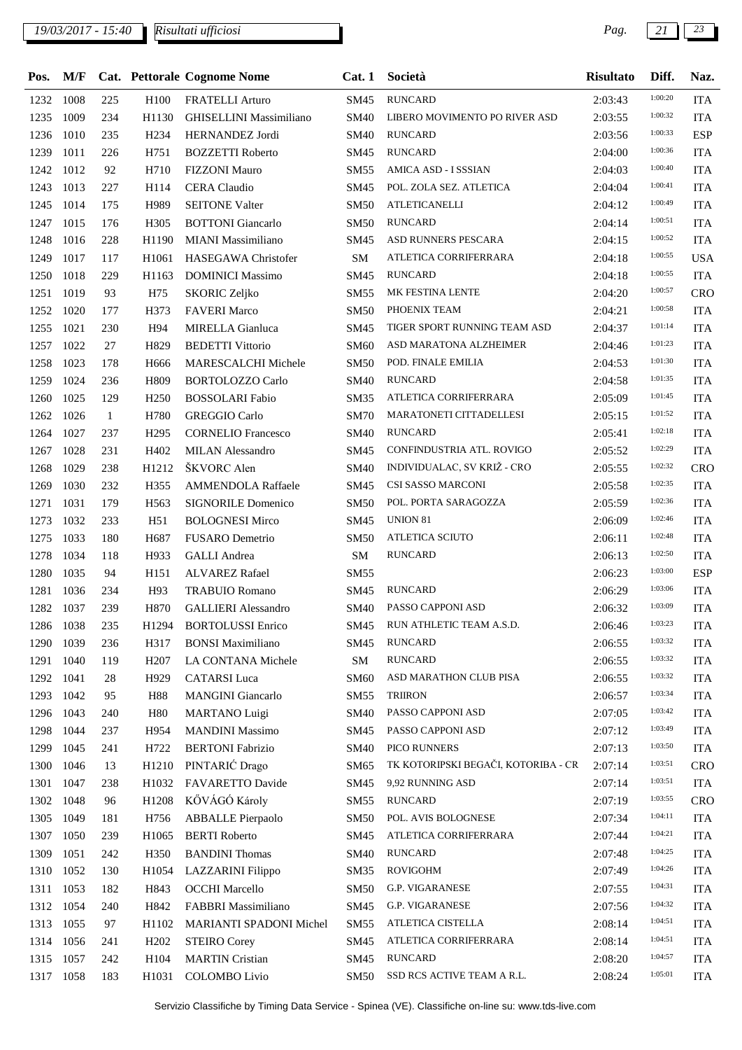# *19/03/2017 - 15:40 Pag. 21 23*

| Pos.      | M/F       |              |                  | Cat. Pettorale Cognome Nome    | Cat.1       | Società                             | <b>Risultato</b> | Diff.   | Naz.       |
|-----------|-----------|--------------|------------------|--------------------------------|-------------|-------------------------------------|------------------|---------|------------|
| 1232      | 1008      | 225          | H100             | <b>FRATELLI Arturo</b>         | SM45        | <b>RUNCARD</b>                      | 2:03:43          | 1:00:20 | <b>ITA</b> |
| 1235      | 1009      | 234          | H1130            | <b>GHISELLINI</b> Massimiliano | <b>SM40</b> | LIBERO MOVIMENTO PO RIVER ASD       | 2:03:55          | 1:00:32 | <b>ITA</b> |
| 1236      | 1010      | 235          | H <sub>234</sub> | HERNANDEZ Jordi                | <b>SM40</b> | <b>RUNCARD</b>                      | 2:03:56          | 1:00:33 | <b>ESP</b> |
| 1239      | 1011      | 226          | H751             | <b>BOZZETTI</b> Roberto        | SM45        | <b>RUNCARD</b>                      | 2:04:00          | 1:00:36 | <b>ITA</b> |
| 1242      | 1012      | 92           | H710             | FIZZONI Mauro                  | <b>SM55</b> | AMICA ASD - I SSSIAN                | 2:04:03          | 1:00:40 | <b>ITA</b> |
| 1243      | 1013      | 227          | H114             | <b>CERA</b> Claudio            | SM45        | POL. ZOLA SEZ. ATLETICA             | 2:04:04          | 1:00:41 | <b>ITA</b> |
| 1245      | 1014      | 175          | H989             | <b>SEITONE Valter</b>          | <b>SM50</b> | <b>ATLETICANELLI</b>                | 2:04:12          | 1:00:49 | <b>ITA</b> |
| 1247      | 1015      | 176          | H305             | <b>BOTTONI</b> Giancarlo       | <b>SM50</b> | <b>RUNCARD</b>                      | 2:04:14          | 1:00:51 | <b>ITA</b> |
| 1248      | 1016      | 228          | H1190            | <b>MIANI</b> Massimiliano      | SM45        | ASD RUNNERS PESCARA                 | 2:04:15          | 1:00:52 | <b>ITA</b> |
| 1249      | 1017      | 117          | H1061            | HASEGAWA Christofer            | SM          | ATLETICA CORRIFERRARA               | 2:04:18          | 1:00:55 | <b>USA</b> |
| 1250      | 1018      | 229          | H1163            | <b>DOMINICI Massimo</b>        | SM45        | <b>RUNCARD</b>                      | 2:04:18          | 1:00:55 | <b>ITA</b> |
| 1251      | 1019      | 93           | H75              | <b>SKORIC Zeljko</b>           | SM55        | MK FESTINA LENTE                    | 2:04:20          | 1:00:57 | CRO        |
| 1252      | 1020      | 177          | H373             | <b>FAVERI Marco</b>            | <b>SM50</b> | PHOENIX TEAM                        | 2:04:21          | 1:00:58 | <b>ITA</b> |
| 1255      | 1021      | 230          | H94              | MIRELLA Gianluca               | SM45        | TIGER SPORT RUNNING TEAM ASD        | 2:04:37          | 1:01:14 | <b>ITA</b> |
| 1257      | 1022      | 27           | H829             | <b>BEDETTI Vittorio</b>        | <b>SM60</b> | ASD MARATONA ALZHEIMER              | 2:04:46          | 1:01:23 | <b>ITA</b> |
| 1258      | 1023      | 178          | H <sub>666</sub> | MARESCALCHI Michele            | <b>SM50</b> | POD. FINALE EMILIA                  | 2:04:53          | 1:01:30 | <b>ITA</b> |
| 1259      | 1024      | 236          | H809             | <b>BORTOLOZZO Carlo</b>        | <b>SM40</b> | <b>RUNCARD</b>                      | 2:04:58          | 1:01:35 | <b>ITA</b> |
| 1260      | 1025      | 129          | H <sub>250</sub> | <b>BOSSOLARI</b> Fabio         | SM35        | ATLETICA CORRIFERRARA               | 2:05:09          | 1:01:45 | <b>ITA</b> |
| 1262      | 1026      | $\mathbf{1}$ | H780             | <b>GREGGIO Carlo</b>           | <b>SM70</b> | MARATONETI CITTADELLESI             | 2:05:15          | 1:01:52 | <b>ITA</b> |
| 1264      | 1027      | 237          | H <sub>295</sub> | <b>CORNELIO</b> Francesco      | <b>SM40</b> | <b>RUNCARD</b>                      | 2:05:41          | 1:02:18 | <b>ITA</b> |
| 1267      | 1028      | 231          | H402             | <b>MILAN Alessandro</b>        | SM45        | CONFINDUSTRIA ATL. ROVIGO           | 2:05:52          | 1:02:29 | <b>ITA</b> |
| 1268      | 1029      | 238          | H1212            | ŠKVORC Alen                    | <b>SM40</b> | INDIVIDUALAC, SV KRIŽ - CRO         | 2:05:55          | 1:02:32 | CRO        |
| 1269      | 1030      | 232          | H355             | AMMENDOLA Raffaele             | SM45        | CSI SASSO MARCONI                   | 2:05:58          | 1:02:35 | <b>ITA</b> |
| 1271      | 1031      | 179          | H <sub>563</sub> | <b>SIGNORILE Domenico</b>      | <b>SM50</b> | POL. PORTA SARAGOZZA                | 2:05:59          | 1:02:36 | <b>ITA</b> |
| 1273      | 1032      | 233          | H51              | <b>BOLOGNESI Mirco</b>         | SM45        | <b>UNION 81</b>                     | 2:06:09          | 1:02:46 | <b>ITA</b> |
| 1275      | 1033      | 180          | H <sub>687</sub> | <b>FUSARO</b> Demetrio         | <b>SM50</b> | ATLETICA SCIUTO                     | 2:06:11          | 1:02:48 | <b>ITA</b> |
| 1278      | 1034      | 118          | H933             | <b>GALLI</b> Andrea            | SM          | <b>RUNCARD</b>                      | 2:06:13          | 1:02:50 | <b>ITA</b> |
| 1280      | 1035      | 94           | H151             | <b>ALVAREZ Rafael</b>          | SM55        |                                     | 2:06:23          | 1:03:00 | <b>ESP</b> |
| 1281      | 1036      | 234          | H93              | <b>TRABUIO Romano</b>          | SM45        | <b>RUNCARD</b>                      | 2:06:29          | 1:03:06 | <b>ITA</b> |
| 1282      | 1037      | 239          | H870             | <b>GALLIERI</b> Alessandro     | <b>SM40</b> | PASSO CAPPONI ASD                   | 2:06:32          | 1:03:09 | <b>ITA</b> |
|           | 1286 1038 | 235          |                  | H1294 BORTOLUSSI Enrico        | SM45        | RUN ATHLETIC TEAM A.S.D.            | 2:06:46          | 1:03:23 | <b>ITA</b> |
| 1290 1039 |           | 236          | H317             | <b>BONSI Maximiliano</b>       | SM45        | RUNCARD                             | 2:06:55          | 1:03:32 | <b>ITA</b> |
| 1291      | 1040      | 119          | H <sub>207</sub> | LA CONTANA Michele             | SM          | <b>RUNCARD</b>                      | 2:06:55          | 1:03:32 | <b>ITA</b> |
| 1292      | 1041      | 28           | H929             | <b>CATARSI</b> Luca            | <b>SM60</b> | ASD MARATHON CLUB PISA              | 2:06:55          | 1:03:32 | <b>ITA</b> |
| 1293      | 1042      | 95           | H88              | <b>MANGINI</b> Giancarlo       | SM55        | <b>TRIIRON</b>                      | 2:06:57          | 1:03:34 | <b>ITA</b> |
| 1296      | 1043      | 240          | H80              | <b>MARTANO</b> Luigi           | <b>SM40</b> | PASSO CAPPONI ASD                   | 2:07:05          | 1:03:42 | <b>ITA</b> |
| 1298      | 1044      | 237          | H954             | <b>MANDINI Massimo</b>         | SM45        | PASSO CAPPONI ASD                   | 2:07:12          | 1:03:49 | <b>ITA</b> |
| 1299      | 1045      | 241          | H722             | <b>BERTONI</b> Fabrizio        | <b>SM40</b> | PICO RUNNERS                        | 2:07:13          | 1:03:50 | <b>ITA</b> |
| 1300      | 1046      | 13           | H1210            | PINTARIĆ Drago                 | SM65        | TK KOTORIPSKI BEGAČI, KOTORIBA - CR | 2:07:14          | 1:03:51 | CRO        |
| 1301      | 1047      | 238          | H1032            | FAVARETTO Davide               | SM45        | 9,92 RUNNING ASD                    | 2:07:14          | 1:03:51 | <b>ITA</b> |
| 1302      | 1048      | 96           | H1208            | KŐVÁGÓ Károly                  | SM55        | <b>RUNCARD</b>                      | 2:07:19          | 1:03:55 | <b>CRO</b> |
| 1305      | 1049      | 181          | H756             | <b>ABBALLE Pierpaolo</b>       | <b>SM50</b> | POL. AVIS BOLOGNESE                 | 2:07:34          | 1:04:11 | <b>ITA</b> |
| 1307      | 1050      | 239          | H1065            | <b>BERTI</b> Roberto           | SM45        | ATLETICA CORRIFERRARA               | 2:07:44          | 1:04:21 | <b>ITA</b> |
| 1309      | 1051      | 242          | H350             | <b>BANDINI</b> Thomas          | <b>SM40</b> | <b>RUNCARD</b>                      | 2:07:48          | 1:04:25 | <b>ITA</b> |
| 1310      | 1052      | 130          | H1054            | LAZZARINI Filippo              | SM35        | <b>ROVIGOHM</b>                     | 2:07:49          | 1:04:26 | <b>ITA</b> |
| 1311      | 1053      | 182          | H843             | <b>OCCHI</b> Marcello          | <b>SM50</b> | <b>G.P. VIGARANESE</b>              | 2:07:55          | 1:04:31 | <b>ITA</b> |
| 1312      | 1054      | 240          | H842             | FABBRI Massimiliano            | SM45        | <b>G.P. VIGARANESE</b>              | 2:07:56          | 1:04:32 | <b>ITA</b> |
| 1313      | 1055      | 97           | H1102            | MARIANTI SPADONI Michel        | SM55        | ATLETICA CISTELLA                   | 2:08:14          | 1:04:51 | <b>ITA</b> |
| 1314      | 1056      | 241          | H <sub>202</sub> | <b>STEIRO</b> Corey            | SM45        | ATLETICA CORRIFERRARA               | 2:08:14          | 1:04:51 | <b>ITA</b> |
| 1315      | 1057      | 242          | H104             | <b>MARTIN Cristian</b>         | SM45        | <b>RUNCARD</b>                      | 2:08:20          | 1:04:57 | <b>ITA</b> |
|           | 1317 1058 | 183          | H1031            | <b>COLOMBO Livio</b>           | SM50        | SSD RCS ACTIVE TEAM A R.L.          | 2:08:24          | 1:05:01 | <b>ITA</b> |
|           |           |              |                  |                                |             |                                     |                  |         |            |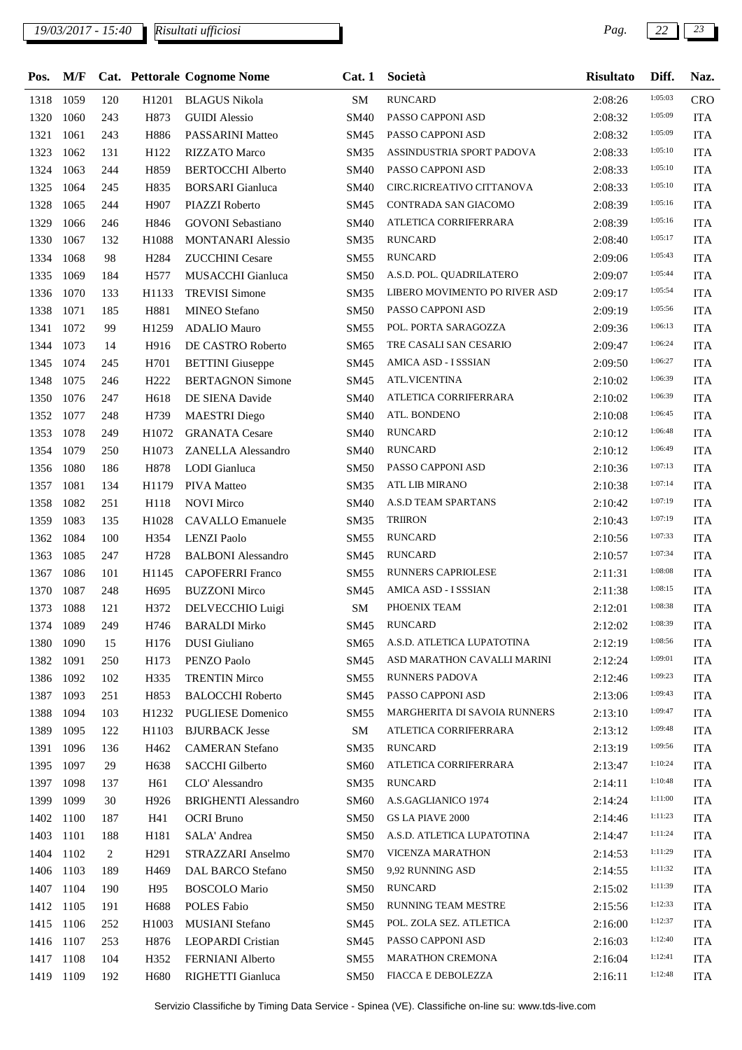# *19/03/2017 - 15:40 Pag. 22 23*

| Pos.      | M/F       |     |                   | Cat. Pettorale Cognome Nome | Cat.1       | Società                       | <b>Risultato</b> | Diff.   | Naz.       |
|-----------|-----------|-----|-------------------|-----------------------------|-------------|-------------------------------|------------------|---------|------------|
| 1318      | 1059      | 120 | H1201             | <b>BLAGUS Nikola</b>        | SM          | <b>RUNCARD</b>                | 2:08:26          | 1:05:03 | <b>CRO</b> |
| 1320      | 1060      | 243 | H873              | <b>GUIDI</b> Alessio        | SM40        | PASSO CAPPONI ASD             | 2:08:32          | 1:05:09 | <b>ITA</b> |
| 1321      | 1061      | 243 | H886              | <b>PASSARINI Matteo</b>     | SM45        | PASSO CAPPONI ASD             | 2:08:32          | 1:05:09 | <b>ITA</b> |
| 1323      | 1062      | 131 | H122              | <b>RIZZATO</b> Marco        | SM35        | ASSINDUSTRIA SPORT PADOVA     | 2:08:33          | 1:05:10 | <b>ITA</b> |
| 1324      | 1063      | 244 | H859              | <b>BERTOCCHI Alberto</b>    | SM40        | PASSO CAPPONI ASD             | 2:08:33          | 1:05:10 | <b>ITA</b> |
| 1325      | 1064      | 245 | H835              | <b>BORSARI</b> Gianluca     | <b>SM40</b> | CIRC.RICREATIVO CITTANOVA     | 2:08:33          | 1:05:10 | <b>ITA</b> |
| 1328      | 1065      | 244 | H907              | PIAZZI Roberto              | SM45        | CONTRADA SAN GIACOMO          | 2:08:39          | 1:05:16 | <b>ITA</b> |
| 1329      | 1066      | 246 | H846              | <b>GOVONI</b> Sebastiano    | <b>SM40</b> | ATLETICA CORRIFERRARA         | 2:08:39          | 1:05:16 | <b>ITA</b> |
| 1330      | 1067      | 132 | H1088             | <b>MONTANARI Alessio</b>    | SM35        | <b>RUNCARD</b>                | 2:08:40          | 1:05:17 | <b>ITA</b> |
| 1334      | 1068      | 98  | H <sub>284</sub>  | <b>ZUCCHINI</b> Cesare      | SM55        | <b>RUNCARD</b>                | 2:09:06          | 1:05:43 | <b>ITA</b> |
| 1335      | 1069      | 184 | H <sub>577</sub>  | MUSACCHI Gianluca           | <b>SM50</b> | A.S.D. POL. QUADRILATERO      | 2:09:07          | 1:05:44 | <b>ITA</b> |
| 1336      | 1070      | 133 | H1133             | <b>TREVISI Simone</b>       | SM35        | LIBERO MOVIMENTO PO RIVER ASD | 2:09:17          | 1:05:54 | <b>ITA</b> |
| 1338      | 1071      | 185 | H881              | <b>MINEO Stefano</b>        | <b>SM50</b> | PASSO CAPPONI ASD             | 2:09:19          | 1:05:56 | <b>ITA</b> |
| 1341      | 1072      | 99  | H1259             | <b>ADALIO</b> Mauro         | SM55        | POL. PORTA SARAGOZZA          | 2:09:36          | 1:06:13 | <b>ITA</b> |
| 1344      | 1073      | 14  | H916              | DE CASTRO Roberto           | SM65        | TRE CASALI SAN CESARIO        | 2:09:47          | 1:06:24 | <b>ITA</b> |
| 1345      | 1074      | 245 | H701              | <b>BETTINI</b> Giuseppe     | SM45        | AMICA ASD - I SSSIAN          | 2:09:50          | 1:06:27 | <b>ITA</b> |
| 1348      | 1075      | 246 | H <sub>222</sub>  | <b>BERTAGNON Simone</b>     | SM45        | <b>ATL.VICENTINA</b>          | 2:10:02          | 1:06:39 | <b>ITA</b> |
| 1350      | 1076      | 247 | H618              | DE SIENA Davide             | SM40        | ATLETICA CORRIFERRARA         | 2:10:02          | 1:06:39 | <b>ITA</b> |
| 1352      | 1077      | 248 | H739              | <b>MAESTRI</b> Diego        | <b>SM40</b> | ATL. BONDENO                  | 2:10:08          | 1:06:45 | <b>ITA</b> |
| 1353      | 1078      | 249 | H1072             | <b>GRANATA</b> Cesare       | SM40        | <b>RUNCARD</b>                | 2:10:12          | 1:06:48 | <b>ITA</b> |
| 1354      | 1079      | 250 | H1073             | ZANELLA Alessandro          | SM40        | <b>RUNCARD</b>                | 2:10:12          | 1:06:49 | <b>ITA</b> |
| 1356      | 1080      | 186 | H878              | LODI Gianluca               | <b>SM50</b> | PASSO CAPPONI ASD             | 2:10:36          | 1:07:13 | <b>ITA</b> |
| 1357      | 1081      | 134 | H <sub>1179</sub> | PIVA Matteo                 | SM35        | ATL LIB MIRANO                | 2:10:38          | 1:07:14 | <b>ITA</b> |
| 1358      | 1082      | 251 | H118              | <b>NOVI Mirco</b>           | <b>SM40</b> | A.S.D TEAM SPARTANS           | 2:10:42          | 1:07:19 | <b>ITA</b> |
| 1359      | 1083      | 135 | H1028             | CAVALLO Emanuele            | SM35        | <b>TRIIRON</b>                | 2:10:43          | 1:07:19 | <b>ITA</b> |
| 1362      | 1084      | 100 | H354              | <b>LENZI Paolo</b>          | SM55        | <b>RUNCARD</b>                | 2:10:56          | 1:07:33 | <b>ITA</b> |
| 1363      | 1085      | 247 | H728              | <b>BALBONI</b> Alessandro   | SM45        | <b>RUNCARD</b>                | 2:10:57          | 1:07:34 | <b>ITA</b> |
| 1367      | 1086      | 101 | H1145             | <b>CAPOFERRI</b> Franco     | SM55        | <b>RUNNERS CAPRIOLESE</b>     | 2:11:31          | 1:08:08 | <b>ITA</b> |
| 1370      | 1087      | 248 | H <sub>695</sub>  | <b>BUZZONI Mirco</b>        | SM45        | AMICA ASD - I SSSIAN          | 2:11:38          | 1:08:15 | <b>ITA</b> |
| 1373      | 1088      | 121 | H372              | DELVECCHIO Luigi            | SM          | PHOENIX TEAM                  | 2:12:01          | 1:08:38 | <b>ITA</b> |
| 1374 1089 |           | 249 | H746              | <b>BARALDI Mirko</b>        | SM45        | <b>RUNCARD</b>                | 2:12:02          | 1:08:39 | <b>ITA</b> |
| 1380      | 1090      | 15  | H <sub>176</sub>  | <b>DUSI</b> Giuliano        | SM65        | A.S.D. ATLETICA LUPATOTINA    | 2:12:19          | 1:08:56 | <b>ITA</b> |
| 1382      | 1091      | 250 | H173              | PENZO Paolo                 | SM45        | ASD MARATHON CAVALLI MARINI   | 2:12:24          | 1:09:01 | <b>ITA</b> |
| 1386      | 1092      | 102 | H335              | <b>TRENTIN Mirco</b>        | SM55        | <b>RUNNERS PADOVA</b>         | 2:12:46          | 1:09:23 | <b>ITA</b> |
| 1387      | 1093      | 251 | H853              | <b>BALOCCHI Roberto</b>     | SM45        | PASSO CAPPONI ASD             | 2:13:06          | 1:09:43 | <b>ITA</b> |
| 1388      | 1094      | 103 | H1232             | PUGLIESE Domenico           | SM55        | MARGHERITA DI SAVOIA RUNNERS  | 2:13:10          | 1:09:47 | <b>ITA</b> |
| 1389      | 1095      | 122 | H1103             | <b>BJURBACK Jesse</b>       | SM          | ATLETICA CORRIFERRARA         | 2:13:12          | 1:09:48 | <b>ITA</b> |
| 1391      | 1096      | 136 | H462              | <b>CAMERAN Stefano</b>      | SM35        | <b>RUNCARD</b>                | 2:13:19          | 1:09:56 | <b>ITA</b> |
| 1395      | 1097      | 29  | H638              | <b>SACCHI</b> Gilberto      | <b>SM60</b> | ATLETICA CORRIFERRARA         | 2:13:47          | 1:10:24 | <b>ITA</b> |
| 1397      | 1098      | 137 | H <sub>61</sub>   | CLO' Alessandro             | SM35        | <b>RUNCARD</b>                | 2:14:11          | 1:10:48 | <b>ITA</b> |
| 1399      | 1099      | 30  | H926              | <b>BRIGHENTI Alessandro</b> | SM60        | A.S.GAGLIANICO 1974           | 2:14:24          | 1:11:00 | <b>ITA</b> |
| 1402      | 1100      | 187 | H41               | <b>OCRI</b> Bruno           | <b>SM50</b> | GS LA PIAVE 2000              | 2:14:46          | 1:11:23 | <b>ITA</b> |
| 1403      | 1101      | 188 | H181              | SALA' Andrea                | <b>SM50</b> | A.S.D. ATLETICA LUPATOTINA    | 2:14:47          | 1:11:24 | <b>ITA</b> |
| 1404      | 1102      | 2   | H <sub>291</sub>  | STRAZZARI Anselmo           | <b>SM70</b> | VICENZA MARATHON              | 2:14:53          | 1:11:29 | <b>ITA</b> |
| 1406      | 1103      | 189 | H <sub>469</sub>  | DAL BARCO Stefano           | <b>SM50</b> | 9,92 RUNNING ASD              | 2:14:55          | 1:11:32 | <b>ITA</b> |
| 1407      | 1104      | 190 | H95               | <b>BOSCOLO</b> Mario        | <b>SM50</b> | <b>RUNCARD</b>                | 2:15:02          | 1:11:39 | <b>ITA</b> |
|           | 1412 1105 | 191 | H <sub>688</sub>  | POLES Fabio                 | SM50        | RUNNING TEAM MESTRE           | 2:15:56          | 1:12:33 | <b>ITA</b> |
|           | 1415 1106 | 252 | H1003             | MUSIANI Stefano             | SM45        | POL. ZOLA SEZ. ATLETICA       | 2:16:00          | 1:12:37 | <b>ITA</b> |
| 1416      | 1107      | 253 | H876              | LEOPARDI Cristian           | SM45        | PASSO CAPPONI ASD             | 2:16:03          | 1:12:40 | <b>ITA</b> |
| 1417      | 1108      | 104 | H352              | FERNIANI Alberto            | SM55        | <b>MARATHON CREMONA</b>       | 2:16:04          | 1:12:41 | <b>ITA</b> |
|           | 1419 1109 | 192 | H680              | RIGHETTI Gianluca           | <b>SM50</b> | FIACCA E DEBOLEZZA            | 2:16:11          | 1:12:48 | <b>ITA</b> |
|           |           |     |                   |                             |             |                               |                  |         |            |